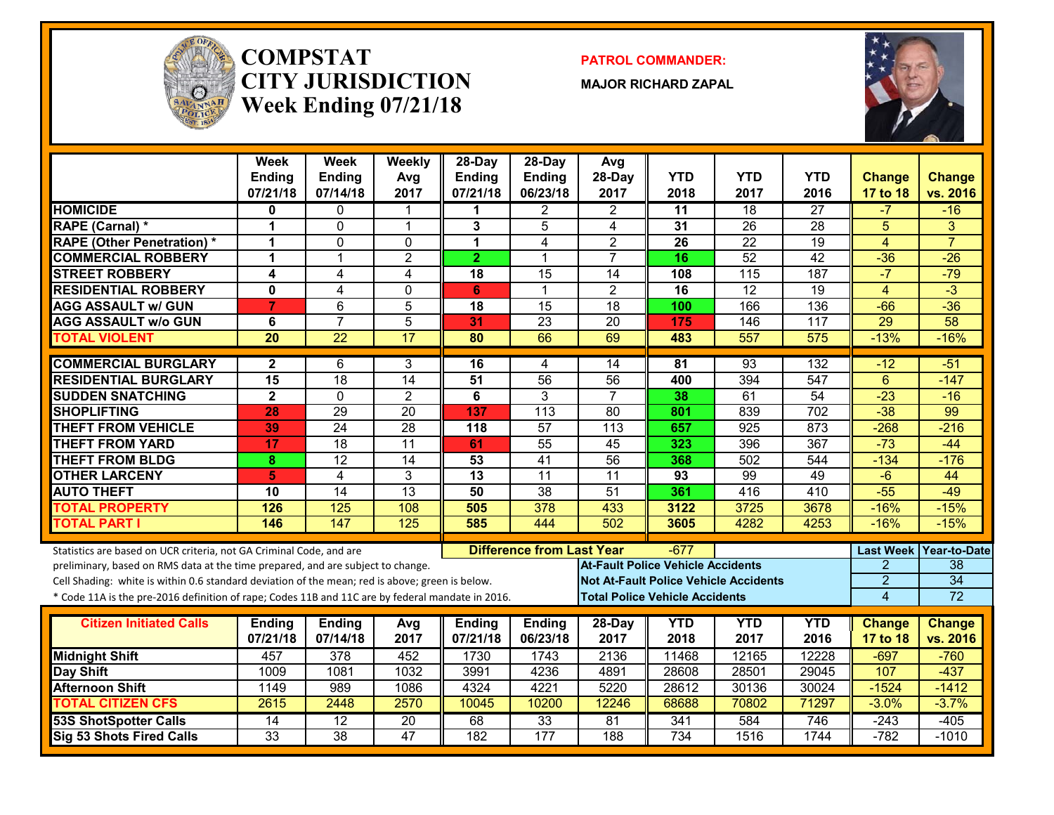

#### **COMPSTATCITY JURISDICTIONWeek Ending 07/21/18**

**PATROL COMMANDER:**

**MAJOR RICHARD ZAPAL**



|                                                                                                                                                        | Week<br><b>Ending</b><br>07/21/18 | Week<br><b>Ending</b><br>07/14/18 | Weekly<br>Avg<br>2017   | 28-Day<br>Ending<br>07/21/18 | $28$ -Day<br><b>Ending</b><br>06/23/18 | Avg<br>28-Day<br>2017                        | <b>YTD</b><br>2018                    | <b>YTD</b><br>2017 | <b>YTD</b><br>2016 | <b>Change</b><br>17 to 18 | <b>Change</b><br>vs. 2016 |
|--------------------------------------------------------------------------------------------------------------------------------------------------------|-----------------------------------|-----------------------------------|-------------------------|------------------------------|----------------------------------------|----------------------------------------------|---------------------------------------|--------------------|--------------------|---------------------------|---------------------------|
| <b>HOMICIDE</b>                                                                                                                                        | 0                                 | $\mathbf{0}$                      | 1                       | 1                            | $\mathbf{2}$                           | $\overline{2}$                               | 11                                    | $\overline{18}$    | $\overline{27}$    | $-7$                      | $-16$                     |
| RAPE (Carnal) *                                                                                                                                        | 1                                 | $\mathbf{0}$                      | $\mathbf 1$             | 3                            | 5                                      | 4                                            | 31                                    | 26                 | $\overline{28}$    | 5                         | 3                         |
| <b>RAPE (Other Penetration)*</b>                                                                                                                       | 1                                 | $\mathbf{0}$                      | $\Omega$                | $\mathbf 1$                  | 4                                      | $\overline{2}$                               | 26                                    | $\overline{22}$    | $\overline{19}$    | $\overline{4}$            | $\overline{7}$            |
| <b>COMMERCIAL ROBBERY</b>                                                                                                                              | 1                                 | 1                                 | $\overline{2}$          | $\overline{2}$               | $\overline{1}$                         | $\overline{7}$                               | 16                                    | $\overline{52}$    | $\overline{42}$    | $-36$                     | $-26$                     |
| <b>STREET ROBBERY</b>                                                                                                                                  | 4                                 | 4                                 | $\overline{\mathbf{4}}$ | 18                           | $\overline{15}$                        | $\overline{14}$                              | 108                                   | 115                | $\overline{187}$   | $-7$                      | $-79$                     |
| <b>RESIDENTIAL ROBBERY</b>                                                                                                                             | $\mathbf{0}$                      | 4                                 | $\Omega$                | 6                            | $\overline{1}$                         | $\overline{2}$                               | 16                                    | $\overline{12}$    | $\overline{19}$    | $\overline{4}$            | $\overline{\cdot}$        |
| <b>AGG ASSAULT w/ GUN</b>                                                                                                                              | 7                                 | 6                                 | $\overline{5}$          | 18                           | $\overline{15}$                        | $\overline{18}$                              | 100                                   | 166                | 136                | $-66$                     | $-36$                     |
| <b>AGG ASSAULT W/o GUN</b>                                                                                                                             | 6                                 | $\overline{7}$                    | $\overline{5}$          | 31                           | $\overline{23}$                        | $\overline{20}$                              | 175                                   | 146                | 117                | 29                        | 58                        |
| <b>TOTAL VIOLENT</b>                                                                                                                                   | $\overline{20}$                   | $\overline{22}$                   | 17                      | 80                           | 66                                     | 69                                           | 483                                   | 557                | 575                | $-13%$                    | $-16%$                    |
| <b>COMMERCIAL BURGLARY</b>                                                                                                                             | $\mathbf{2}$                      | 6                                 | 3                       | 16                           | 4                                      | 14                                           | 81                                    | $\overline{93}$    | 132                | $-12$                     | $-51$                     |
| <b>RESIDENTIAL BURGLARY</b>                                                                                                                            | $\overline{15}$                   | $\overline{18}$                   | $\overline{14}$         | 51                           | $\overline{56}$                        | 56                                           | 400                                   | 394                | 547                | 6                         | $-147$                    |
| <b>SUDDEN SNATCHING</b>                                                                                                                                | $\mathbf{2}$                      | $\Omega$                          | $\overline{2}$          | 6                            | 3                                      | $\overline{7}$                               | 38                                    | 61                 | 54                 | $-23$                     | $-16$                     |
| <b>SHOPLIFTING</b>                                                                                                                                     | 28                                | 29                                | $\overline{20}$         | 137                          | $\overline{113}$                       | $\overline{80}$                              | 801                                   | 839                | $\overline{702}$   | $-38$                     | 99                        |
| <b>THEFT FROM VEHICLE</b>                                                                                                                              | 39                                | $\overline{24}$                   | 28                      | 118                          | $\overline{57}$                        | $\overline{113}$                             | 657                                   | 925                | $\overline{873}$   | $-268$                    | $-216$                    |
| <b>THEFT FROM YARD</b>                                                                                                                                 | 17                                | $\overline{18}$                   | $\overline{11}$         | 61                           | $\overline{55}$                        | 45                                           | 323                                   | 396                | $\overline{367}$   | $-73$                     | $-44$                     |
| <b>THEFT FROM BLDG</b>                                                                                                                                 | 8                                 | $\overline{12}$                   | $\overline{14}$         | 53                           | $\overline{41}$                        | $\overline{56}$                              | 368                                   | 502                | 544                | $-134$                    | $-176$                    |
| <b>OTHER LARCENY</b>                                                                                                                                   | 5                                 | $\overline{4}$                    | 3                       | $\overline{13}$              | $\overline{11}$                        | 11                                           | 93                                    | 99                 | 49                 | $-6$                      | 44                        |
| <b>AUTO THEFT</b>                                                                                                                                      | 10                                | $\overline{14}$                   | $\overline{13}$         | 50                           | $\overline{38}$                        | 51                                           | 361                                   | 416                | 410                | $-55$                     | $-49$                     |
| <b>TOTAL PROPERTY</b>                                                                                                                                  | 126                               | 125                               | 108                     | 505                          | 378                                    | 433                                          | 3122                                  | 3725               | 3678               | $-16%$                    | $-15%$                    |
| <b>TOTAL PART I</b>                                                                                                                                    | 146                               | 147                               | 125                     | 585                          | 444                                    | 502                                          | 3605                                  | 4282               | 4253               | $-16%$                    | $-15%$                    |
|                                                                                                                                                        |                                   |                                   |                         |                              | <b>Difference from Last Year</b>       |                                              |                                       |                    |                    |                           |                           |
| Statistics are based on UCR criteria, not GA Criminal Code, and are<br>preliminary, based on RMS data at the time prepared, and are subject to change. |                                   |                                   |                         |                              |                                        | <b>At-Fault Police Vehicle Accidents</b>     | $-677$                                |                    |                    | <b>Last Week</b><br>2     | Year-to-Date<br>38        |
| Cell Shading: white is within 0.6 standard deviation of the mean; red is above; green is below.                                                        |                                   |                                   |                         |                              |                                        | <b>Not At-Fault Police Vehicle Accidents</b> |                                       |                    |                    | $\overline{2}$            | 34                        |
| * Code 11A is the pre-2016 definition of rape; Codes 11B and 11C are by federal mandate in 2016.                                                       |                                   |                                   |                         |                              |                                        |                                              | <b>Total Police Vehicle Accidents</b> |                    |                    | $\overline{4}$            | $\overline{72}$           |
|                                                                                                                                                        |                                   |                                   |                         |                              |                                        |                                              |                                       |                    |                    |                           |                           |
| <b>Citizen Initiated Calls</b>                                                                                                                         | <b>Ending</b>                     | <b>Ending</b>                     | Avg                     | <b>Ending</b>                | <b>Ending</b>                          | 28-Day                                       | <b>YTD</b>                            | <b>YTD</b>         | <b>YTD</b>         | <b>Change</b>             | <b>Change</b>             |
|                                                                                                                                                        | 07/21/18                          | 07/14/18                          | 2017                    | 07/21/18                     | 06/23/18                               | 2017                                         | 2018                                  | 2017               | 2016               | 17 to 18                  | vs. 2016                  |
| <b>Midnight Shift</b>                                                                                                                                  | 457                               | $\overline{378}$                  | 452                     | 1730                         | 1743                                   | 2136                                         | 11468                                 | 12165              | 12228              | $-697$                    | $-760$                    |
| <b>Day Shift</b>                                                                                                                                       | 1009                              | 1081                              | 1032                    | 3991                         | 4236                                   | 4891                                         | 28608                                 | 28501              | 29045              | 107                       | $-437$                    |
| <b>Afternoon Shift</b>                                                                                                                                 | 1149                              | 989                               | 1086                    | 4324                         | 4221                                   | 5220                                         | 28612                                 | 30136              | 30024              | $-1524$                   | $-1412$                   |
| <b>TOTAL CITIZEN CFS</b>                                                                                                                               | 2615                              | 2448                              | 2570                    | 10045                        | 10200                                  | 12246                                        | 68688                                 | 70802              | 71297              | $-3.0%$                   | $-3.7%$                   |
| <b>53S ShotSpotter Calls</b>                                                                                                                           | 14                                | 12                                | 20                      | 68                           | 33                                     | 81                                           | 341                                   | 584                | 746                | $-243$                    | $-405$                    |
| <b>Sig 53 Shots Fired Calls</b>                                                                                                                        | 33                                | $\overline{38}$                   | 47                      | 182                          | 177                                    | 188                                          | $\overline{734}$                      | 1516               | 1744               | $-782$                    | $-1010$                   |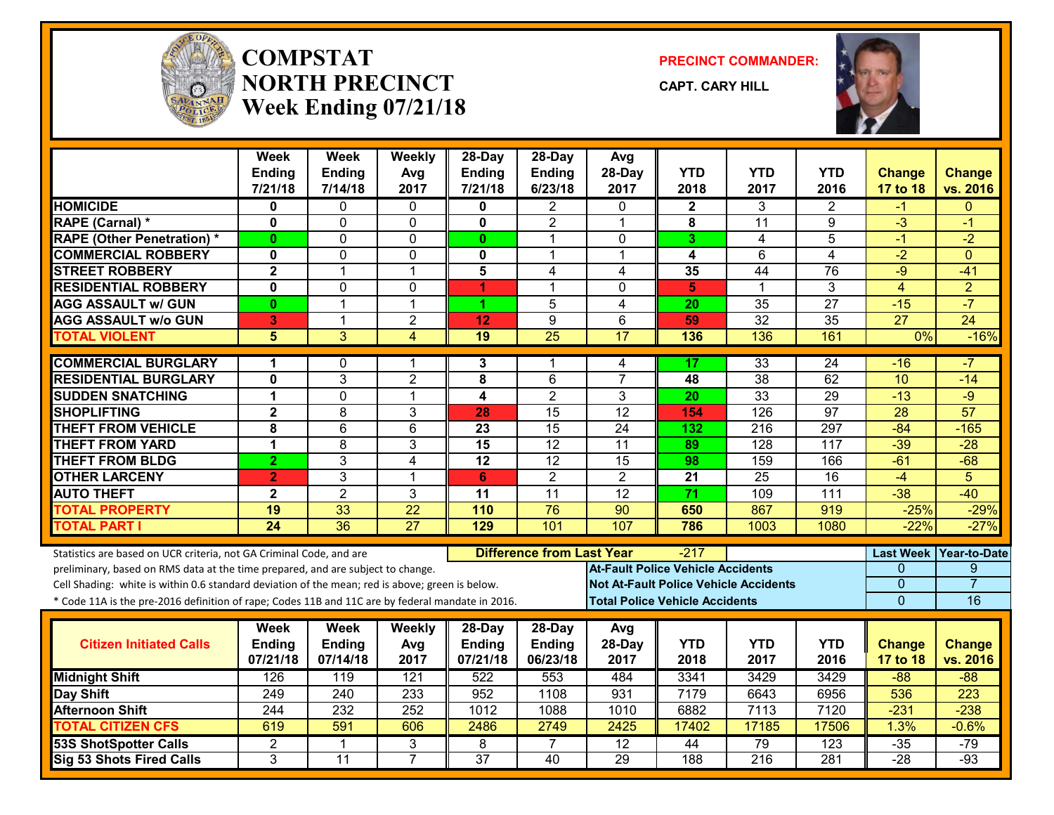

#### **COMPSTATNORTH PRECINCTWeek Ending 07/21/18**

**PRECINCT COMMANDER:**

**CAPT. CARY HILL**



|                                                                                                  | Week<br>Ending          | <b>Week</b><br><b>Ending</b> | Weekly<br>Avg   | $28$ -Day<br><b>Ending</b> | 28-Day<br>Ending                 | Avg<br>28-Day                            | <b>YTD</b>      | <b>YTD</b>                                   | YTD              | <b>Change</b>    | <b>Change</b>   |
|--------------------------------------------------------------------------------------------------|-------------------------|------------------------------|-----------------|----------------------------|----------------------------------|------------------------------------------|-----------------|----------------------------------------------|------------------|------------------|-----------------|
|                                                                                                  | 7/21/18                 | 7/14/18                      | 2017            | 7/21/18                    | 6/23/18                          | 2017                                     | 2018            | 2017                                         | 2016             | 17 to 18         | vs. 2016        |
| <b>HOMICIDE</b>                                                                                  | 0                       | 0                            | $\mathbf{0}$    |                            | 2                                | $\Omega$                                 | $\mathbf{2}$    | 3                                            | 2                | -1               | $\Omega$        |
| <b>RAPE (Carnal) *</b>                                                                           | 0                       | 0                            | 0               | 0                          | $\overline{2}$                   | $\mathbf 1$                              | 8               | $\overline{11}$                              | 9                | $\overline{3}$   | -1              |
| <b>RAPE (Other Penetration) *</b>                                                                | 0                       | $\mathbf{0}$                 | 0               | $\mathbf{0}$               | 1                                | $\mathbf{0}$                             | 3               | 4                                            | 5                | -1               | $-2$            |
| <b>COMMERCIAL ROBBERY</b>                                                                        | $\bf{0}$                | $\Omega$                     | $\mathbf 0$     | $\mathbf{0}$               | 1                                | $\overline{1}$                           | 4               | 6                                            | $\overline{4}$   | $-2$             | $\Omega$        |
| <b>STREET ROBBERY</b>                                                                            | $\overline{\mathbf{2}}$ | $\mathbf{1}$                 | $\mathbf 1$     | 5                          | 4                                | 4                                        | 35              | $\overline{44}$                              | 76               | $-9$             | $-41$           |
| <b>RESIDENTIAL ROBBERY</b>                                                                       | 0                       | $\mathbf{0}$                 | 0               | 1                          | 1                                | $\mathbf{0}$                             | 5               | 1                                            | 3                | $\overline{4}$   | $\overline{2}$  |
| <b>AGG ASSAULT w/ GUN</b>                                                                        | $\mathbf{0}$            | $\overline{1}$               | $\mathbf 1$     | 1                          | $\overline{5}$                   | 4                                        | $\overline{20}$ | $\overline{35}$                              | $\overline{27}$  | $-15$            | $-7$            |
| <b>AGG ASSAULT w/o GUN</b>                                                                       | 3                       | $\overline{1}$               | $\overline{2}$  | 12                         | 9                                | 6                                        | 59              | $\overline{32}$                              | 35               | 27               | 24              |
| <b>TOTAL VIOLENT</b>                                                                             | 5                       | 3                            | $\overline{4}$  | 19                         | $\overline{25}$                  | 17                                       | 136             | 136                                          | 161              | 0%               | $-16%$          |
| <b>COMMERCIAL BURGLARY</b>                                                                       | 1                       | 0                            | 1               | 3                          | 1                                | 4                                        | 17              | 33                                           | $\overline{24}$  | $-16$            | -7              |
| <b>RESIDENTIAL BURGLARY</b>                                                                      | 0                       | 3                            | $\overline{2}$  | 8                          | 6                                | $\overline{7}$                           | 48              | 38                                           | 62               | 10               | $-14$           |
| <b>SUDDEN SNATCHING</b>                                                                          | 1                       | $\mathbf 0$                  | $\mathbf 1$     | 4                          | $\overline{2}$                   | 3                                        | 20              | 33                                           | 29               | $-13$            | $-9$            |
| <b>SHOPLIFTING</b>                                                                               | $\overline{\mathbf{2}}$ | 8                            | 3               | 28                         | 15                               | $\overline{12}$                          | 154             | $\overline{126}$                             | 97               | $\overline{28}$  | $\overline{57}$ |
| <b>THEFT FROM VEHICLE</b>                                                                        | 8                       | 6                            | 6               | 23                         | 15                               | 24                                       | 132             | 216                                          | 297              | $-84$            | $-165$          |
| <b>THEFT FROM YARD</b>                                                                           | 1                       | 8                            | 3               | 15                         | $\overline{12}$                  | 11                                       | 89              | 128                                          | 117              | $-39$            | $-28$           |
| <b>THEFT FROM BLDG</b>                                                                           | $\overline{2}$          | 3                            | $\overline{4}$  | 12                         | $\overline{12}$                  | $\overline{15}$                          | 98              | 159                                          | 166              | $-61$            | $-68$           |
| <b>OTHER LARCENY</b>                                                                             | $\overline{2}$          | 3                            | $\overline{1}$  | 6                          | $\overline{2}$                   | $\overline{2}$                           | 21              | 25                                           | 16               | $-4$             | 5               |
| <b>AUTO THEFT</b>                                                                                | $\mathbf{2}$            | $\overline{2}$               | $\overline{3}$  | 11                         | 11                               | 12                                       | $\overline{71}$ | 109                                          | 111              | $-38$            | $-40$           |
| <b>TOTAL PROPERTY</b>                                                                            | $\overline{19}$         | 33                           | $\overline{22}$ | 110                        | $\overline{76}$                  | $\overline{90}$                          | 650             | 867                                          | 919              | $-25%$           | $-29%$          |
| <b>TOTAL PART I</b>                                                                              | 24                      | $\overline{36}$              | $\overline{27}$ | 129                        | 101                              | 107                                      | 786             | 1003                                         | 1080             | $-22%$           | $-27%$          |
| Statistics are based on UCR criteria, not GA Criminal Code, and are                              |                         |                              |                 |                            | <b>Difference from Last Year</b> |                                          | $-217$          |                                              |                  | <b>Last Week</b> | Year-to-Date    |
| preliminary, based on RMS data at the time prepared, and are subject to change.                  |                         |                              |                 |                            |                                  | <b>At-Fault Police Vehicle Accidents</b> |                 |                                              |                  | 0                | 9               |
| Cell Shading: white is within 0.6 standard deviation of the mean; red is above; green is below.  |                         |                              |                 |                            |                                  |                                          |                 | <b>Not At-Fault Police Vehicle Accidents</b> |                  | $\mathbf 0$      | $\overline{7}$  |
| * Code 11A is the pre-2016 definition of rape; Codes 11B and 11C are by federal mandate in 2016. |                         |                              |                 |                            |                                  | <b>Total Police Vehicle Accidents</b>    |                 |                                              |                  | $\overline{0}$   | 16              |
|                                                                                                  | Week                    | Week                         | Weekly          | 28-Day                     | 28-Day                           | Avg                                      |                 |                                              |                  |                  |                 |
| <b>Citizen Initiated Calls</b>                                                                   | Ending                  | <b>Ending</b>                | Avg             | Ending                     | <b>Ending</b>                    | 28-Day                                   | <b>YTD</b>      | <b>YTD</b>                                   | <b>YTD</b>       | <b>Change</b>    | <b>Change</b>   |
|                                                                                                  | 07/21/18                | 07/14/18                     | 2017            | 07/21/18                   | 06/23/18                         | 2017                                     | 2018            | 2017                                         | 2016             | 17 to 18         | vs. 2016        |
| <b>Midnight Shift</b>                                                                            | 126                     | 119                          | 121             | 522                        | 553                              | 484                                      | 3341            | 3429                                         | 3429             | $-88$            | $-88$           |
| <b>Day Shift</b>                                                                                 | 249                     | 240                          | 233             | 952                        | 1108                             | 931                                      | 7179            | 6643                                         | 6956             | 536              | 223             |
| <b>Afternoon Shift</b>                                                                           | 244                     | 232                          | 252             | 1012                       | 1088                             | 1010                                     | 6882            | 7113                                         | 7120             | $-231$           | $-238$          |
| <b>TOTAL CITIZEN CFS</b>                                                                         | 619                     | 591                          | 606             | 2486                       | 2749                             | 2425                                     | 17402           | 17185                                        | 17506            | 1.3%             | $-0.6%$         |
| <b>53S ShotSpotter Calls</b>                                                                     | 2                       | $\mathbf 1$                  | 3               | 8                          | $\overline{7}$                   | $\overline{12}$                          | 44              | 79                                           | $\overline{123}$ | $-35$            | $-79$           |
| Sig 53 Shots Fired Calls                                                                         | 3                       | 11                           | $\overline{7}$  | $\overline{37}$            | 40                               | 29                                       | 188             | 216                                          | 281              | $-28$            | $-93$           |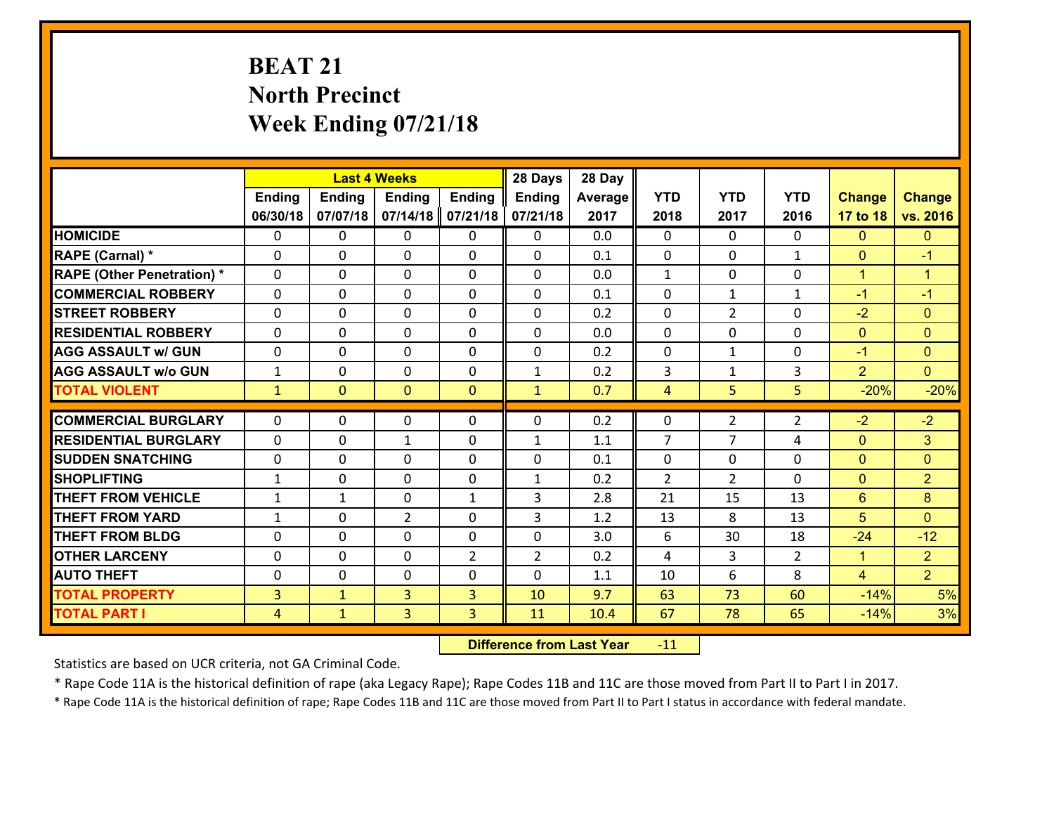# **BEAT 21 North Precinct Week Ending 07/21/18**

|                                   |                |                | <b>Last 4 Weeks</b> |                | 28 Days        | 28 Day     |                               |                |                |                |                      |
|-----------------------------------|----------------|----------------|---------------------|----------------|----------------|------------|-------------------------------|----------------|----------------|----------------|----------------------|
|                                   | <b>Ending</b>  | <b>Ending</b>  | <b>Ending</b>       | <b>Ending</b>  | <b>Ending</b>  | Average    | <b>YTD</b>                    | <b>YTD</b>     | <b>YTD</b>     | <b>Change</b>  | <b>Change</b>        |
|                                   | 06/30/18       | 07/07/18       | 07/14/18            | 07/21/18       | 07/21/18       | 2017       | 2018                          | 2017           | 2016           | 17 to 18       | vs. 2016             |
| <b>HOMICIDE</b>                   | $\Omega$       | 0              | 0                   | 0              | $\Omega$       | 0.0        | $\Omega$                      | $\Omega$       | $\Omega$       | $\mathbf{0}$   | $\mathbf{0}$         |
| RAPE (Carnal) *                   | 0              | 0              | $\mathbf{0}$        | 0              | $\Omega$       | 0.1        | $\mathbf{0}$                  | 0              | $\mathbf{1}$   | $\mathbf{0}$   | $-1$                 |
| <b>RAPE (Other Penetration) *</b> | $\Omega$       | 0              | $\mathbf{0}$        | $\Omega$       | $\Omega$       | 0.0        | $\mathbf{1}$                  | $\Omega$       | $\Omega$       | $\mathbf{1}$   | $\blacktriangleleft$ |
| <b>COMMERCIAL ROBBERY</b>         | 0              | 0              | 0                   | 0              | $\Omega$       | 0.1        | $\mathbf{0}$                  | $\mathbf{1}$   | $\mathbf{1}$   | $-1$           | $-1$                 |
| <b>STREET ROBBERY</b>             | $\Omega$       | 0              | $\mathbf 0$         | 0              | 0              | 0.2        | $\mathbf 0$                   | $\overline{2}$ | 0              | $-2$           | $\mathbf{0}$         |
| <b>RESIDENTIAL ROBBERY</b>        | $\Omega$       | $\Omega$       | $\mathbf 0$         | $\Omega$       | 0              | 0.0        | $\Omega$                      | $\Omega$       | $\Omega$       | $\mathbf{0}$   | $\overline{0}$       |
| <b>AGG ASSAULT w/ GUN</b>         | 0              | 0              | $\mathbf 0$         | $\Omega$       | 0              | 0.2        | $\mathbf 0$                   | $\mathbf{1}$   | 0              | $-1$           | $\overline{0}$       |
| <b>AGG ASSAULT w/o GUN</b>        | $\mathbf{1}$   | 0              | $\mathbf 0$         | 0              | $\mathbf{1}$   | 0.2        | 3                             | $\mathbf{1}$   | 3              | $\overline{2}$ | $\overline{0}$       |
| <b>TOTAL VIOLENT</b>              | $\mathbf{1}$   | $\overline{0}$ | $\mathbf{O}$        | $\mathbf{0}$   | $\mathbf{1}$   | 0.7        | $\overline{4}$                | 5              | 5              | $-20%$         | $-20%$               |
| <b>COMMERCIAL BURGLARY</b>        | $\Omega$       | 0              | $\mathbf{0}$        | $\Omega$       | $\Omega$       | 0.2        | $\Omega$                      | $\overline{2}$ | $\overline{2}$ | $-2$           | $-2$                 |
|                                   |                |                |                     |                |                |            | 7                             | 7              | 4              |                |                      |
| <b>RESIDENTIAL BURGLARY</b>       | 0              | 0              | $\mathbf{1}$        | 0              | $\mathbf{1}$   | 1.1        |                               |                |                | $\mathbf{0}$   | 3                    |
| <b>SUDDEN SNATCHING</b>           | 0              | 0              | $\mathbf 0$         | 0              | 0              | 0.1<br>0.2 | $\mathbf 0$<br>$\overline{2}$ | $\mathbf 0$    | 0<br>$\Omega$  | $\mathbf{0}$   | $\mathbf{0}$         |
| <b>SHOPLIFTING</b>                | $\mathbf{1}$   | 0              | $\mathbf 0$         | 0              | $\mathbf{1}$   |            |                               | $\overline{2}$ |                | $\mathbf{0}$   | $\overline{2}$       |
| <b>THEFT FROM VEHICLE</b>         | $\mathbf{1}$   | $\mathbf{1}$   | $\mathbf 0$         | $\mathbf{1}$   | 3              | 2.8        | 21                            | 15             | 13             | 6              | 8                    |
| <b>THEFT FROM YARD</b>            | $\mathbf{1}$   | 0              | $\overline{2}$      | 0              | 3              | 1.2        | 13                            | 8              | 13             | 5              | $\overline{0}$       |
| <b>THEFT FROM BLDG</b>            | 0              | 0              | $\mathbf 0$         | 0              | 0              | 3.0        | 6                             | 30             | 18             | $-24$          | $-12$                |
| <b>OTHER LARCENY</b>              | 0              | 0              | $\mathbf 0$         | $\overline{2}$ | $\overline{2}$ | 0.2        | $\overline{4}$                | 3              | $\overline{2}$ | $\mathbf{1}$   | $\overline{2}$       |
| <b>AUTO THEFT</b>                 | $\mathbf{0}$   | 0              | $\mathbf{0}$        | 0              | 0              | 1.1        | 10                            | 6              | 8              | $\overline{4}$ | 2 <sup>1</sup>       |
| <b>TOTAL PROPERTY</b>             | $\overline{3}$ | $\mathbf{1}$   | $\overline{3}$      | 3              | 10             | 9.7        | 63                            | 73             | 60             | $-14%$         | 5%                   |
| <b>TOTAL PART I</b>               | $\overline{4}$ | $\mathbf{1}$   | 3                   | 3              | 11             | 10.4       | 67                            | 78             | 65             | $-14%$         | 3%                   |

 **Difference from Last Year**r -11

Statistics are based on UCR criteria, not GA Criminal Code.

\* Rape Code 11A is the historical definition of rape (aka Legacy Rape); Rape Codes 11B and 11C are those moved from Part II to Part I in 2017.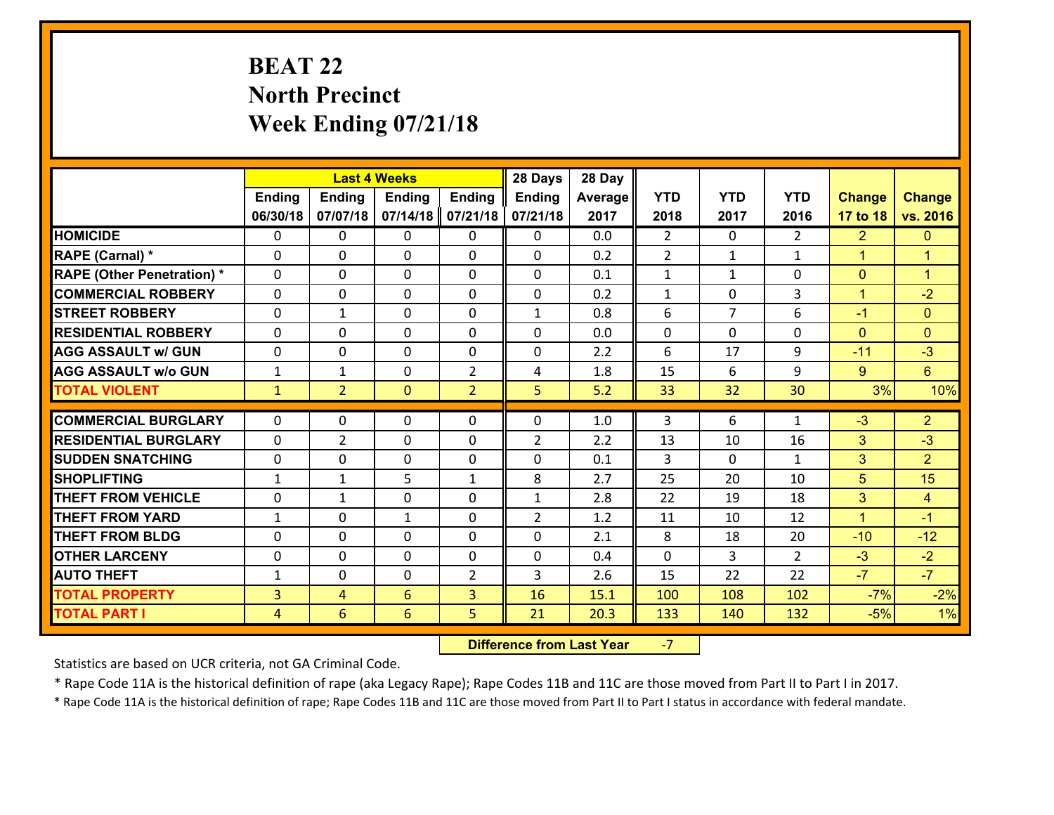# **BEAT 22 North Precinct Week Ending 07/21/18**

|                                   |                |                | <b>Last 4 Weeks</b> |                | 28 Days        | 28 Day  |                |                |                |                |                      |
|-----------------------------------|----------------|----------------|---------------------|----------------|----------------|---------|----------------|----------------|----------------|----------------|----------------------|
|                                   | <b>Ending</b>  | <b>Ending</b>  | <b>Ending</b>       | <b>Ending</b>  | <b>Ending</b>  | Average | <b>YTD</b>     | <b>YTD</b>     | <b>YTD</b>     | <b>Change</b>  | <b>Change</b>        |
|                                   | 06/30/18       | 07/07/18       | 07/14/18            | 07/21/18       | 07/21/18       | 2017    | 2018           | 2017           | 2016           | 17 to 18       | vs. 2016             |
| <b>HOMICIDE</b>                   | $\Omega$       | 0              | 0                   | 0              | $\Omega$       | 0.0     | $\overline{2}$ | $\Omega$       | $\mathcal{L}$  | $\overline{2}$ | $\mathbf{0}$         |
| RAPE (Carnal) *                   | 0              | 0              | $\mathbf{0}$        | 0              | $\Omega$       | 0.2     | 2              | $\mathbf{1}$   | $\mathbf{1}$   | $\mathbf{1}$   | $\blacktriangleleft$ |
| <b>RAPE (Other Penetration) *</b> | $\Omega$       | 0              | $\mathbf{0}$        | $\Omega$       | $\Omega$       | 0.1     | $\mathbf{1}$   | $\mathbf{1}$   | $\Omega$       | $\mathbf{0}$   | $\blacktriangleleft$ |
| <b>COMMERCIAL ROBBERY</b>         | 0              | 0              | 0                   | 0              | 0              | 0.2     | $\mathbf{1}$   | $\mathbf{0}$   | 3              | $\mathbf{1}$   | $-2$                 |
| <b>STREET ROBBERY</b>             | $\Omega$       | $\mathbf{1}$   | $\mathbf 0$         | 0              | $\mathbf{1}$   | 0.8     | 6              | $\overline{7}$ | 6              | $-1$           | $\mathbf{0}$         |
| <b>RESIDENTIAL ROBBERY</b>        | $\Omega$       | $\Omega$       | $\mathbf 0$         | $\Omega$       | 0              | 0.0     | $\mathbf 0$    | $\Omega$       | $\Omega$       | $\mathbf{0}$   | $\mathbf{0}$         |
| <b>AGG ASSAULT w/ GUN</b>         | $\Omega$       | 0              | $\mathbf 0$         | 0              | 0              | 2.2     | 6              | 17             | 9              | $-11$          | $-3$                 |
| <b>AGG ASSAULT w/o GUN</b>        | $\mathbf{1}$   | 1              | $\mathbf 0$         | $\overline{2}$ | 4              | 1.8     | 15             | 6              | 9              | $9^{\circ}$    | $6\overline{6}$      |
| <b>TOTAL VIOLENT</b>              | $\mathbf{1}$   | $\overline{2}$ | $\mathbf{O}$        | $\overline{2}$ | 5              | 5.2     | 33             | 32             | 30             | 3%             | 10%                  |
| <b>COMMERCIAL BURGLARY</b>        | $\Omega$       | 0              | $\mathbf{0}$        | $\Omega$       | $\Omega$       | 1.0     | 3              | 6              | $\mathbf{1}$   | $-3$           | $\overline{2}$       |
|                                   |                |                |                     |                |                |         |                |                |                |                | $-3$                 |
| <b>RESIDENTIAL BURGLARY</b>       | 0              | $\overline{2}$ | $\mathbf 0$         | 0              | $\overline{2}$ | 2.2     | 13             | 10             | 16             | 3              |                      |
| <b>SUDDEN SNATCHING</b>           | 0              | 0              | $\mathbf 0$         | 0              | 0              | 0.1     | 3              | $\mathbf 0$    | $\mathbf{1}$   | 3              | $\overline{2}$       |
| <b>SHOPLIFTING</b>                | $\mathbf{1}$   | 1              | 5                   | $\mathbf{1}$   | 8              | 2.7     | 25             | 20             | 10             | 5              | 15                   |
| <b>THEFT FROM VEHICLE</b>         | 0              | $\mathbf{1}$   | $\mathbf 0$         | 0              | $\mathbf{1}$   | 2.8     | 22             | 19             | 18             | 3              | $\overline{4}$       |
| <b>THEFT FROM YARD</b>            | $\mathbf{1}$   | 0              | 1                   | 0              | $\overline{2}$ | 1.2     | 11             | 10             | 12             | $\mathbf{1}$   | $-1$                 |
| <b>THEFT FROM BLDG</b>            | 0              | 0              | $\mathbf 0$         | 0              | 0              | 2.1     | 8              | 18             | 20             | $-10$          | $-12$                |
| <b>OTHER LARCENY</b>              | 0              | 0              | $\mathbf 0$         | 0              | 0              | 0.4     | $\mathbf 0$    | 3              | $\overline{2}$ | $-3$           | $-2$                 |
| <b>AUTO THEFT</b>                 | $\mathbf{1}$   | 0              | $\mathbf{0}$        | 2              | 3              | 2.6     | 15             | 22             | 22             | $-7$           | $-7$                 |
| <b>TOTAL PROPERTY</b>             | $\overline{3}$ | 4              | 6                   | 3              | 16             | 15.1    | 100            | 108            | 102            | $-7%$          | $-2%$                |
| <b>TOTAL PART I</b>               | $\overline{4}$ | 6              | 6                   | 5              | 21             | 20.3    | 133            | 140            | 132            | $-5%$          | 1%                   |

 **Difference from Last Year**‐7

Statistics are based on UCR criteria, not GA Criminal Code.

\* Rape Code 11A is the historical definition of rape (aka Legacy Rape); Rape Codes 11B and 11C are those moved from Part II to Part I in 2017.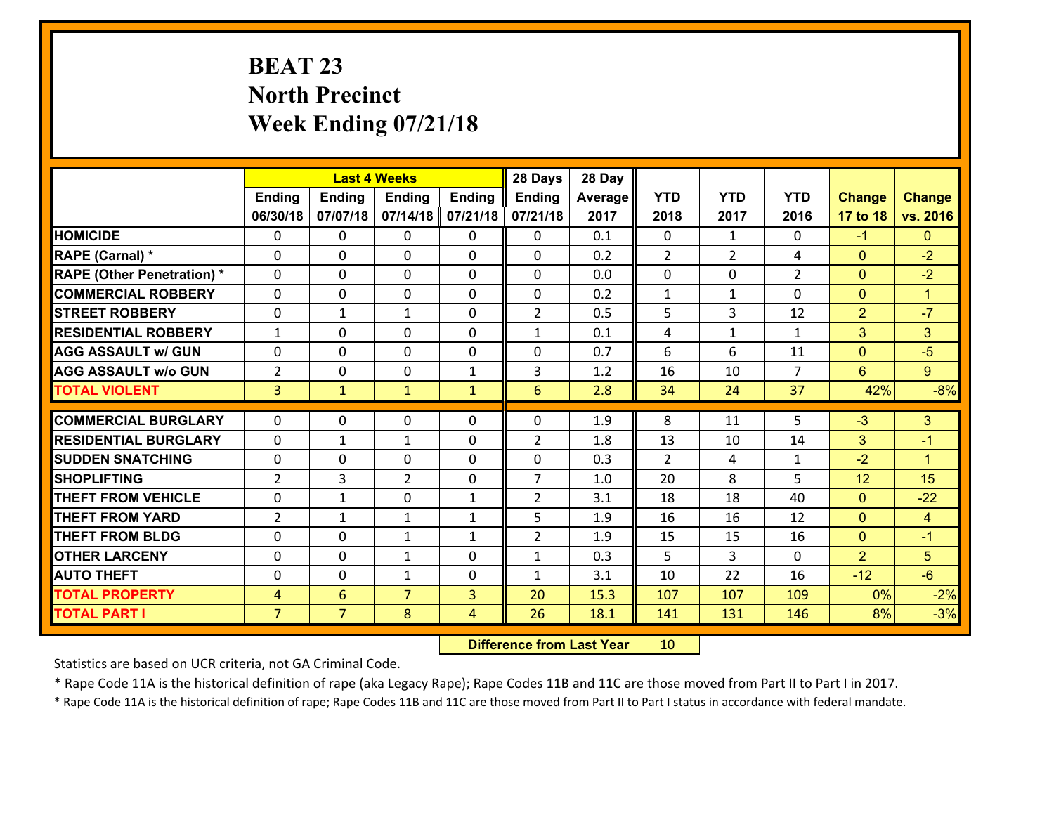# **BEAT 23 North Precinct Week Ending 07/21/18**

|                                   |                |                | <b>Last 4 Weeks</b> |               | 28 Days         | 28 Day  |              |                |                |                |                      |
|-----------------------------------|----------------|----------------|---------------------|---------------|-----------------|---------|--------------|----------------|----------------|----------------|----------------------|
|                                   | <b>Ending</b>  | <b>Ending</b>  | <b>Ending</b>       | <b>Ending</b> | <b>Ending</b>   | Average | <b>YTD</b>   | <b>YTD</b>     | <b>YTD</b>     | <b>Change</b>  | <b>Change</b>        |
|                                   | 06/30/18       | 07/07/18       | 07/14/18            | 07/21/18      | 07/21/18        | 2017    | 2018         | 2017           | 2016           | 17 to 18       | vs. 2016             |
| <b>HOMICIDE</b>                   | $\Omega$       | 0              | 0                   | 0             | 0               | 0.1     | $\Omega$     | $\mathbf{1}$   | 0              | $-1$           | $\mathbf{0}$         |
| RAPE (Carnal) *                   | 0              | 0              | $\mathbf{0}$        | 0             | 0               | 0.2     | 2            | $\overline{2}$ | 4              | $\mathbf{0}$   | $-2$                 |
| <b>RAPE (Other Penetration) *</b> | $\Omega$       | 0              | $\mathbf{0}$        | $\Omega$      | 0               | 0.0     | 0            | $\Omega$       | $\overline{2}$ | $\mathbf{0}$   | $-2$                 |
| <b>COMMERCIAL ROBBERY</b>         | 0              | 0              | $\mathbf 0$         | 0             | 0               | 0.2     | $\mathbf{1}$ | $\mathbf{1}$   | $\Omega$       | $\mathbf 0$    | $\mathbf{1}$         |
| <b>STREET ROBBERY</b>             | 0              | $\mathbf{1}$   | $\mathbf{1}$        | 0             | $\overline{2}$  | 0.5     | 5            | $\overline{3}$ | 12             | $\overline{2}$ | $-7$                 |
| <b>RESIDENTIAL ROBBERY</b>        | $\mathbf{1}$   | 0              | $\mathbf 0$         | $\Omega$      | $\mathbf{1}$    | 0.1     | 4            | $\mathbf{1}$   | $\mathbf{1}$   | 3              | 3                    |
| <b>AGG ASSAULT w/ GUN</b>         | 0              | 0              | $\mathbf 0$         | 0             | 0               | 0.7     | 6            | 6              | 11             | $\overline{0}$ | $-5$                 |
| <b>AGG ASSAULT w/o GUN</b>        | $\overline{2}$ | 0              | $\mathbf 0$         | $\mathbf{1}$  | 3               | 1.2     | 16           | 10             | $\overline{7}$ | $6^{\circ}$    | $\overline{9}$       |
| <b>TOTAL VIOLENT</b>              | $\overline{3}$ | $\mathbf{1}$   | $\mathbf{1}$        | $\mathbf{1}$  | $6\overline{6}$ | 2.8     | 34           | 24             | 37             | 42%            | $-8%$                |
| <b>COMMERCIAL BURGLARY</b>        | $\Omega$       | 0              | $\mathbf{0}$        | $\Omega$      | 0               | 1.9     | 8            | 11             | 5              | $-3$           | 3                    |
|                                   |                |                |                     |               |                 |         |              |                |                |                |                      |
| <b>RESIDENTIAL BURGLARY</b>       | 0              | 1              | $\mathbf{1}$        | 0             | $\overline{2}$  | 1.8     | 13           | 10             | 14             | 3              | $-1$                 |
| <b>SUDDEN SNATCHING</b>           | 0              | 0              | $\mathbf 0$         | 0             | 0               | 0.3     | 2            | 4              | $\mathbf{1}$   | $-2$           | $\blacktriangleleft$ |
| <b>SHOPLIFTING</b>                | $\overline{2}$ | 3              | $\overline{2}$      | 0             | $\overline{7}$  | 1.0     | 20           | 8              | 5              | 12             | 15                   |
| <b>THEFT FROM VEHICLE</b>         | 0              | $\mathbf{1}$   | $\mathbf 0$         | $\mathbf{1}$  | $\overline{2}$  | 3.1     | 18           | 18             | 40             | $\overline{0}$ | $-22$                |
| <b>THEFT FROM YARD</b>            | $\overline{2}$ | $\mathbf{1}$   | $\mathbf{1}$        | $\mathbf{1}$  | 5               | 1.9     | 16           | 16             | 12             | $\overline{0}$ | $\overline{4}$       |
| <b>THEFT FROM BLDG</b>            | 0              | 0              | 1                   | $\mathbf{1}$  | $\overline{2}$  | 1.9     | 15           | 15             | 16             | $\overline{0}$ | $-1$                 |
| <b>OTHER LARCENY</b>              | 0              | 0              | $\mathbf{1}$        | 0             | $\mathbf{1}$    | 0.3     | 5            | 3              | 0              | $\overline{2}$ | 5                    |
| <b>AUTO THEFT</b>                 | $\mathbf{0}$   | 0              | $\mathbf{1}$        | 0             | $\mathbf{1}$    | 3.1     | 10           | 22             | 16             | $-12$          | $-6$                 |
| <b>TOTAL PROPERTY</b>             | $\overline{4}$ | 6              | $\overline{7}$      | 3             | 20              | 15.3    | 107          | 107            | 109            | 0%             | $-2%$                |
| <b>TOTAL PART I</b>               | $\overline{7}$ | $\overline{7}$ | 8                   | 4             | 26              | 18.1    | 141          | 131            | 146            | 8%             | $-3%$                |

 **Difference from Last Year**r 10

Statistics are based on UCR criteria, not GA Criminal Code.

\* Rape Code 11A is the historical definition of rape (aka Legacy Rape); Rape Codes 11B and 11C are those moved from Part II to Part I in 2017.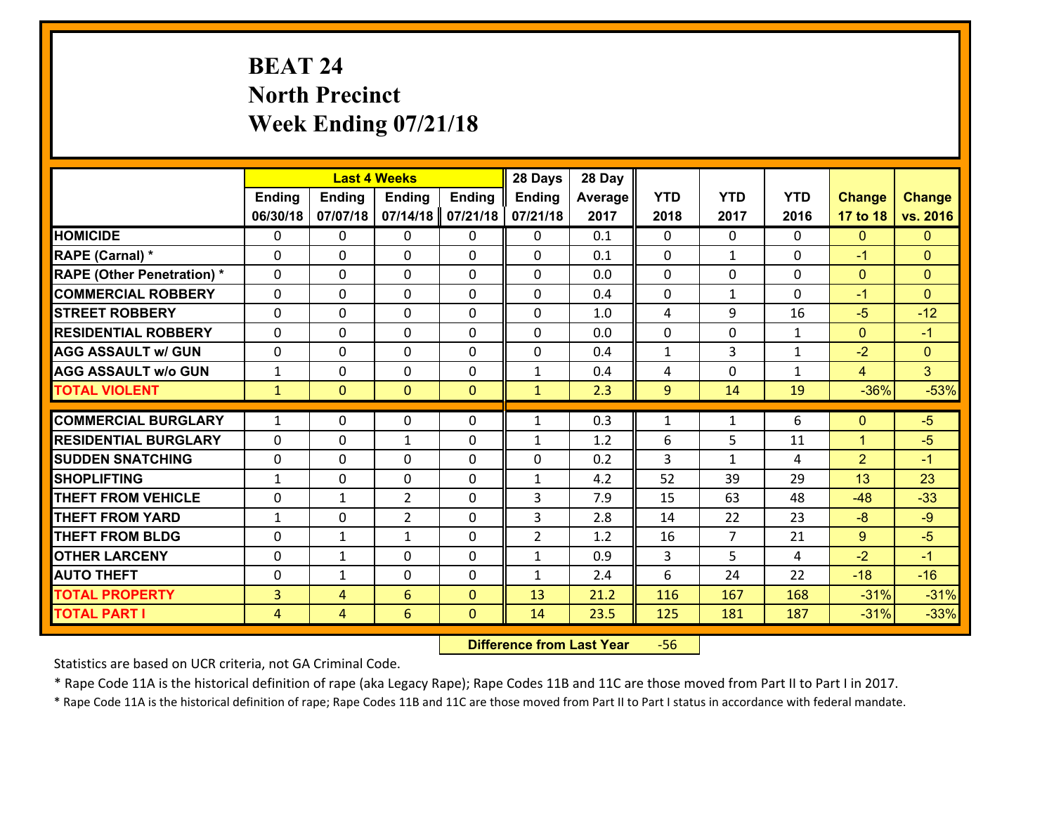# **BEAT 24 North Precinct Week Ending 07/21/18**

|                                               |                |                | <b>Last 4 Weeks</b> |               | 28 Days        | 28 Day     |              |                    |              |                      |                |
|-----------------------------------------------|----------------|----------------|---------------------|---------------|----------------|------------|--------------|--------------------|--------------|----------------------|----------------|
|                                               | <b>Ending</b>  | <b>Ending</b>  | <b>Ending</b>       | <b>Ending</b> | <b>Ending</b>  | Average    | <b>YTD</b>   | <b>YTD</b>         | <b>YTD</b>   | <b>Change</b>        | <b>Change</b>  |
|                                               | 06/30/18       | 07/07/18       | 07/14/18            | 07/21/18      | 07/21/18       | 2017       | 2018         | 2017               | 2016         | 17 to 18             | vs. 2016       |
| <b>HOMICIDE</b>                               | $\Omega$       | 0              | $\Omega$            | 0             | $\Omega$       | 0.1        | $\Omega$     | $\Omega$           | 0            | $\mathbf{0}$         | $\mathbf{0}$   |
| RAPE (Carnal) *                               | 0              | 0              | $\mathbf{0}$        | 0             | $\Omega$       | 0.1        | $\mathbf{0}$ | $\mathbf{1}$       | $\Omega$     | $-1$                 | $\mathbf{0}$   |
| <b>RAPE (Other Penetration) *</b>             | $\Omega$       | 0              | $\mathbf{0}$        | $\Omega$      | $\Omega$       | 0.0        | $\Omega$     | $\Omega$           | $\Omega$     | $\mathbf{0}$         | $\mathbf{0}$   |
| <b>COMMERCIAL ROBBERY</b>                     | 0              | 0              | 0                   | 0             | $\Omega$       | 0.4        | $\mathbf{0}$ | $\mathbf{1}$       | $\Omega$     | $-1$                 | $\mathbf{0}$   |
| <b>STREET ROBBERY</b>                         | $\Omega$       | 0              | $\mathbf 0$         | 0             | 0              | 1.0        | 4            | 9                  | 16           | $-5$                 | $-12$          |
| <b>RESIDENTIAL ROBBERY</b>                    | $\Omega$       | $\Omega$       | $\mathbf 0$         | $\Omega$      | 0              | 0.0        | $\mathbf 0$  | $\Omega$           | $\mathbf{1}$ | $\mathbf{0}$         | $-1$           |
| <b>AGG ASSAULT w/ GUN</b>                     | $\Omega$       | 0              | $\mathbf 0$         | $\Omega$      | 0              | 0.4        | $\mathbf 1$  | 3                  | $\mathbf{1}$ | $-2$                 | $\overline{0}$ |
| <b>AGG ASSAULT w/o GUN</b>                    | $\mathbf{1}$   | 0              | $\mathbf 0$         | 0             | $\mathbf{1}$   | 0.4        | 4            | $\mathbf 0$        | $\mathbf{1}$ | $\overline{4}$       | 3 <sup>1</sup> |
| <b>TOTAL VIOLENT</b>                          | $\mathbf{1}$   | $\overline{0}$ | $\mathbf{O}$        | $\mathbf{0}$  | $\mathbf{1}$   | 2.3        | 9            | 14                 | 19           | $-36%$               | $-53%$         |
| <b>COMMERCIAL BURGLARY</b>                    | $\mathbf{1}$   | 0              | $\mathbf{0}$        | $\Omega$      | $\mathbf{1}$   | 0.3        | $\mathbf{1}$ | $\mathbf{1}$       | 6            | $\mathbf{0}$         | $-5$           |
|                                               |                |                |                     |               |                |            |              |                    |              |                      |                |
| <b>RESIDENTIAL BURGLARY</b>                   | 0              | 0              | $\mathbf{1}$        | 0             | $\mathbf{1}$   | 1.2        | 6            | 5                  | 11           | $\mathbf{1}$         | $-5$           |
| <b>SUDDEN SNATCHING</b><br><b>SHOPLIFTING</b> | 0              | 0              | $\mathbf 0$         | 0             | 0              | 0.2<br>4.2 | 3<br>52      | $\mathbf{1}$<br>39 | 4<br>29      | $\overline{2}$<br>13 | $-1$<br>23     |
|                                               | $\mathbf{1}$   | 0              | $\mathbf 0$         | 0             | $\mathbf{1}$   |            |              |                    |              |                      |                |
| <b>THEFT FROM VEHICLE</b>                     | 0              | $\mathbf{1}$   | $\overline{2}$      | 0             | 3              | 7.9        | 15           | 63                 | 48           | $-48$                | $-33$          |
| <b>THEFT FROM YARD</b>                        | $\mathbf{1}$   | 0              | $\overline{2}$      | 0             | 3              | 2.8        | 14           | 22                 | 23           | $-8$                 | $-9$           |
| <b>THEFT FROM BLDG</b>                        | 0              | 1              | 1                   | 0             | $\overline{2}$ | 1.2        | 16           | $\overline{7}$     | 21           | 9                    | $-5$           |
| <b>OTHER LARCENY</b>                          | 0              | 1              | $\mathbf 0$         | 0             | $\mathbf{1}$   | 0.9        | 3            | 5                  | 4            | $-2$                 | $-1$           |
| <b>AUTO THEFT</b>                             | $\mathbf{0}$   | 1              | $\mathbf{0}$        | 0             | $\mathbf{1}$   | 2.4        | 6            | 24                 | 22           | $-18$                | $-16$          |
| <b>TOTAL PROPERTY</b>                         | $\overline{3}$ | 4              | 6                   | $\mathbf{0}$  | 13             | 21.2       | 116          | 167                | 168          | $-31%$               | $-31%$         |
| <b>TOTAL PART I</b>                           | $\overline{4}$ | $\overline{4}$ | 6                   | $\mathbf{0}$  | 14             | 23.5       | 125          | 181                | 187          | $-31%$               | $-33%$         |

 **Difference from Last Year**r -56

Statistics are based on UCR criteria, not GA Criminal Code.

\* Rape Code 11A is the historical definition of rape (aka Legacy Rape); Rape Codes 11B and 11C are those moved from Part II to Part I in 2017.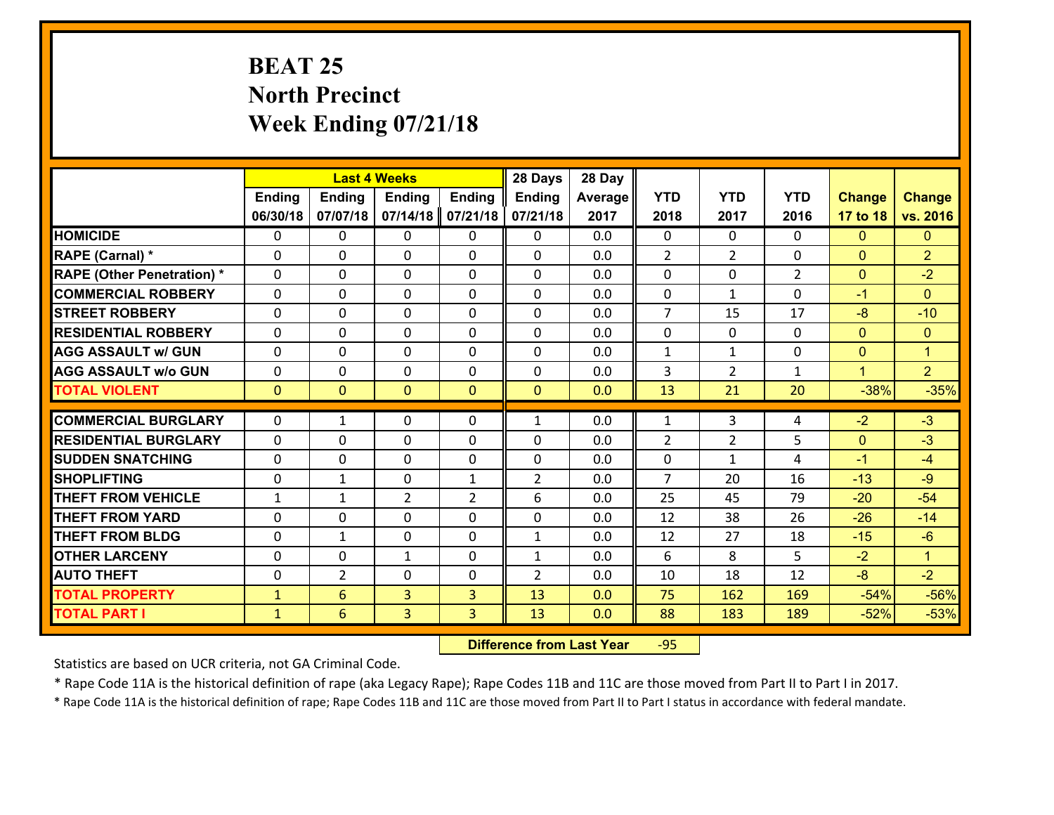# **BEAT 25 North Precinct Week Ending 07/21/18**

|                                   |               |                | <b>Last 4 Weeks</b> |                | 28 Days        | 28 Day  |                |                |                |                |                |
|-----------------------------------|---------------|----------------|---------------------|----------------|----------------|---------|----------------|----------------|----------------|----------------|----------------|
|                                   | <b>Ending</b> | <b>Ending</b>  | <b>Ending</b>       | <b>Ending</b>  | <b>Ending</b>  | Average | <b>YTD</b>     | <b>YTD</b>     | <b>YTD</b>     | <b>Change</b>  | <b>Change</b>  |
|                                   | 06/30/18      | 07/07/18       | 07/14/18            | 07/21/18       | 07/21/18       | 2017    | 2018           | 2017           | 2016           | 17 to 18       | vs. 2016       |
| <b>HOMICIDE</b>                   | $\Omega$      | 0              | $\Omega$            | 0              | $\Omega$       | 0.0     | $\Omega$       | $\Omega$       | 0              | $\Omega$       | $\mathbf{0}$   |
| RAPE (Carnal) *                   | 0             | 0              | $\mathbf{0}$        | 0              | $\Omega$       | 0.0     | 2              | $\overline{2}$ | $\Omega$       | $\mathbf{0}$   | $\overline{2}$ |
| <b>RAPE (Other Penetration) *</b> | $\Omega$      | 0              | $\mathbf{0}$        | $\Omega$       | $\Omega$       | 0.0     | $\Omega$       | $\Omega$       | $\overline{2}$ | $\mathbf{0}$   | $-2$           |
| <b>COMMERCIAL ROBBERY</b>         | 0             | 0              | 0                   | 0              | $\Omega$       | 0.0     | $\mathbf{0}$   | $\mathbf{1}$   | $\Omega$       | $-1$           | $\mathbf{0}$   |
| <b>STREET ROBBERY</b>             | $\Omega$      | 0              | $\mathbf 0$         | $\Omega$       | 0              | 0.0     | $\overline{7}$ | 15             | 17             | $-8$           | $-10$          |
| <b>RESIDENTIAL ROBBERY</b>        | $\Omega$      | $\Omega$       | $\mathbf 0$         | $\Omega$       | 0              | 0.0     | $\mathbf 0$    | $\Omega$       | $\Omega$       | $\overline{0}$ | $\overline{0}$ |
| <b>AGG ASSAULT w/ GUN</b>         | $\Omega$      | 0              | $\mathbf 0$         | $\Omega$       | 0              | 0.0     | $\mathbf 1$    | $\mathbf{1}$   | 0              | $\mathbf{0}$   | $\mathbf{1}$   |
| <b>AGG ASSAULT w/o GUN</b>        | 0             | 0              | $\mathbf 0$         | 0              | 0              | 0.0     | 3              | $\overline{2}$ | $\mathbf{1}$   | $\mathbf{1}$   | 2 <sup>1</sup> |
| <b>TOTAL VIOLENT</b>              | $\mathbf{0}$  | $\overline{0}$ | $\overline{0}$      | $\mathbf{0}$   | $\mathbf{0}$   | 0.0     | 13             | 21             | 20             | $-38%$         | $-35%$         |
| <b>COMMERCIAL BURGLARY</b>        | $\Omega$      | 1              | $\mathbf{0}$        | $\Omega$       | $\mathbf{1}$   | 0.0     | $\mathbf{1}$   | 3              | 4              | $-2$           | $-3$           |
| <b>RESIDENTIAL BURGLARY</b>       | 0             | 0              | $\mathbf 0$         | 0              | 0              | 0.0     | $\overline{2}$ | $\overline{2}$ | 5              | $\mathbf{0}$   | $-3$           |
| <b>SUDDEN SNATCHING</b>           | 0             | 0              | $\mathbf 0$         | 0              | 0              | 0.0     | $\mathbf 0$    | $\mathbf{1}$   | 4              | $-1$           | $-4$           |
| <b>SHOPLIFTING</b>                | 0             | 1              | $\mathbf 0$         | $\mathbf{1}$   | $\overline{2}$ | 0.0     | $\overline{7}$ | 20             | 16             | $-13$          | $-9$           |
| <b>THEFT FROM VEHICLE</b>         | $\mathbf{1}$  | $\mathbf{1}$   | $\overline{2}$      | $\overline{2}$ | 6              | 0.0     | 25             | 45             | 79             | $-20$          | $-54$          |
| <b>THEFT FROM YARD</b>            | 0             | 0              | $\mathbf 0$         | 0              | 0              | 0.0     | 12             | 38             | 26             | $-26$          | $-14$          |
| <b>THEFT FROM BLDG</b>            | 0             | 1              | $\mathbf 0$         | 0              | $\mathbf{1}$   | 0.0     | 12             | 27             | 18             | $-15$          | $-6$           |
| <b>OTHER LARCENY</b>              | 0             | 0              | $\mathbf{1}$        | 0              | $\mathbf{1}$   | 0.0     | 6              | 8              | 5              | $-2$           | $\mathbf{1}$   |
| <b>AUTO THEFT</b>                 | $\mathbf{0}$  | $\overline{2}$ | $\mathbf{0}$        | 0              | $\overline{2}$ | 0.0     | 10             | 18             | 12             | $-8$           | $-2$           |
| <b>TOTAL PROPERTY</b>             | $\mathbf{1}$  | 6              | $\overline{3}$      | 3              | 13             | 0.0     | 75             | 162            | 169            | $-54%$         | $-56%$         |
| <b>TOTAL PART I</b>               | $\mathbf{1}$  | 6              | 3                   | 3              | 13             | 0.0     | 88             | 183            | 189            | $-52%$         | $-53%$         |
|                                   |               |                |                     |                |                |         |                |                |                |                |                |

 **Difference from Last Year**r -95

Statistics are based on UCR criteria, not GA Criminal Code.

\* Rape Code 11A is the historical definition of rape (aka Legacy Rape); Rape Codes 11B and 11C are those moved from Part II to Part I in 2017.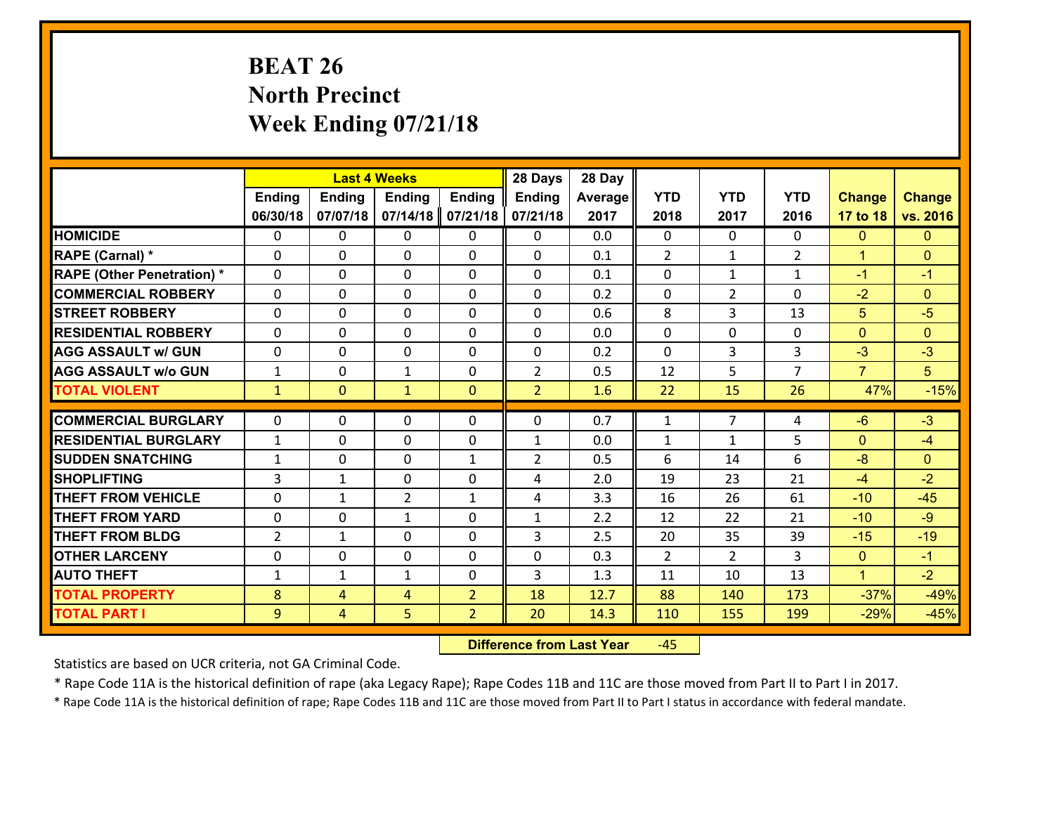# **BEAT 26 North Precinct Week Ending 07/21/18**

|                                   |                |                | <b>Last 4 Weeks</b> |                | 28 Days        | 28 Day  |                |                |                |                |                |
|-----------------------------------|----------------|----------------|---------------------|----------------|----------------|---------|----------------|----------------|----------------|----------------|----------------|
|                                   | <b>Ending</b>  | <b>Ending</b>  | <b>Ending</b>       | <b>Ending</b>  | <b>Ending</b>  | Average | <b>YTD</b>     | <b>YTD</b>     | <b>YTD</b>     | <b>Change</b>  | <b>Change</b>  |
|                                   | 06/30/18       | 07/07/18       | 07/14/18            | 07/21/18       | 07/21/18       | 2017    | 2018           | 2017           | 2016           | 17 to 18       | vs. 2016       |
| <b>HOMICIDE</b>                   | $\Omega$       | 0              | $\mathbf{0}$        | 0              | 0              | 0.0     | 0              | $\Omega$       | 0              | $\mathbf{0}$   | $\Omega$       |
| RAPE (Carnal) *                   | $\Omega$       | 0              | $\mathbf{0}$        | $\Omega$       | 0              | 0.1     | 2              | $\mathbf{1}$   | $\overline{2}$ | $\mathbf{1}$   | $\mathbf{0}$   |
| <b>RAPE (Other Penetration) *</b> | 0              | 0              | 0                   | $\Omega$       | 0              | 0.1     | $\mathbf{0}$   | $\mathbf{1}$   | $\mathbf{1}$   | $-1$           | $-1$           |
| <b>COMMERCIAL ROBBERY</b>         | 0              | 0              | $\mathbf 0$         | 0              | 0              | 0.2     | 0              | $\overline{2}$ | 0              | $-2$           | $\overline{0}$ |
| <b>STREET ROBBERY</b>             | 0              | 0              | $\mathbf 0$         | 0              | 0              | 0.6     | 8              | $\overline{3}$ | 13             | 5              | $-5$           |
| <b>RESIDENTIAL ROBBERY</b>        | 0              | 0              | $\mathbf 0$         | $\mathbf 0$    | 0              | 0.0     | 0              | 0              | 0              | $\mathbf{0}$   | $\overline{0}$ |
| <b>AGG ASSAULT w/ GUN</b>         | 0              | 0              | $\mathbf 0$         | 0              | 0              | 0.2     | 0              | 3              | 3              | $-3$           | $-3$           |
| <b>AGG ASSAULT w/o GUN</b>        | $\mathbf{1}$   | 0              | 1                   | $\mathbf{0}$   | $\overline{2}$ | 0.5     | 12             | 5              | $\overline{7}$ | $\overline{7}$ | 5 <sup>5</sup> |
| <b>TOTAL VIOLENT</b>              | $\mathbf{1}$   | $\overline{0}$ | $\mathbf{1}$        | $\mathbf{0}$   | $\overline{2}$ | 1.6     | 22             | 15             | 26             | 47%            | $-15%$         |
| <b>COMMERCIAL BURGLARY</b>        | $\Omega$       | 0              |                     | $\Omega$       | $\Omega$       | 0.7     | $\mathbf{1}$   | $\overline{7}$ | 4              | $-6$           | $-3$           |
|                                   |                |                | 0                   |                |                |         |                |                |                |                |                |
| <b>RESIDENTIAL BURGLARY</b>       | $\mathbf{1}$   | 0              | 0                   | 0              | 1              | 0.0     | 1              | $\mathbf{1}$   | 5              | $\mathbf{0}$   | $-4$           |
| <b>SUDDEN SNATCHING</b>           | $\mathbf{1}$   | 0              | $\mathbf 0$         | $\mathbf{1}$   | $\overline{2}$ | 0.5     | 6              | 14             | 6              | $-8$           | $\Omega$       |
| <b>SHOPLIFTING</b>                | $\overline{3}$ | $\mathbf{1}$   | $\mathbf 0$         | 0              | 4              | 2.0     | 19             | 23             | 21             | $-4$           | $-2$           |
| <b>THEFT FROM VEHICLE</b>         | $\mathbf{0}$   | $\mathbf{1}$   | $\overline{2}$      | $\mathbf{1}$   | 4              | 3.3     | 16             | 26             | 61             | $-10$          | $-45$          |
| <b>THEFT FROM YARD</b>            | 0              | 0              | 1                   | 0              | $\mathbf{1}$   | 2.2     | 12             | 22             | 21             | $-10$          | $-9$           |
| <b>THEFT FROM BLDG</b>            | $\overline{2}$ | $\mathbf{1}$   | $\mathbf 0$         | $\Omega$       | 3              | 2.5     | 20             | 35             | 39             | $-15$          | $-19$          |
| <b>OTHER LARCENY</b>              | $\mathbf 0$    | 0              | $\mathbf 0$         | $\Omega$       | 0              | 0.3     | $\overline{2}$ | $\overline{2}$ | $\overline{3}$ | $\overline{0}$ | $-1$           |
| <b>AUTO THEFT</b>                 | $\mathbf{1}$   | $\mathbf{1}$   | $\mathbf{1}$        | $\mathbf 0$    | 3              | 1.3     | 11             | 10             | 13             | $\mathbf{1}$   | $-2$           |
| <b>TOTAL PROPERTY</b>             | 8              | 4              | 4                   | $\overline{2}$ | 18             | 12.7    | 88             | 140            | 173            | $-37%$         | $-49%$         |
| <b>TOTAL PART I</b>               | 9              | $\overline{4}$ | 5                   | $\overline{2}$ | 20             | 14.3    | 110            | 155            | 199            | $-29%$         | $-45%$         |

 **Difference from Last Year**‐45

Statistics are based on UCR criteria, not GA Criminal Code.

\* Rape Code 11A is the historical definition of rape (aka Legacy Rape); Rape Codes 11B and 11C are those moved from Part II to Part I in 2017.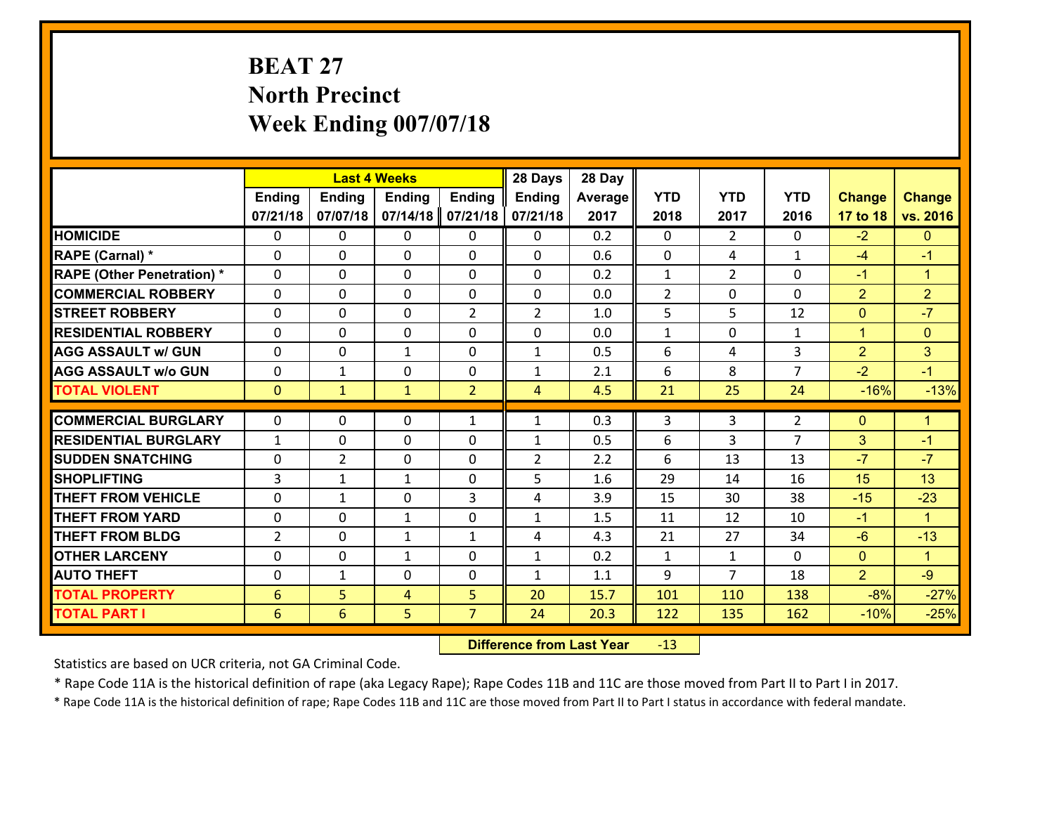# **BEAT 27 North Precinct Week Ending 007/07/18**

|                                   |                 |                | <b>Last 4 Weeks</b> |                | 28 Days        | 28 Day  |                |                |                |                |                      |
|-----------------------------------|-----------------|----------------|---------------------|----------------|----------------|---------|----------------|----------------|----------------|----------------|----------------------|
|                                   | <b>Ending</b>   | Ending         | <b>Ending</b>       | <b>Ending</b>  | Ending         | Average | <b>YTD</b>     | <b>YTD</b>     | <b>YTD</b>     | <b>Change</b>  | <b>Change</b>        |
|                                   | 07/21/18        | 07/07/18       | 07/14/18            | 07/21/18       | 07/21/18       | 2017    | 2018           | 2017           | 2016           | 17 to 18       | vs. 2016             |
| <b>HOMICIDE</b>                   | $\Omega$        | 0              | $\mathbf{0}$        | 0              | 0              | 0.2     | $\Omega$       | $\mathfrak{D}$ | $\Omega$       | $-2$           | $\mathbf{0}$         |
| RAPE (Carnal) *                   | $\Omega$        | 0              | $\mathbf{0}$        | 0              | $\Omega$       | 0.6     | $\Omega$       | 4              | $\mathbf{1}$   | $-4$           | $-1$                 |
| <b>RAPE (Other Penetration) *</b> | $\Omega$        | 0              | $\mathbf 0$         | 0              | 0              | 0.2     | $\mathbf{1}$   | $\overline{2}$ | $\Omega$       | $-1$           | $\blacktriangleleft$ |
| <b>COMMERCIAL ROBBERY</b>         | 0               | 0              | 0                   | 0              | 0              | 0.0     | $\overline{2}$ | 0              | $\Omega$       | $\overline{2}$ | $\overline{2}$       |
| <b>STREET ROBBERY</b>             | $\Omega$        | 0              | $\mathbf 0$         | $\overline{2}$ | $\overline{2}$ | 1.0     | 5              | 5              | 12             | $\overline{0}$ | $-7$                 |
| <b>RESIDENTIAL ROBBERY</b>        | 0               | 0              | $\mathbf 0$         | 0              | 0              | 0.0     | $\mathbf{1}$   | $\mathbf 0$    | $\mathbf{1}$   | $\mathbf{1}$   | $\mathbf{0}$         |
| <b>AGG ASSAULT w/ GUN</b>         | 0               | 0              | 1                   | 0              | $\mathbf{1}$   | 0.5     | 6              | 4              | 3              | $\overline{2}$ | 3                    |
| <b>AGG ASSAULT w/o GUN</b>        | 0               | 1              | $\mathbf 0$         | 0              | $\mathbf{1}$   | 2.1     | 6              | 8              | $\overline{7}$ | $-2$           | $-1$                 |
| <b>TOTAL VIOLENT</b>              | $\mathbf{0}$    | $\mathbf{1}$   | $\mathbf{1}$        | $\overline{2}$ | $\overline{4}$ | 4.5     | 21             | 25             | 24             | $-16%$         | $-13%$               |
| <b>COMMERCIAL BURGLARY</b>        | $\Omega$        | 0              | $\mathbf{0}$        |                |                | 0.3     | 3              | 3              |                | $\mathbf{0}$   | $\blacktriangleleft$ |
|                                   |                 |                |                     | $\mathbf{1}$   | $\mathbf{1}$   |         |                |                | 2              |                |                      |
| <b>RESIDENTIAL BURGLARY</b>       | $\mathbf{1}$    | 0              | $\mathbf 0$         | 0              | $\mathbf{1}$   | 0.5     | 6              | 3              | $\overline{7}$ | 3              | $-1$                 |
| <b>SUDDEN SNATCHING</b>           | $\mathbf{0}$    | $\overline{2}$ | $\mathbf{0}$        | $\Omega$       | $\overline{2}$ | 2.2     | 6              | 13             | 13             | $-7$           | $-7$                 |
| <b>SHOPLIFTING</b>                | 3               | 1              | $\mathbf{1}$        | $\Omega$       | 5              | 1.6     | 29             | 14             | 16             | 15             | 13                   |
| <b>THEFT FROM VEHICLE</b>         | 0               | 1              | $\mathbf 0$         | 3              | 4              | 3.9     | 15             | 30             | 38             | $-15$          | $-23$                |
| <b>THEFT FROM YARD</b>            | 0               | 0              | 1                   | 0              | $\mathbf{1}$   | 1.5     | 11             | 12             | 10             | $-1$           | $\blacktriangleleft$ |
| <b>THEFT FROM BLDG</b>            | $\overline{2}$  | $\Omega$       | $\mathbf{1}$        | $\mathbf{1}$   | 4              | 4.3     | 21             | 27             | 34             | $-6$           | $-13$                |
| <b>OTHER LARCENY</b>              | 0               | 0              | $\mathbf{1}$        | 0              | $\mathbf{1}$   | 0.2     | $\mathbf{1}$   | $\mathbf{1}$   | $\Omega$       | $\mathbf{0}$   | $\blacktriangleleft$ |
| <b>AUTO THEFT</b>                 | 0               | $\mathbf{1}$   | 0                   | 0              | $\mathbf{1}$   | 1.1     | 9              | $\overline{7}$ | 18             | $\overline{2}$ | $-9$                 |
| <b>TOTAL PROPERTY</b>             | $6\phantom{1}6$ | 5              | 4                   | 5              | 20             | 15.7    | 101            | 110            | 138            | $-8%$          | $-27%$               |
| <b>TOTAL PART I</b>               | 6               | 6              | 5                   | $\overline{7}$ | 24             | 20.3    | 122            | 135            | 162            | $-10%$         | $-25%$               |

 **Difference from Last Year**r -13

Statistics are based on UCR criteria, not GA Criminal Code.

\* Rape Code 11A is the historical definition of rape (aka Legacy Rape); Rape Codes 11B and 11C are those moved from Part II to Part I in 2017.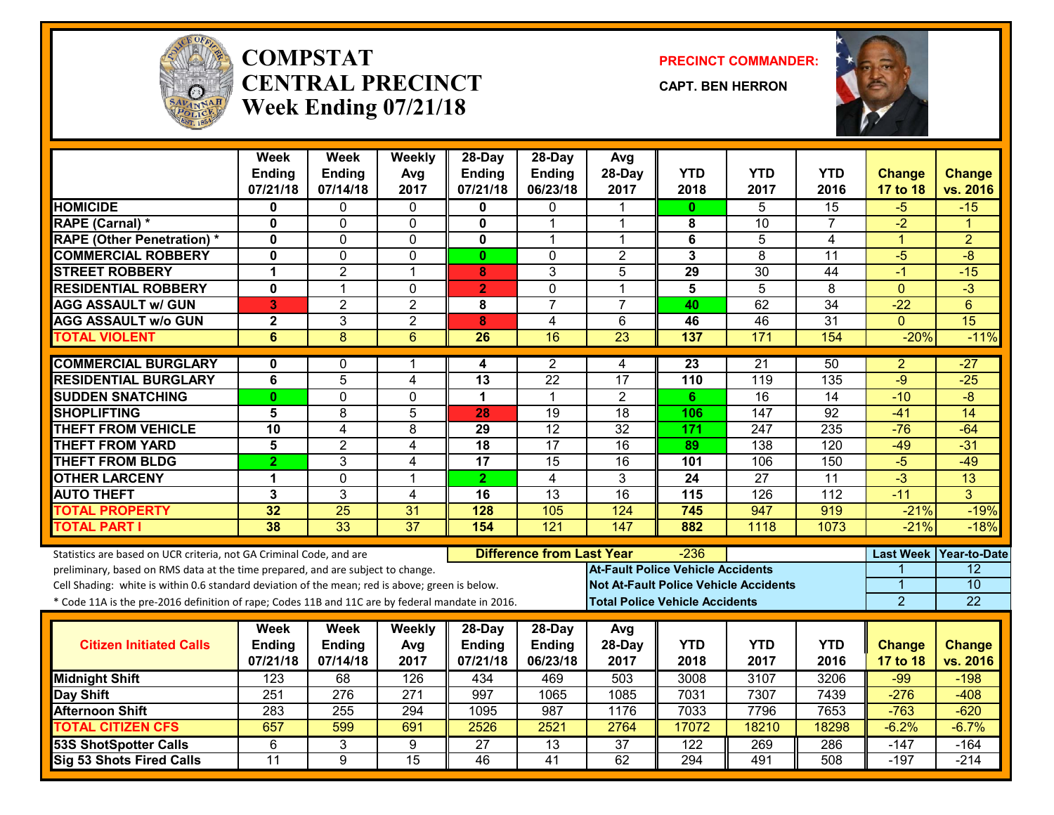

#### **COMPSTATCENTRAL PRECINCTWeek Ending 07/21/18**

**PRECINCT COMMANDER:**

**CAPT. BEN HERRON**



|                                                                                                  | Week<br><b>Ending</b><br>07/21/18 | <b>Week</b><br><b>Ending</b><br>07/14/18 | Weekly<br>Avg<br>2017 | 28-Day<br><b>Ending</b><br>07/21/18 | 28-Day<br><b>Ending</b><br>06/23/18 | Avg<br>28-Day<br>2017                    | <b>YTD</b><br>2018      | <b>YTD</b><br>2017                           | <b>YTD</b><br>2016 | <b>Change</b>    | <b>Change</b><br>vs. 2016 |
|--------------------------------------------------------------------------------------------------|-----------------------------------|------------------------------------------|-----------------------|-------------------------------------|-------------------------------------|------------------------------------------|-------------------------|----------------------------------------------|--------------------|------------------|---------------------------|
| <b>HOMICIDE</b>                                                                                  | $\bf{0}$                          | 0                                        | $\Omega$              | 0                                   | 0                                   |                                          | 0                       | 5                                            | 15                 | 17 to 18<br>$-5$ | $-15$                     |
| RAPE (Carnal) *                                                                                  | $\mathbf 0$                       | 0                                        | $\mathbf 0$           | $\mathbf{0}$                        | 1                                   | 1                                        | 8                       | 10                                           | $\overline{7}$     | $-2$             | 1                         |
| <b>RAPE (Other Penetration) *</b>                                                                | $\mathbf 0$                       | $\Omega$                                 | 0                     | 0                                   | 1                                   | 1                                        | 6                       | 5                                            | 4                  | $\mathbf{1}$     | $\overline{2}$            |
| <b>COMMERCIAL ROBBERY</b>                                                                        | $\mathbf 0$                       | 0                                        | $\Omega$              | $\mathbf{0}$                        | $\Omega$                            | $\overline{c}$                           | $\mathbf{3}$            | 8                                            | 11                 | $-5$             | $\overline{-8}$           |
| <b>STREET ROBBERY</b>                                                                            | 1                                 | $\overline{2}$                           | $\mathbf 1$           | 8                                   | 3                                   | 5                                        | 29                      | $\overline{30}$                              | 44                 | $-1$             | $-15$                     |
| <b>RESIDENTIAL ROBBERY</b>                                                                       | $\mathbf 0$                       | 1                                        | $\mathbf 0$           | $\overline{2}$                      | $\overline{0}$                      | $\mathbf 1$                              | $\overline{\mathbf{5}}$ | $\overline{5}$                               | $\overline{8}$     | $\mathbf{0}$     | $-3$                      |
| <b>AGG ASSAULT w/ GUN</b>                                                                        | 3                                 | $\overline{2}$                           | $\overline{2}$        | 8                                   | $\overline{7}$                      | $\overline{7}$                           | 40                      | 62                                           | 34                 | $-22$            | $6\phantom{1}$            |
| <b>AGG ASSAULT w/o GUN</b>                                                                       | $\overline{\mathbf{2}}$           | 3                                        | $\overline{2}$        | 8                                   | 4                                   | 6                                        | 46                      | 46                                           | $\overline{31}$    | $\Omega$         | 15                        |
| <b>TOTAL VIOLENT</b>                                                                             | 6                                 | $\overline{8}$                           | $6\phantom{1}6$       | 26                                  | 16                                  | $\overline{23}$                          | 137                     | 171                                          | 154                | $-20%$           | $-11%$                    |
|                                                                                                  |                                   |                                          |                       |                                     |                                     |                                          |                         |                                              |                    |                  |                           |
| <b>COMMERCIAL BURGLARY</b>                                                                       | $\mathbf{0}$                      | 0                                        | 1                     | 4                                   | $\overline{2}$                      | 4                                        | 23                      | $\overline{21}$                              | 50                 | $\overline{a}$   | $-27$                     |
| <b>RESIDENTIAL BURGLARY</b>                                                                      | 6                                 | 5                                        | $\overline{4}$        | $\overline{13}$                     | $\overline{22}$                     | $\overline{17}$                          | 110                     | 119                                          | 135                | $-9$             | $-25$                     |
| <b>SUDDEN SNATCHING</b>                                                                          | $\mathbf{0}$                      | 0                                        | $\Omega$              | $\mathbf 1$                         | $\mathbf{1}$                        | $\overline{2}$                           | 6                       | $\overline{16}$                              | 14                 | $-10$            | $-\frac{1}{\sqrt{2}}$     |
| <b>SHOPLIFTING</b>                                                                               | 5                                 | 8                                        | 5                     | 28                                  | 19                                  | 18                                       | 106                     | 147                                          | 92                 | $-41$            | 14                        |
| <b>THEFT FROM VEHICLE</b>                                                                        | 10                                | $\overline{4}$                           | $\overline{8}$        | $\overline{29}$                     | 12                                  | $\overline{32}$                          | 171                     | 247                                          | 235                | $-76$            | $-64$                     |
| <b>THEFT FROM YARD</b>                                                                           | $\overline{5}$                    | $\overline{2}$                           | $\overline{4}$        | $\overline{18}$                     | $\overline{17}$                     | $\overline{16}$                          | 89                      | $\overline{138}$                             | 120                | $-49$            | $-31$                     |
| <b>THEFT FROM BLDG</b>                                                                           | $\overline{2}$                    | 3                                        | $\overline{4}$        | 17                                  | 15                                  | 16                                       | 101                     | 106                                          | 150                | $-5$             | $-49$                     |
| <b>OTHER LARCENY</b>                                                                             | 1                                 | 0                                        | $\mathbf 1$           | $\overline{2}$                      | $\overline{4}$                      | 3                                        | 24                      | $\overline{27}$                              | 11                 | $\overline{3}$   | $\overline{13}$           |
| <b>AUTO THEFT</b>                                                                                | 3                                 | 3                                        | 4                     | 16                                  | $\overline{13}$                     | $\overline{16}$                          | 115                     | 126                                          | $\overline{112}$   | $-11$            | 3                         |
| <b>TOTAL PROPERTY</b>                                                                            | 32                                | $\overline{25}$                          | 31                    | 128                                 | 105                                 | 124                                      | 745                     | 947                                          | 919                | $-21%$           | $-19%$                    |
| <b>TOTAL PART I</b>                                                                              | 38                                | $\overline{33}$                          | $\overline{37}$       | 154                                 | 121                                 | $\overline{147}$                         | 882                     | 1118                                         | 1073               | $-21%$           | $-18%$                    |
| Statistics are based on UCR criteria, not GA Criminal Code, and are                              |                                   |                                          |                       |                                     | <b>Difference from Last Year</b>    |                                          | $-236$                  |                                              |                    | <b>Last Week</b> | <b>Year-to-Date</b>       |
| preliminary, based on RMS data at the time prepared, and are subject to change.                  |                                   |                                          |                       |                                     |                                     | <b>At-Fault Police Vehicle Accidents</b> |                         |                                              |                    |                  | 12                        |
| Cell Shading: white is within 0.6 standard deviation of the mean; red is above; green is below.  |                                   |                                          |                       |                                     |                                     |                                          |                         | <b>Not At-Fault Police Vehicle Accidents</b> |                    | 1                | 10                        |
| * Code 11A is the pre-2016 definition of rape; Codes 11B and 11C are by federal mandate in 2016. |                                   |                                          |                       |                                     |                                     | <b>Total Police Vehicle Accidents</b>    |                         |                                              |                    | $\overline{2}$   | 22                        |
|                                                                                                  | <b>Week</b>                       | <b>Week</b>                              | Weekly                | 28-Day                              | 28-Day                              | Avg                                      |                         |                                              |                    |                  |                           |
| <b>Citizen Initiated Calls</b>                                                                   | <b>Ending</b>                     | Ending                                   | Avg                   | <b>Ending</b>                       | <b>Ending</b>                       | 28-Day                                   | <b>YTD</b>              | <b>YTD</b>                                   | <b>YTD</b>         | <b>Change</b>    | <b>Change</b>             |
|                                                                                                  | 07/21/18                          | 07/14/18                                 | 2017                  | 07/21/18                            | 06/23/18                            | 2017                                     | 2018                    | 2017                                         | 2016               | 17 to 18         | vs. 2016                  |
| <b>Midnight Shift</b>                                                                            | $\overline{123}$                  | 68                                       | 126                   | 434                                 | 469                                 | 503                                      | 3008                    | 3107                                         | 3206               | $-99$            | $-198$                    |
| Day Shift                                                                                        | 251                               | $\overline{276}$                         | $\overline{271}$      | 997                                 | 1065                                | 1085                                     | 7031                    | 7307                                         | 7439               | $-276$           | $-408$                    |
| <b>Afternoon Shift</b>                                                                           | 283                               | 255                                      | 294                   | 1095                                | 987                                 | 1176                                     | 7033                    | 7796                                         | 7653               | $-763$           | $-620$                    |
| <b>TOTAL CITIZEN CFS</b>                                                                         | 657                               | 599                                      | 691                   | 2526                                | 2521                                | 2764                                     | 17072                   | 18210                                        | 18298              | $-6.2%$          | $-6.7%$                   |
| <b>53S ShotSpotter Calls</b>                                                                     | 6                                 | 3                                        | 9                     | $\overline{27}$                     | $\overline{13}$                     | $\overline{37}$                          | 122                     | 269                                          | 286                | $-147$           | $-164$                    |
| Sig 53 Shots Fired Calls                                                                         | $\overline{11}$                   | 9                                        | $\overline{15}$       | 46                                  | 41                                  | 62                                       | 294                     | 491                                          | 508                | $-197$           | $-214$                    |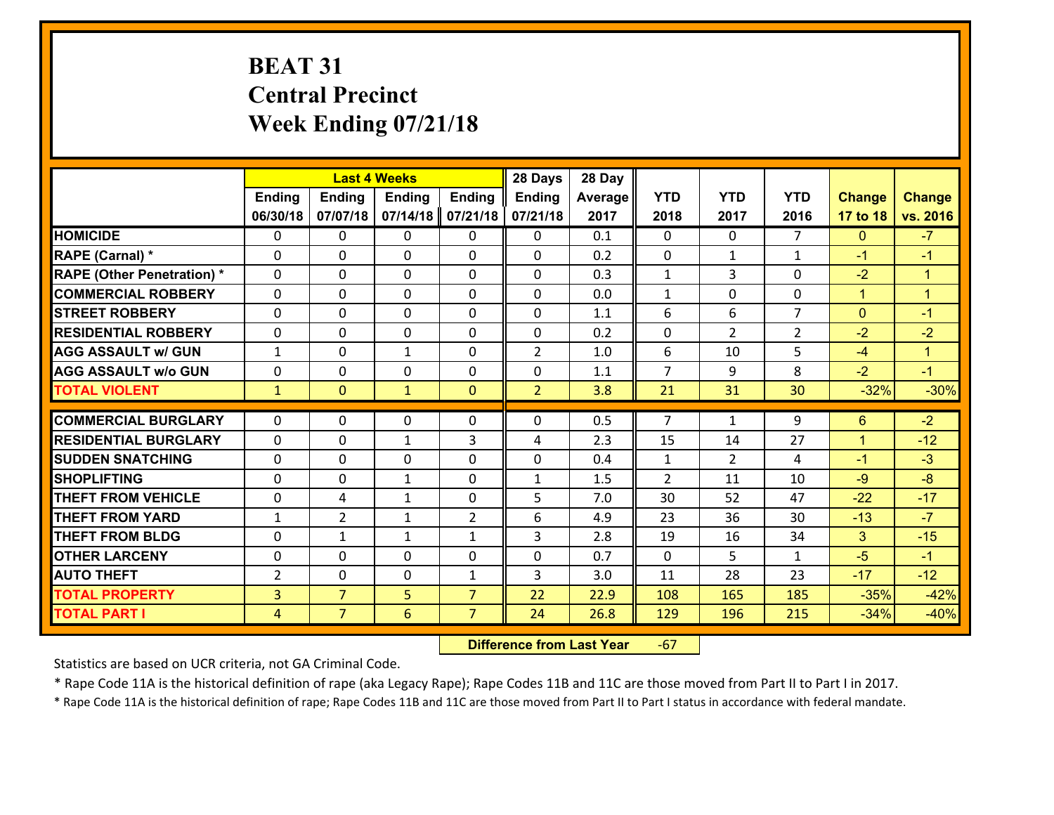# **BEAT 31 Central Precinct Week Ending 07/21/18**

|                                   |                | 28 Days<br><b>Last 4 Weeks</b><br><b>Ending</b><br><b>Ending</b><br><b>Ending</b><br><b>Ending</b> |              |                |                | 28 Day  |                |                |                |               |               |
|-----------------------------------|----------------|----------------------------------------------------------------------------------------------------|--------------|----------------|----------------|---------|----------------|----------------|----------------|---------------|---------------|
|                                   |                |                                                                                                    |              |                | Ending         | Average | <b>YTD</b>     | <b>YTD</b>     | <b>YTD</b>     | <b>Change</b> | <b>Change</b> |
|                                   | 06/30/18       | 07/07/18                                                                                           | 07/14/18     | 07/21/18       | 07/21/18       | 2017    | 2018           | 2017           | 2016           | 17 to 18      | vs. 2016      |
| <b>HOMICIDE</b>                   | $\Omega$       | 0                                                                                                  | $\mathbf{0}$ | 0              | 0              | 0.1     | $\Omega$       | $\Omega$       | $\overline{7}$ | $\Omega$      | $-7$          |
| RAPE (Carnal) *                   | $\Omega$       | 0                                                                                                  | $\mathbf{0}$ | $\Omega$       | 0              | 0.2     | 0              | $\mathbf{1}$   | $\mathbf{1}$   | $-1$          | $-1$          |
| <b>RAPE (Other Penetration) *</b> | $\Omega$       | 0                                                                                                  | $\mathbf 0$  | 0              | 0              | 0.3     | $\mathbf{1}$   | 3              | $\Omega$       | $-2$          | $\mathbf{1}$  |
| <b>COMMERCIAL ROBBERY</b>         | 0              | 0                                                                                                  | $\mathbf 0$  | 0              | 0              | 0.0     | $\mathbf{1}$   | $\mathbf 0$    | 0              | $\mathbf{1}$  | $\mathbf{1}$  |
| <b>STREET ROBBERY</b>             | $\Omega$       | 0                                                                                                  | $\mathbf 0$  | 0              | 0              | 1.1     | 6              | 6              | $\overline{7}$ | $\mathbf{0}$  | $-1$          |
| <b>RESIDENTIAL ROBBERY</b>        | 0              | 0                                                                                                  | $\mathbf 0$  | 0              | 0              | 0.2     | $\mathbf 0$    | $\overline{2}$ | $\overline{2}$ | $-2$          | $-2$          |
| <b>AGG ASSAULT w/ GUN</b>         | $\mathbf{1}$   | 0                                                                                                  | $\mathbf{1}$ | 0              | $\overline{2}$ | 1.0     | 6              | 10             | 5              | $-4$          | $\mathbf{1}$  |
| <b>AGG ASSAULT w/o GUN</b>        | 0              | 0                                                                                                  | 0            | 0              | 0              | 1.1     | $\overline{7}$ | 9              | 8              | $-2$          | $-1$          |
| <b>TOTAL VIOLENT</b>              | $\mathbf{1}$   | $\overline{0}$                                                                                     | $\mathbf{1}$ | $\mathbf{0}$   | $\overline{2}$ | 3.8     | 21             | 31             | 30             | $-32%$        | $-30%$        |
|                                   |                |                                                                                                    |              |                |                |         |                |                |                |               |               |
| <b>COMMERCIAL BURGLARY</b>        | $\Omega$       | 0                                                                                                  | 0            | 0              | 0              | 0.5     | $\overline{7}$ | $\mathbf{1}$   | 9              | 6             | $-2$          |
| <b>RESIDENTIAL BURGLARY</b>       | $\Omega$       | 0                                                                                                  | $\mathbf{1}$ | 3              | 4              | 2.3     | 15             | 14             | 27             | $\mathbf{1}$  | $-12$         |
| <b>SUDDEN SNATCHING</b>           | $\Omega$       | 0                                                                                                  | $\mathbf 0$  | $\Omega$       | 0              | 0.4     | $\mathbf{1}$   | $\overline{2}$ | 4              | $-1$          | $-3$          |
| <b>SHOPLIFTING</b>                | 0              | 0                                                                                                  | $\mathbf{1}$ | 0              | $\mathbf{1}$   | 1.5     | 2              | 11             | 10             | $-9$          | $-8$          |
| <b>THEFT FROM VEHICLE</b>         | 0              | 4                                                                                                  | 1            | 0              | 5              | 7.0     | 30             | 52             | 47             | $-22$         | $-17$         |
| <b>THEFT FROM YARD</b>            | $\mathbf{1}$   | $\overline{2}$                                                                                     | 1            | $\overline{2}$ | 6              | 4.9     | 23             | 36             | 30             | $-13$         | $-7$          |
| <b>THEFT FROM BLDG</b>            | 0              | 1                                                                                                  | $\mathbf{1}$ | $\mathbf{1}$   | 3              | 2.8     | 19             | 16             | 34             | $\mathbf{3}$  | $-15$         |
| <b>OTHER LARCENY</b>              | $\mathbf 0$    | 0                                                                                                  | $\mathbf 0$  | $\Omega$       | 0              | 0.7     | $\Omega$       | 5              | $\mathbf{1}$   | $-5$          | $-1$          |
| <b>AUTO THEFT</b>                 | $\overline{2}$ | 0                                                                                                  | $\mathbf 0$  | $\mathbf{1}$   | 3              | 3.0     | 11             | 28             | 23             | $-17$         | $-12$         |
| <b>TOTAL PROPERTY</b>             | $\overline{3}$ | $\overline{7}$                                                                                     | 5            | $\overline{7}$ | 22             | 22.9    | 108            | 165            | 185            | $-35%$        | $-42%$        |
| <b>TOTAL PART I</b>               | $\overline{4}$ | $\overline{7}$                                                                                     | 6            | $\overline{7}$ | 24             | 26.8    | 129            | 196            | 215            | $-34%$        | $-40%$        |

 **Difference from Last Year**‐67

Statistics are based on UCR criteria, not GA Criminal Code.

\* Rape Code 11A is the historical definition of rape (aka Legacy Rape); Rape Codes 11B and 11C are those moved from Part II to Part I in 2017.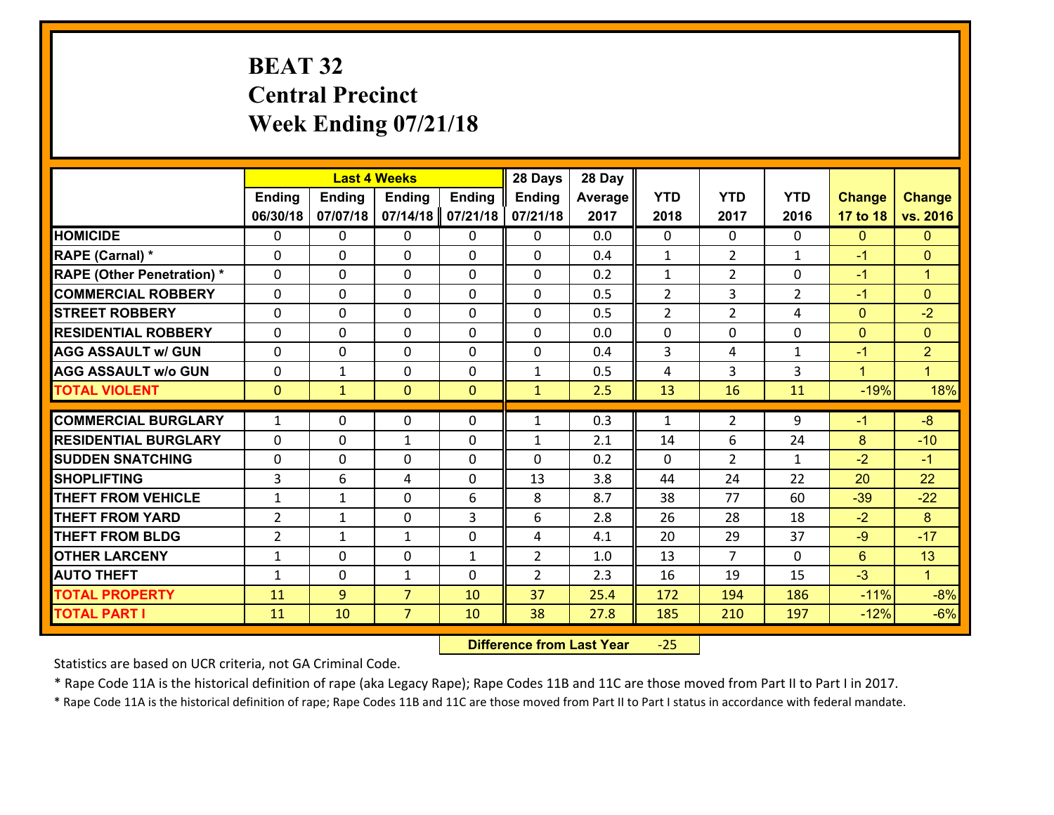# **BEAT 32 Central Precinct Week Ending 07/21/18**

|                                   |                |               | <b>Last 4 Weeks</b> |               | 28 Days        | 28 Day  |                |                |                    |               |                      |
|-----------------------------------|----------------|---------------|---------------------|---------------|----------------|---------|----------------|----------------|--------------------|---------------|----------------------|
|                                   | <b>Ending</b>  | <b>Ending</b> | <b>Ending</b>       | <b>Ending</b> | Ending         | Average | <b>YTD</b>     | <b>YTD</b>     | <b>YTD</b>         | <b>Change</b> | <b>Change</b>        |
|                                   | 06/30/18       | 07/07/18      | 07/14/18            | 07/21/18      | 07/21/18       | 2017    | 2018           | 2017           | 2016               | 17 to 18      | vs. 2016             |
| <b>HOMICIDE</b>                   | $\Omega$       | 0             | $\mathbf{0}$        | 0             | 0              | 0.0     | $\Omega$       | $\Omega$       | $\Omega$           | $\mathbf{0}$  | $\mathbf{0}$         |
| RAPE (Carnal) *                   | $\Omega$       | 0             | $\Omega$            | 0             | $\Omega$       | 0.4     | 1              | $\overline{2}$ | $\mathbf{1}$       | $-1$          | $\mathbf{0}$         |
| <b>RAPE (Other Penetration) *</b> | 0              | 0             | $\mathbf 0$         | 0             | 0              | 0.2     | $\mathbf{1}$   | $\overline{2}$ | 0                  | $-1$          | $\blacktriangleleft$ |
| <b>COMMERCIAL ROBBERY</b>         | 0              | 0             | 0                   | 0             | 0              | 0.5     | $\overline{2}$ | 3              | $\overline{2}$     | $-1$          | $\mathbf{0}$         |
| <b>STREET ROBBERY</b>             | $\Omega$       | 0             | $\mathbf 0$         | $\Omega$      | 0              | 0.5     | $\overline{2}$ | $\overline{2}$ | 4                  | $\mathbf{0}$  | $-2$                 |
| <b>RESIDENTIAL ROBBERY</b>        | 0              | 0             | $\mathbf 0$         | 0             | 0              | 0.0     | 0              | $\mathbf 0$    | 0                  | $\mathbf{0}$  | $\mathbf{0}$         |
| <b>AGG ASSAULT w/ GUN</b>         | 0              | 0             | $\mathbf 0$         | 0             | 0              | 0.4     | 3              | 4              | $\mathbf{1}$       | $-1$          | $\overline{2}$       |
| <b>AGG ASSAULT w/o GUN</b>        | 0              | 1             | $\mathbf 0$         | 0             | $\mathbf{1}$   | 0.5     | 4              | $\overline{3}$ | 3                  | $\mathbf{1}$  | $\blacktriangleleft$ |
| <b>TOTAL VIOLENT</b>              | $\mathbf{0}$   | $\mathbf{1}$  | $\mathbf{0}$        | $\mathbf{0}$  | $\mathbf{1}$   | 2.5     | 13             | 16             | 11                 | $-19%$        | 18%                  |
| <b>COMMERCIAL BURGLARY</b>        | $\mathbf{1}$   | 0             | $\mathbf{0}$        | 0             | $\mathbf{1}$   | 0.3     | $\mathbf{1}$   | $\overline{2}$ | 9                  | $-1$          | $-8$                 |
| <b>RESIDENTIAL BURGLARY</b>       |                |               |                     |               |                |         |                |                |                    |               |                      |
|                                   | 0              | 0             | $\mathbf{1}$        | 0             | $\mathbf{1}$   | 2.1     | 14             | 6              | 24                 | 8             | $-10$                |
| <b>SUDDEN SNATCHING</b>           | 0              | 0<br>6        | $\mathbf{0}$        | $\Omega$      | 0<br>13        | 0.2     | $\Omega$       | $\overline{2}$ | $\mathbf{1}$<br>22 | $-2$          | $-1$<br>22           |
| <b>SHOPLIFTING</b>                | 3              |               | 4                   | $\Omega$      |                | 3.8     | 44             | 24             |                    | 20            |                      |
| <b>THEFT FROM VEHICLE</b>         | $\mathbf{1}$   | 1             | $\mathbf 0$         | 6             | 8              | 8.7     | 38             | 77             | 60                 | $-39$         | $-22$                |
| <b>THEFT FROM YARD</b>            | $\overline{2}$ | 1             | 0                   | 3             | 6              | 2.8     | 26             | 28             | 18                 | $-2$          | 8                    |
| <b>THEFT FROM BLDG</b>            | $\overline{2}$ | 1             | $\mathbf{1}$        | 0             | 4              | 4.1     | 20             | 29             | 37                 | $-9$          | $-17$                |
| <b>OTHER LARCENY</b>              | $\mathbf{1}$   | 0             | $\mathbf 0$         | $\mathbf{1}$  | $\overline{2}$ | 1.0     | 13             | $\overline{7}$ | $\Omega$           | $6^{\circ}$   | 13                   |
| <b>AUTO THEFT</b>                 | $\mathbf{1}$   | 0             | 1                   | 0             | $\overline{2}$ | 2.3     | 16             | 19             | 15                 | $-3$          | $\mathbf{1}$         |
| <b>TOTAL PROPERTY</b>             | 11             | 9             | $\overline{7}$      | 10            | 37             | 25.4    | 172            | 194            | 186                | $-11%$        | $-8%$                |
| <b>TOTAL PART I</b>               | 11             | 10            | $\overline{7}$      | 10            | 38             | 27.8    | 185            | 210            | 197                | $-12%$        | $-6%$                |

 **Difference from Last Year**‐25

Statistics are based on UCR criteria, not GA Criminal Code.

\* Rape Code 11A is the historical definition of rape (aka Legacy Rape); Rape Codes 11B and 11C are those moved from Part II to Part I in 2017.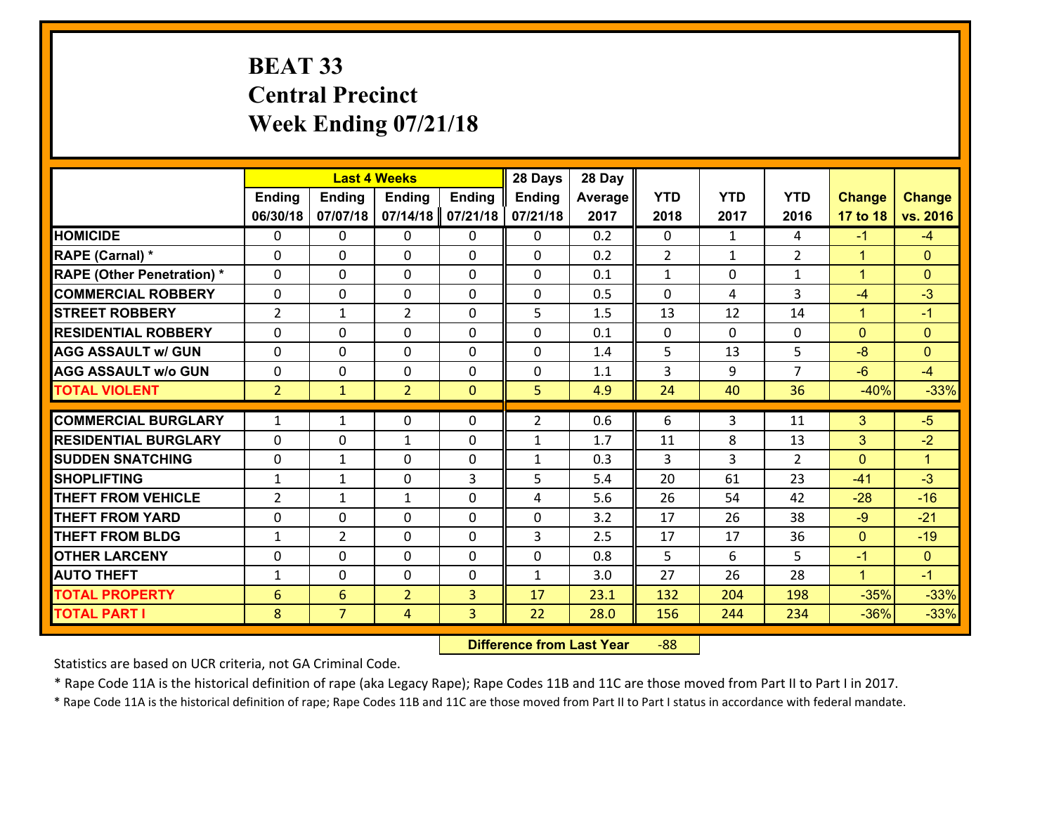## **BEAT 33 Central Precinct Week Ending 07/21/18**

|                                   |                 |                | <b>Last 4 Weeks</b> |               | 28 Days        | 28 Day  |                |              |                |                |                      |
|-----------------------------------|-----------------|----------------|---------------------|---------------|----------------|---------|----------------|--------------|----------------|----------------|----------------------|
|                                   | <b>Ending</b>   | <b>Ending</b>  | <b>Ending</b>       | <b>Ending</b> | <b>Ending</b>  | Average | <b>YTD</b>     | <b>YTD</b>   | <b>YTD</b>     | <b>Change</b>  | <b>Change</b>        |
|                                   | 06/30/18        | 07/07/18       | 07/14/18            | 07/21/18      | 07/21/18       | 2017    | 2018           | 2017         | 2016           | 17 to 18       | vs. 2016             |
| <b>HOMICIDE</b>                   | $\Omega$        | 0              | $\Omega$            | 0             | $\Omega$       | 0.2     | $\Omega$       | $\mathbf{1}$ | 4              | $-1$           | $-4$                 |
| RAPE (Carnal) *                   | 0               | 0              | $\mathbf{0}$        | 0             | $\Omega$       | 0.2     | 2              | $\mathbf{1}$ | $\overline{2}$ | $\mathbf{1}$   | $\mathbf{0}$         |
| <b>RAPE (Other Penetration) *</b> | $\Omega$        | 0              | $\mathbf{0}$        | $\Omega$      | $\Omega$       | 0.1     | $\mathbf{1}$   | $\Omega$     | $\mathbf{1}$   | $\mathbf{1}$   | $\mathbf{0}$         |
| <b>COMMERCIAL ROBBERY</b>         | 0               | 0              | 0                   | 0             | $\Omega$       | 0.5     | $\mathbf{0}$   | 4            | 3              | $-4$           | $-3$                 |
| <b>STREET ROBBERY</b>             | $\overline{2}$  | $\mathbf{1}$   | $\overline{2}$      | 0             | 5              | 1.5     | 13             | 12           | 14             | $\mathbf{1}$   | $-1$                 |
| <b>RESIDENTIAL ROBBERY</b>        | $\Omega$        | $\Omega$       | $\mathbf 0$         | $\Omega$      | 0              | 0.1     | $\mathbf 0$    | $\Omega$     | 0              | $\Omega$       | $\mathbf{0}$         |
| <b>AGG ASSAULT w/ GUN</b>         | $\Omega$        | 0              | $\mathbf 0$         | $\Omega$      | 0              | 1.4     | 5 <sup>5</sup> | 13           | 5              | $-8$           | $\mathbf{0}$         |
| <b>AGG ASSAULT w/o GUN</b>        | 0               | 0              | $\mathbf 0$         | 0             | 0              | 1.1     | 3              | 9            | $\overline{7}$ | $-6$           | $-4$                 |
| <b>TOTAL VIOLENT</b>              | 2 <sup>1</sup>  | $\mathbf{1}$   | $\overline{2}$      | $\mathbf{0}$  | 5              | 4.9     | 24             | 40           | 36             | $-40%$         | $-33%$               |
| <b>COMMERCIAL BURGLARY</b>        | $\mathbf{1}$    | 1              | $\mathbf{0}$        | $\Omega$      | $\overline{2}$ | 0.6     | 6              | 3            | 11             | 3              | $-5$                 |
|                                   |                 |                |                     |               |                |         |                |              |                |                |                      |
| <b>RESIDENTIAL BURGLARY</b>       | $\Omega$        | 0              | $\mathbf{1}$        | 0             | $\mathbf{1}$   | 1.7     | 11             | 8            | 13             | 3              | $-2$                 |
| <b>SUDDEN SNATCHING</b>           | 0               | 1              | $\mathbf 0$         | 0             | $\mathbf{1}$   | 0.3     | 3              | 3            | $\overline{2}$ | $\mathbf{0}$   | $\blacktriangleleft$ |
| <b>SHOPLIFTING</b>                | $\mathbf{1}$    | 1              | $\mathbf 0$         | 3             | 5              | 5.4     | 20             | 61           | 23             | $-41$          | $-3$                 |
| <b>THEFT FROM VEHICLE</b>         | $\overline{2}$  | $\mathbf{1}$   | 1                   | 0             | 4              | 5.6     | 26             | 54           | 42             | $-28$          | $-16$                |
| <b>THEFT FROM YARD</b>            | $\mathbf 0$     | 0              | $\mathbf 0$         | 0             | 0              | 3.2     | 17             | 26           | 38             | $-9$           | $-21$                |
| <b>THEFT FROM BLDG</b>            | $\mathbf{1}$    | $\overline{2}$ | $\mathbf 0$         | 0             | 3              | 2.5     | 17             | 17           | 36             | $\overline{0}$ | $-19$                |
| <b>OTHER LARCENY</b>              | 0               | 0              | $\mathbf 0$         | 0             | 0              | 0.8     | 5              | 6            | 5              | $-1$           | $\overline{0}$       |
| <b>AUTO THEFT</b>                 | $\mathbf{1}$    | 0              | $\mathbf{0}$        | 0             | $\mathbf{1}$   | 3.0     | 27             | 26           | 28             | $\mathbf{1}$   | $-1$                 |
| <b>TOTAL PROPERTY</b>             | $6\phantom{1}6$ | 6              | $\overline{2}$      | 3             | 17             | 23.1    | 132            | 204          | 198            | $-35%$         | $-33%$               |
| <b>TOTAL PART I</b>               | 8               | $\overline{7}$ | 4                   | 3             | 22             | 28.0    | 156            | 244          | 234            | $-36%$         | $-33%$               |

 **Difference from Last Year**r -88

Statistics are based on UCR criteria, not GA Criminal Code.

\* Rape Code 11A is the historical definition of rape (aka Legacy Rape); Rape Codes 11B and 11C are those moved from Part II to Part I in 2017.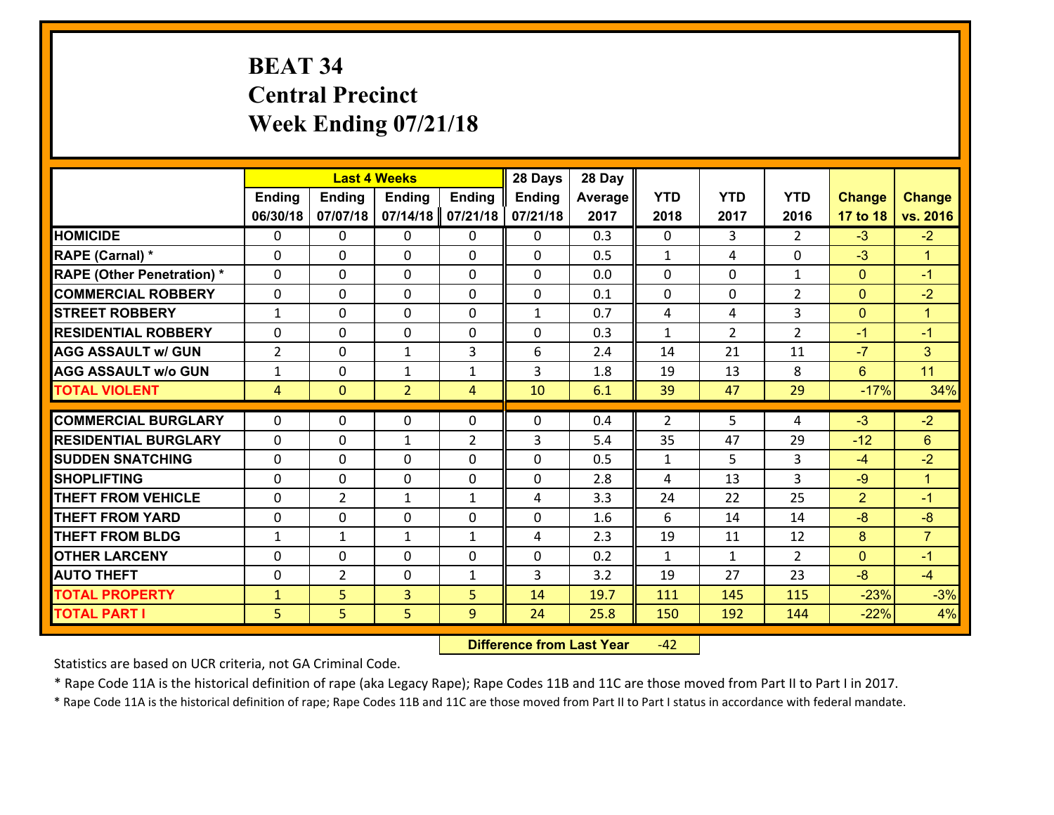# **BEAT 34 Central Precinct Week Ending 07/21/18**

|                                   |                |                | <b>Last 4 Weeks</b> |                | 28 Days       | 28 Day  |              |                |                |                |                |
|-----------------------------------|----------------|----------------|---------------------|----------------|---------------|---------|--------------|----------------|----------------|----------------|----------------|
|                                   | Ending         | <b>Ending</b>  | <b>Ending</b>       | <b>Ending</b>  | <b>Ending</b> | Average | <b>YTD</b>   | <b>YTD</b>     | <b>YTD</b>     | <b>Change</b>  | <b>Change</b>  |
|                                   | 06/30/18       | 07/07/18       | 07/14/18            | 07/21/18       | 07/21/18      | 2017    | 2018         | 2017           | 2016           | 17 to 18       | vs. 2016       |
| <b>HOMICIDE</b>                   | $\Omega$       | 0              | 0                   | 0              | $\Omega$      | 0.3     | 0            | 3              | $\mathfrak{D}$ | $-3$           | $-2$           |
| RAPE (Carnal) *                   | $\mathbf{0}$   | 0              | $\mathbf{0}$        | 0              | 0             | 0.5     | $\mathbf{1}$ | 4              | 0              | $-3$           | $\mathbf{1}$   |
| <b>RAPE (Other Penetration) *</b> | $\Omega$       | 0              | $\mathbf{0}$        | $\Omega$       | $\Omega$      | 0.0     | $\Omega$     | 0              | $\mathbf{1}$   | $\mathbf{0}$   | $-1$           |
| <b>COMMERCIAL ROBBERY</b>         | 0              | 0              | 0                   | 0              | 0             | 0.1     | $\mathbf{0}$ | 0              | $\overline{2}$ | $\mathbf{0}$   | $-2$           |
| <b>STREET ROBBERY</b>             | $\mathbf{1}$   | 0              | $\mathbf 0$         | 0              | $\mathbf{1}$  | 0.7     | 4            | 4              | 3              | $\mathbf{0}$   | $\mathbf{1}$   |
| <b>RESIDENTIAL ROBBERY</b>        | $\Omega$       | $\Omega$       | $\mathbf 0$         | $\Omega$       | 0             | 0.3     | $\mathbf{1}$ | $\overline{2}$ | $\overline{2}$ | $-1$           | $-1$           |
| <b>AGG ASSAULT w/ GUN</b>         | $\overline{2}$ | 0              | $\mathbf{1}$        | 3              | 6             | 2.4     | 14           | 21             | 11             | $-7$           | 3 <sup>1</sup> |
| <b>AGG ASSAULT w/o GUN</b>        | $\mathbf{1}$   | 0              | 1                   | $\mathbf{1}$   | 3             | 1.8     | 19           | 13             | 8              | 6              | 11             |
| <b>TOTAL VIOLENT</b>              | 4              | $\mathbf{0}$   | $\overline{2}$      | $\overline{4}$ | 10            | 6.1     | 39           | 47             | 29             | $-17%$         | 34%            |
| <b>COMMERCIAL BURGLARY</b>        | $\Omega$       | 0              | $\mathbf{0}$        | $\Omega$       | $\Omega$      | 0.4     | 2            | 5              | 4              | $-3$           | $-2$           |
| <b>RESIDENTIAL BURGLARY</b>       | 0              | 0              | $\mathbf{1}$        | $\overline{2}$ | 3             | 5.4     | 35           | 47             | 29             | $-12$          | 6              |
| <b>SUDDEN SNATCHING</b>           | 0              | 0              | $\mathbf 0$         | 0              | 0             | 0.5     | $\mathbf{1}$ | 5              | 3              | $-4$           | $-2$           |
| <b>SHOPLIFTING</b>                | 0              | 0              | $\mathbf 0$         | 0              | 0             | 2.8     | 4            | 13             | $\overline{3}$ | $-9$           | $\mathbf{1}$   |
| <b>THEFT FROM VEHICLE</b>         | 0              | $\overline{2}$ | $\mathbf{1}$        | $\mathbf{1}$   | 4             | 3.3     | 24           | 22             | 25             | $\overline{2}$ | $-1$           |
| <b>THEFT FROM YARD</b>            | 0              | 0              | $\mathbf 0$         | 0              | 0             | 1.6     | 6            | 14             | 14             | $-8$           | $-8$           |
| <b>THEFT FROM BLDG</b>            | $\mathbf{1}$   | $\mathbf{1}$   | 1                   | $\mathbf{1}$   | 4             | 2.3     | 19           | 11             | 12             | 8              | $\overline{7}$ |
| <b>OTHER LARCENY</b>              | 0              | 0              | $\mathbf 0$         | 0              | 0             | 0.2     | $\mathbf{1}$ | $\mathbf{1}$   | $\overline{2}$ | $\mathbf{0}$   | $-1$           |
| <b>AUTO THEFT</b>                 | $\mathbf{0}$   | $\overline{2}$ | $\mathbf{0}$        | $\mathbf{1}$   | 3             | 3.2     | 19           | 27             | 23             | $-8$           | $-4$           |
| <b>TOTAL PROPERTY</b>             | $\mathbf{1}$   | 5              | $\overline{3}$      | 5              | 14            | 19.7    | 111          | 145            | 115            | $-23%$         | $-3%$          |
| <b>TOTAL PART I</b>               | 5              | 5              | 5                   | 9              | 24            | 25.8    | 150          | 192            | 144            | $-22%$         | 4%             |

 **Difference from Last Year**r -42

Statistics are based on UCR criteria, not GA Criminal Code.

\* Rape Code 11A is the historical definition of rape (aka Legacy Rape); Rape Codes 11B and 11C are those moved from Part II to Part I in 2017.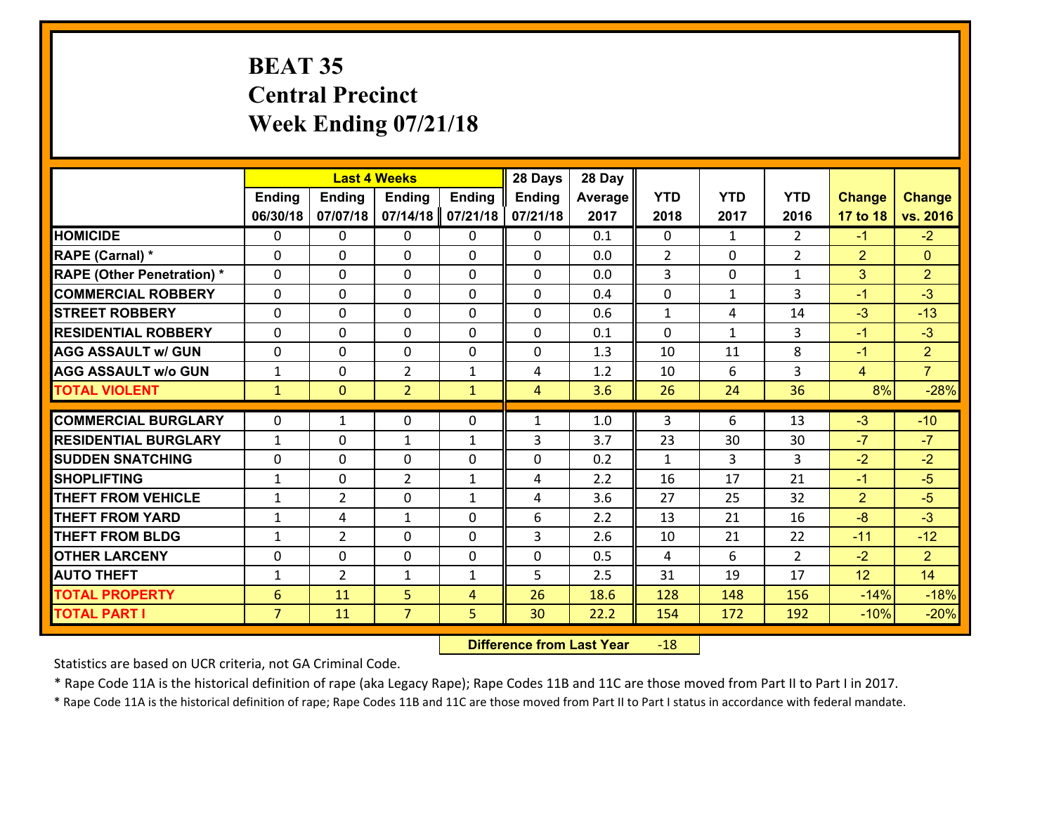## **BEAT 35 Central Precinct Week Ending 07/21/18**

|                                   |                 |                | <b>Last 4 Weeks</b> |               | 28 Days        | 28 Day  |              |              |                |                |                |
|-----------------------------------|-----------------|----------------|---------------------|---------------|----------------|---------|--------------|--------------|----------------|----------------|----------------|
|                                   | <b>Ending</b>   | <b>Ending</b>  | <b>Ending</b>       | <b>Ending</b> | <b>Ending</b>  | Average | <b>YTD</b>   | <b>YTD</b>   | <b>YTD</b>     | <b>Change</b>  | <b>Change</b>  |
|                                   | 06/30/18        | 07/07/18       | 07/14/18            | 07/21/18      | 07/21/18       | 2017    | 2018         | 2017         | 2016           | 17 to 18       | vs. 2016       |
| <b>HOMICIDE</b>                   | $\mathbf{0}$    | 0              | 0                   | 0             | 0              | 0.1     | 0            | $\mathbf{1}$ | $\overline{2}$ | $-1$           | $-2$           |
| <b>RAPE (Carnal) *</b>            | 0               | 0              | $\mathbf{0}$        | 0             | $\Omega$       | 0.0     | 2            | 0            | $\overline{2}$ | $\overline{2}$ | $\mathbf{0}$   |
| <b>RAPE (Other Penetration) *</b> | $\Omega$        | 0              | $\Omega$            | $\Omega$      | $\Omega$       | 0.0     | 3            | $\Omega$     | $\mathbf{1}$   | 3              | $\overline{2}$ |
| <b>COMMERCIAL ROBBERY</b>         | $\Omega$        | 0              | $\mathbf 0$         | $\Omega$      | $\Omega$       | 0.4     | 0            | $\mathbf{1}$ | 3              | $-1$           | $-3$           |
| <b>STREET ROBBERY</b>             | 0               | 0              | $\mathbf 0$         | 0             | 0              | 0.6     | $\mathbf{1}$ | 4            | 14             | $-3$           | $-13$          |
| <b>RESIDENTIAL ROBBERY</b>        | $\Omega$        | 0              | $\mathbf 0$         | 0             | 0              | 0.1     | $\mathbf 0$  | $\mathbf{1}$ | 3              | $-1$           | $-3$           |
| <b>AGG ASSAULT w/ GUN</b>         | 0               | 0              | $\mathbf 0$         | 0             | 0              | 1.3     | 10           | 11           | 8              | $-1$           | $\overline{2}$ |
| <b>AGG ASSAULT w/o GUN</b>        | $\mathbf{1}$    | 0              | $\overline{2}$      | $\mathbf{1}$  | 4              | 1.2     | 10           | 6            | 3              | $\overline{4}$ | $\overline{7}$ |
| <b>TOTAL VIOLENT</b>              | $\mathbf{1}$    | $\overline{0}$ | $\overline{2}$      | $\mathbf{1}$  | $\overline{4}$ | 3.6     | 26           | 24           | 36             | 8%             | $-28%$         |
| <b>COMMERCIAL BURGLARY</b>        | $\Omega$        | 1              | 0                   | 0             | $\mathbf{1}$   | 1.0     | 3            | 6            | 13             | $-3$           | $-10$          |
|                                   |                 |                |                     |               |                |         |              |              |                |                |                |
| <b>RESIDENTIAL BURGLARY</b>       | $\mathbf{1}$    | 0              | 1                   | $\mathbf{1}$  | 3              | 3.7     | 23           | 30           | 30             | $-7$           | $-7$           |
| <b>SUDDEN SNATCHING</b>           | $\Omega$        | 0              | $\mathbf 0$         | $\Omega$      | $\Omega$       | 0.2     | $\mathbf{1}$ | 3            | 3              | $-2$           | $-2$           |
| <b>SHOPLIFTING</b>                | $\mathbf{1}$    | 0              | $\overline{2}$      | $\mathbf{1}$  | 4              | 2.2     | 16           | 17           | 21             | $-1$           | $-5$           |
| <b>THEFT FROM VEHICLE</b>         | 1               | $\overline{2}$ | 0                   | $\mathbf{1}$  | 4              | 3.6     | 27           | 25           | 32             | $\overline{2}$ | $-5$           |
| <b>THEFT FROM YARD</b>            | $\mathbf{1}$    | 4              | 1                   | 0             | 6              | 2.2     | 13           | 21           | 16             | $-8$           | $-3$           |
| <b>THEFT FROM BLDG</b>            | $\mathbf{1}$    | $\overline{2}$ | $\mathbf 0$         | 0             | 3              | 2.6     | 10           | 21           | 22             | $-11$          | $-12$          |
| <b>OTHER LARCENY</b>              | 0               | 0              | $\mathbf 0$         | 0             | 0              | 0.5     | 4            | 6            | $\overline{2}$ | $-2$           | 2 <sup>1</sup> |
| <b>AUTO THEFT</b>                 | $\mathbf{1}$    | $\overline{2}$ | 1                   | $\mathbf{1}$  | 5              | 2.5     | 31           | 19           | 17             | 12             | 14             |
| <b>TOTAL PROPERTY</b>             | $6\phantom{1}6$ | 11             | 5                   | 4             | 26             | 18.6    | 128          | 148          | 156            | $-14%$         | $-18%$         |
| <b>TOTAL PART I</b>               | $\overline{7}$  | 11             | $\overline{7}$      | 5             | 30             | 22.2    | 154          | 172          | 192            | $-10%$         | $-20%$         |

 **Difference from Last Year**r -18

Statistics are based on UCR criteria, not GA Criminal Code.

\* Rape Code 11A is the historical definition of rape (aka Legacy Rape); Rape Codes 11B and 11C are those moved from Part II to Part I in 2017.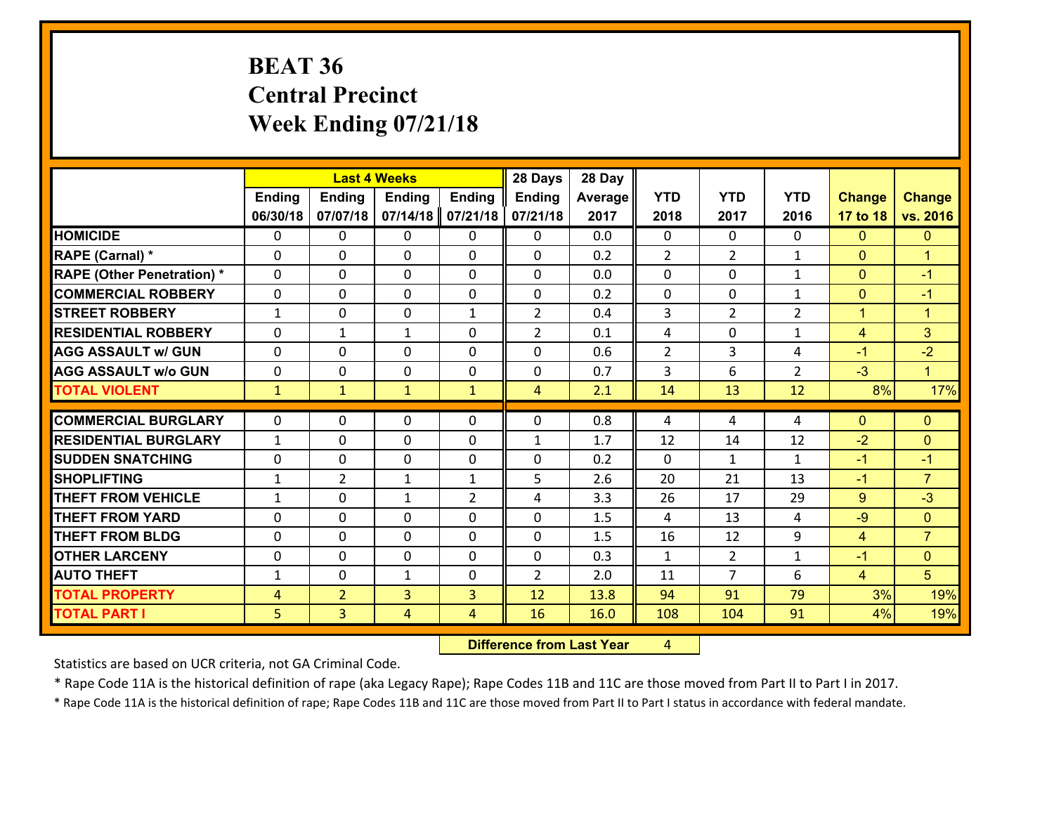## **BEAT 36 Central Precinct Week Ending 07/21/18**

|                                   |                   |                | <b>Last 4 Weeks</b> |                | 28 Days        | 28 Day  |                |                    |                |                |                        |
|-----------------------------------|-------------------|----------------|---------------------|----------------|----------------|---------|----------------|--------------------|----------------|----------------|------------------------|
|                                   | <b>Ending</b>     | Ending         | <b>Ending</b>       | <b>Ending</b>  | Ending         | Average | <b>YTD</b>     | <b>YTD</b>         | <b>YTD</b>     | <b>Change</b>  | <b>Change</b>          |
|                                   | 06/30/18          | 07/07/18       | 07/14/18            | 07/21/18       | 07/21/18       | 2017    | 2018           | 2017               | 2016           | 17 to 18       | vs. 2016               |
| <b>HOMICIDE</b>                   | $\Omega$          | 0              | $\mathbf{0}$        | 0              | 0              | 0.0     | $\Omega$       | $\Omega$           | 0              | $\mathbf{0}$   | $\mathbf{0}$           |
| RAPE (Carnal) *                   | $\Omega$          | 0              | $\mathbf{0}$        | 0              | $\Omega$       | 0.2     | 2              | $\overline{2}$     | $\mathbf{1}$   | $\Omega$       | $\mathbf{1}$           |
| <b>RAPE (Other Penetration) *</b> | 0                 | 0              | $\mathbf 0$         | 0              | 0              | 0.0     | 0              | 0                  | $\mathbf{1}$   | $\mathbf{0}$   | $-1$                   |
| <b>COMMERCIAL ROBBERY</b>         | $\mathbf{0}$      | 0              | 0                   | 0              | $\Omega$       | 0.2     | $\mathbf{0}$   | 0                  | $\mathbf{1}$   | $\mathbf{0}$   | $-1$                   |
| <b>STREET ROBBERY</b>             | $\mathbf{1}$      | 0              | $\mathbf 0$         | $\mathbf{1}$   | $\overline{2}$ | 0.4     | $\overline{3}$ | $\overline{2}$     | $\overline{2}$ | $\mathbf{1}$   | $\blacktriangleleft$   |
| <b>RESIDENTIAL ROBBERY</b>        | 0                 | $\mathbf{1}$   | $\mathbf{1}$        | 0              | $\overline{2}$ | 0.1     | 4              | 0                  | $\mathbf{1}$   | $\overline{4}$ | 3 <sup>1</sup>         |
| <b>AGG ASSAULT w/ GUN</b>         | 0                 | 0              | $\mathbf 0$         | 0              | 0              | 0.6     | $\overline{2}$ | 3                  | 4              | $-1$           | $-2$                   |
| <b>AGG ASSAULT W/o GUN</b>        | 0                 | 0              | $\mathbf 0$         | $\mathbf{0}$   | 0              | 0.7     | 3              | 6                  | $\overline{2}$ | $-3$           | $\mathbf{1}$           |
| <b>TOTAL VIOLENT</b>              | $\mathbf{1}$      | $\mathbf{1}$   | $\mathbf{1}$        | $\mathbf{1}$   | $\overline{4}$ | 2.1     | 14             | 13                 | 12             | 8%             | 17%                    |
| <b>COMMERCIAL BURGLARY</b>        | $\mathbf{0}$      | 0              | $\mathbf{0}$        | 0              | $\Omega$       | 0.8     | 4              | 4                  | 4              | $\mathbf{0}$   | $\mathbf{0}$           |
| <b>RESIDENTIAL BURGLARY</b>       | $\mathbf{1}$      | 0              | $\mathbf 0$         | 0              | $\mathbf{1}$   | 1.7     | 12             | 14                 | 12             | $-2$           | $\mathbf{0}$           |
| <b>ISUDDEN SNATCHING</b>          | $\mathbf{0}$      | 0              |                     | $\Omega$       | $\Omega$       | 0.2     | $\Omega$       |                    | $\mathbf{1}$   | $-1$           |                        |
| <b>SHOPLIFTING</b>                | $\mathbf{1}$      | $\overline{2}$ | 0<br>$\mathbf{1}$   | $\mathbf{1}$   | 5              | 2.6     | 20             | $\mathbf{1}$<br>21 | 13             | $-1$           | $-1$<br>$\overline{7}$ |
| <b>THEFT FROM VEHICLE</b>         | $\mathbf{1}$      | 0              | $\mathbf{1}$        | $\overline{2}$ | 4              | 3.3     | 26             | 17                 | 29             | 9              | $-3$                   |
| <b>THEFT FROM YARD</b>            |                   | 0              |                     | 0              |                | 1.5     | 4              | 13                 | 4              | $-9$           | $\mathbf{0}$           |
| <b>THEFT FROM BLDG</b>            | 0<br>$\mathbf{0}$ | 0              | 0<br>$\mathbf 0$    | 0              | 0<br>0         | 1.5     | 16             | 12                 | 9              | $\overline{4}$ | $\overline{7}$         |
|                                   |                   |                |                     |                |                |         |                |                    |                |                |                        |
| <b>OTHER LARCENY</b>              | 0                 | 0              | $\mathbf 0$         | 0              | 0              | 0.3     | $\mathbf{1}$   | $\overline{2}$     | $\mathbf{1}$   | $-1$           | $\overline{0}$         |
| <b>AUTO THEFT</b>                 | $\mathbf{1}$      | 0              | 1                   | 0              | $\overline{2}$ | 2.0     | 11             | $\overline{7}$     | 6              | $\overline{4}$ | 5                      |
| <b>TOTAL PROPERTY</b>             | $\overline{4}$    | $\overline{2}$ | 3                   | 3              | 12             | 13.8    | 94             | 91                 | 79             | 3%             | 19%                    |
| <b>TOTAL PART I</b>               | 5                 | $\overline{3}$ | $\overline{4}$      | 4              | 16             | 16.0    | 108            | 104                | 91             | 4%             | 19%                    |

 **Difference from Last Year**r 4

Statistics are based on UCR criteria, not GA Criminal Code.

\* Rape Code 11A is the historical definition of rape (aka Legacy Rape); Rape Codes 11B and 11C are those moved from Part II to Part I in 2017.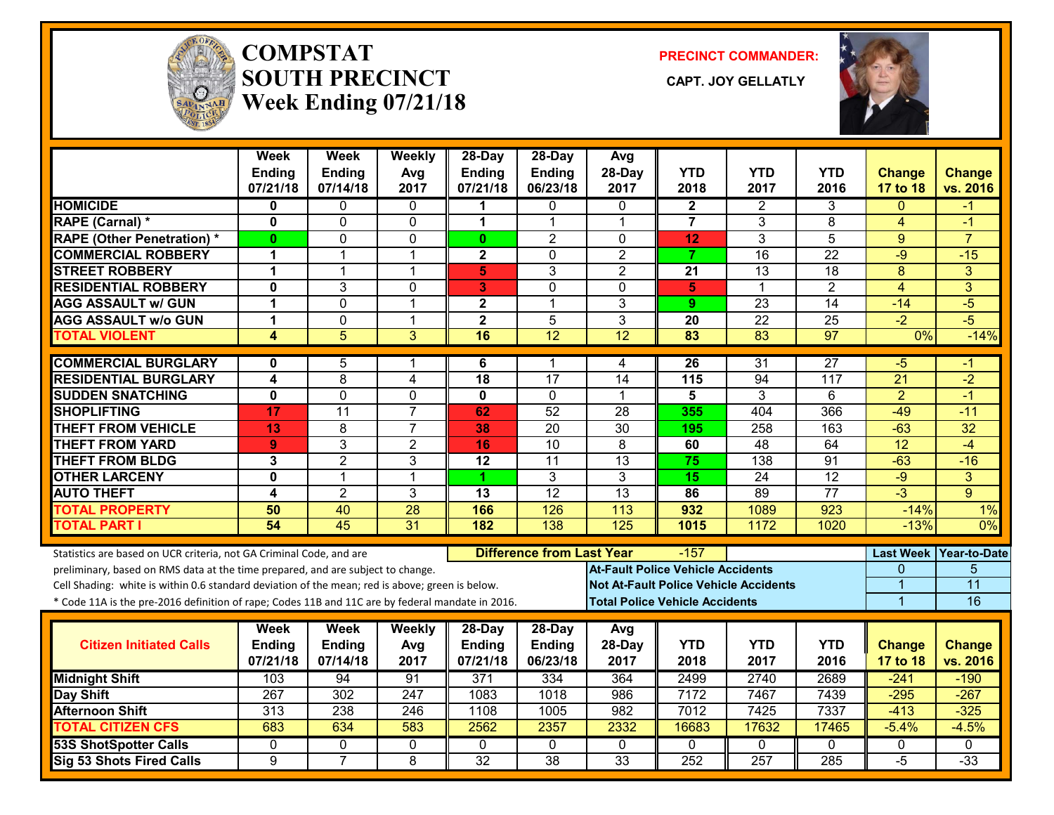

#### **COMPSTATSOUTH PRECINCT CAPT. JOY GELLATLYWeek Ending 07/21/18**

**PRECINCT COMMANDER:**



|                                                                                                  | Week<br>Ending<br>07/21/18 | <b>Week</b><br><b>Ending</b><br>07/14/18 | Weekly<br>Avg<br>2017 | 28-Day<br><b>Ending</b><br>07/21/18 | $28$ -Day<br><b>Ending</b><br>06/23/18 | Avg<br>28-Day<br>2017                    | <b>YTD</b><br>2018                    | YTD<br>2017                                  | <b>YTD</b><br>2016 | <b>Change</b><br>17 to 18 | <b>Change</b><br>vs. 2016 |
|--------------------------------------------------------------------------------------------------|----------------------------|------------------------------------------|-----------------------|-------------------------------------|----------------------------------------|------------------------------------------|---------------------------------------|----------------------------------------------|--------------------|---------------------------|---------------------------|
| <b>HOMICIDE</b>                                                                                  | 0                          | 0                                        | $\mathbf{0}$          | 1                                   | $\Omega$                               | $\Omega$                                 | $\mathbf{2}$                          | 2                                            | 3                  | $\Omega$                  | -1                        |
| RAPE (Carnal) *                                                                                  | 0                          | $\Omega$                                 | $\mathbf 0$           | 1                                   | $\mathbf{1}$                           | $\overline{1}$                           | $\overline{7}$                        | 3                                            | 8                  | $\overline{4}$            | $-1$                      |
| <b>RAPE (Other Penetration) *</b>                                                                | $\bf{0}$                   | $\mathbf{0}$                             | 0                     | $\mathbf{0}$                        | $\overline{2}$                         | $\mathbf{0}$                             | 12                                    | 3                                            | 5                  | 9                         | $\overline{7}$            |
| <b>COMMERCIAL ROBBERY</b>                                                                        | 1                          | 1                                        | $\overline{1}$        | $\mathbf 2$                         | 0                                      | $\overline{2}$                           | $\overline{7}$                        | $\overline{16}$                              | $\overline{22}$    | -9                        | $-15$                     |
| <b>STREET ROBBERY</b>                                                                            | 1                          | 1                                        | $\mathbf 1$           | 5                                   | 3                                      | $\overline{2}$                           | 21                                    | 13                                           | 18                 | 8                         | 3                         |
| <b>RESIDENTIAL ROBBERY</b>                                                                       | $\mathbf{0}$               | 3                                        | 0                     | 3                                   | 0                                      | $\Omega$                                 | 5                                     | 1                                            | $\overline{2}$     | $\overline{4}$            | $\overline{3}$            |
| <b>AGG ASSAULT w/ GUN</b>                                                                        | 1                          | $\Omega$                                 | $\mathbf{1}$          | $\mathbf{2}$                        | 1                                      | 3                                        | 9                                     | 23                                           | 14                 | $-14$                     | $-5$                      |
| <b>AGG ASSAULT w/o GUN</b>                                                                       | 1                          | $\mathbf 0$                              | $\overline{1}$        | $\overline{2}$                      | 5                                      | 3                                        | 20                                    | 22                                           | 25                 | $-2$                      | $-5$                      |
| <b>TOTAL VIOLENT</b>                                                                             | $\overline{\mathbf{A}}$    | $\overline{5}$                           | $\overline{3}$        | 16                                  | $\overline{12}$                        | 12                                       | $\overline{83}$                       | 83                                           | $\overline{97}$    | 0%                        | $-14%$                    |
| <b>COMMERCIAL BURGLARY</b>                                                                       | 0                          | 5                                        | 1                     | 6                                   | 1                                      | 4                                        | 26                                    | 31                                           | 27                 | -5                        | -1                        |
| <b>RESIDENTIAL BURGLARY</b>                                                                      | 4                          | 8                                        | 4                     | 18                                  | 17                                     | 14                                       | 115                                   | 94                                           | 117                | 21                        | $-2$                      |
| <b>SUDDEN SNATCHING</b>                                                                          | $\overline{\mathbf{0}}$    | $\overline{0}$                           | $\overline{0}$        | $\overline{\mathbf{0}}$             | $\mathbf{0}$                           | $\mathbf 1$                              | $\overline{\mathbf{5}}$               | $\overline{3}$                               | 6                  | $\overline{2}$            | $-1$                      |
| <b>SHOPLIFTING</b>                                                                               | 17                         | $\overline{11}$                          | $\overline{7}$        | 62                                  | $\overline{52}$                        | 28                                       | 355                                   | 404                                          | 366                | $-49$                     | $-11$                     |
| <b>THEFT FROM VEHICLE</b>                                                                        | 13                         | 8                                        | $\overline{7}$        | 38                                  | 20                                     | $\overline{30}$                          | 195                                   | 258                                          | 163                | $-63$                     | $\overline{32}$           |
| <b>THEFT FROM YARD</b>                                                                           | 9                          | 3                                        | $\overline{2}$        | 16                                  | 10                                     | 8                                        | 60                                    | $\overline{48}$                              | 64                 | $\overline{12}$           | $-4$                      |
| <b>THEFT FROM BLDG</b>                                                                           | 3                          | $\overline{2}$                           | 3                     | 12                                  | 11                                     | 13                                       | 75                                    | 138                                          | 91                 | $-63$                     | $-16$                     |
| <b>OTHER LARCENY</b>                                                                             | 0                          | $\overline{1}$                           | $\overline{1}$        | 1                                   | 3                                      | 3                                        | $\overline{15}$                       | $\overline{24}$                              | $\overline{12}$    | $-9$                      | 3                         |
| <b>AUTO THEFT</b>                                                                                | 4                          | $\overline{2}$                           | $\overline{3}$        | $\overline{13}$                     | $\overline{12}$                        | 13                                       | 86                                    | 89                                           | $\overline{77}$    | $-3$                      | $\mathbf{Q}$              |
| <b>TOTAL PROPERTY</b>                                                                            | 50                         | 40                                       | 28                    | 166                                 | 126                                    | 113                                      | 932                                   | 1089                                         | 923                | $-14%$                    | 1%                        |
| <b>TOTAL PART I</b>                                                                              | 54                         | $\overline{45}$                          | 31                    | 182                                 | $\overline{138}$                       | $\overline{125}$                         | 1015                                  | 1172                                         | 1020               | $-13%$                    | $0\%$                     |
| Statistics are based on UCR criteria, not GA Criminal Code, and are                              |                            |                                          |                       |                                     | <b>Difference from Last Year</b>       |                                          | $-157$                                |                                              |                    |                           | Last Week   Year-to-Date  |
| preliminary, based on RMS data at the time prepared, and are subject to change.                  |                            |                                          |                       |                                     |                                        | <b>At-Fault Police Vehicle Accidents</b> |                                       |                                              |                    | 0                         | 5                         |
| Cell Shading: white is within 0.6 standard deviation of the mean; red is above; green is below.  |                            |                                          |                       |                                     |                                        |                                          |                                       | <b>Not At-Fault Police Vehicle Accidents</b> |                    | 1                         | $\overline{11}$           |
| * Code 11A is the pre-2016 definition of rape; Codes 11B and 11C are by federal mandate in 2016. |                            |                                          |                       |                                     |                                        |                                          | <b>Total Police Vehicle Accidents</b> |                                              |                    | $\overline{1}$            | 16                        |
|                                                                                                  | Week                       | <b>Week</b>                              | Weekly                | 28-Day                              | 28-Day                                 | Avg                                      |                                       |                                              |                    |                           |                           |
| <b>Citizen Initiated Calls</b>                                                                   | Ending                     | <b>Ending</b>                            | Avg                   | <b>Ending</b>                       | Ending                                 | 28-Day                                   | <b>YTD</b>                            | <b>YTD</b>                                   | <b>YTD</b>         | <b>Change</b>             | <b>Change</b>             |
|                                                                                                  | 07/21/18                   | 07/14/18                                 | 2017                  | 07/21/18                            | 06/23/18                               | 2017                                     | 2018                                  | 2017                                         | 2016               | 17 to 18                  | vs. 2016                  |
| <b>Midnight Shift</b>                                                                            | 103                        | 94                                       | 91                    | 371                                 | 334                                    | 364                                      | 2499                                  | 2740                                         | 2689               | $-241$                    | $-190$                    |
| <b>Day Shift</b>                                                                                 | 267                        | 302                                      | 247                   | 1083                                | 1018                                   | 986                                      | 7172                                  | 7467                                         | 7439               | $-295$                    | $-267$                    |
| <b>Afternoon Shift</b>                                                                           | 313                        | 238                                      | 246                   | 1108                                | 1005                                   | 982                                      | 7012                                  | 7425                                         | 7337               | $-413$                    | $-325$                    |
| <b>TOTAL CITIZEN CFS</b>                                                                         | 683                        | 634                                      | 583                   | 2562                                | 2357                                   | 2332                                     | 16683                                 | 17632                                        | 17465              | $-5.4%$                   | $-4.5%$                   |
| <b>53S ShotSpotter Calls</b>                                                                     | 0                          | 0                                        | 0                     | 0                                   | 0                                      | $\mathbf{0}$                             | 0                                     | $\mathbf{0}$                                 | 0                  | 0                         | $\Omega$                  |
| Sig 53 Shots Fired Calls                                                                         | 9                          | $\overline{7}$                           | $\overline{8}$        | 32                                  | 38                                     | 33                                       | $\overline{252}$                      | 257                                          | 285                | $-5$                      | $-33$                     |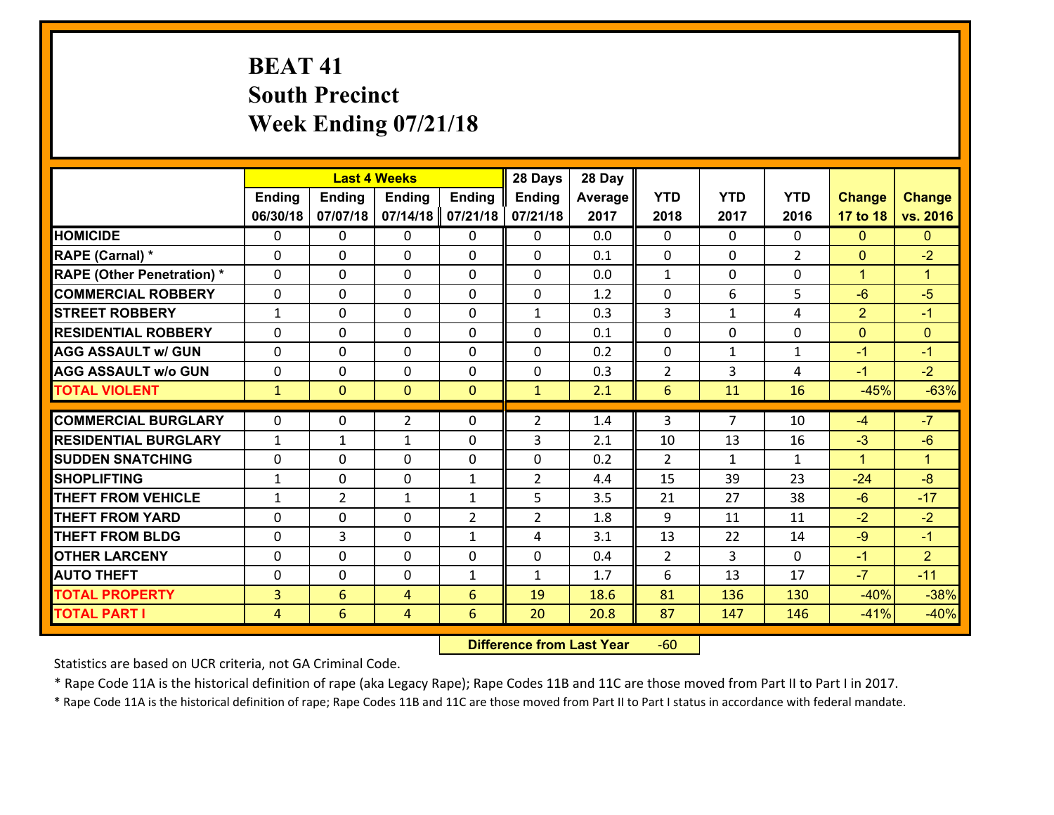# **BEAT 41 South Precinct Week Ending 07/21/18**

|                                   |                |                | <b>Last 4 Weeks</b> |                | 28 Days        | 28 Day  |                |                |                |                |                      |
|-----------------------------------|----------------|----------------|---------------------|----------------|----------------|---------|----------------|----------------|----------------|----------------|----------------------|
|                                   | <b>Ending</b>  | <b>Ending</b>  | <b>Ending</b>       | <b>Ending</b>  | <b>Ending</b>  | Average | <b>YTD</b>     | <b>YTD</b>     | <b>YTD</b>     | <b>Change</b>  | <b>Change</b>        |
|                                   | 06/30/18       | 07/07/18       | 07/14/18            | 07/21/18       | 07/21/18       | 2017    | 2018           | 2017           | 2016           | 17 to 18       | vs. 2016             |
| <b>HOMICIDE</b>                   | $\Omega$       | 0              | $\Omega$            | 0              | $\Omega$       | 0.0     | $\Omega$       | $\Omega$       | 0              | $\mathbf{0}$   | $\mathbf{0}$         |
| RAPE (Carnal) *                   | 0              | 0              | $\mathbf{0}$        | 0              | $\Omega$       | 0.1     | $\mathbf{0}$   | 0              | $\overline{2}$ | $\mathbf{0}$   | $-2$                 |
| <b>RAPE (Other Penetration) *</b> | $\Omega$       | 0              | $\mathbf{0}$        | $\Omega$       | $\Omega$       | 0.0     | $\mathbf{1}$   | $\Omega$       | $\Omega$       | $\mathbf{1}$   | $\blacktriangleleft$ |
| <b>COMMERCIAL ROBBERY</b>         | 0              | 0              | 0                   | 0              | 0              | 1.2     | $\mathbf{0}$   | 6              | 5              | $-6$           | $-5$                 |
| <b>STREET ROBBERY</b>             | $\mathbf{1}$   | 0              | $\mathbf 0$         | 0              | $\mathbf{1}$   | 0.3     | $\overline{3}$ | $\mathbf{1}$   | 4              | $\overline{2}$ | $-1$                 |
| <b>RESIDENTIAL ROBBERY</b>        | $\Omega$       | $\Omega$       | $\mathbf 0$         | $\Omega$       | 0              | 0.1     | $\Omega$       | $\Omega$       | $\Omega$       | $\overline{0}$ | $\mathbf{0}$         |
| <b>AGG ASSAULT w/ GUN</b>         | $\Omega$       | 0              | $\mathbf 0$         | $\Omega$       | 0              | 0.2     | $\mathbf 0$    | $\mathbf{1}$   | $\mathbf{1}$   | $-1$           | $-1$                 |
| <b>AGG ASSAULT w/o GUN</b>        | 0              | 0              | $\mathbf 0$         | 0              | 0              | 0.3     | $\overline{2}$ | 3              | 4              | $-1$           | $-2$                 |
| <b>TOTAL VIOLENT</b>              | $\mathbf{1}$   | $\overline{0}$ | $\overline{0}$      | $\mathbf{0}$   | $\mathbf{1}$   | 2.1     | $6\phantom{1}$ | 11             | 16             | $-45%$         | $-63%$               |
| <b>COMMERCIAL BURGLARY</b>        | $\Omega$       | 0              | $\overline{2}$      | $\Omega$       | $\overline{2}$ | 1.4     | 3              | $\overline{7}$ | 10             | $-4$           | $-7$                 |
|                                   |                |                |                     |                |                |         |                |                |                |                | $-6$                 |
| <b>RESIDENTIAL BURGLARY</b>       | $\mathbf{1}$   | 1              | $\mathbf{1}$        | 0              | 3              | 2.1     | 10             | 13             | 16             | $-3$           |                      |
| <b>SUDDEN SNATCHING</b>           | 0              | 0              | $\mathbf 0$         | 0              | 0              | 0.2     | 2              | $\mathbf{1}$   | $\mathbf{1}$   | $\mathbf{1}$   | $\blacktriangleleft$ |
| <b>SHOPLIFTING</b>                | $\mathbf{1}$   | 0              | $\mathbf 0$         | $\mathbf{1}$   | $\overline{2}$ | 4.4     | 15             | 39             | 23             | $-24$          | $-8$                 |
| <b>THEFT FROM VEHICLE</b>         | $\mathbf{1}$   | $\overline{2}$ | 1                   | $\mathbf{1}$   | 5              | 3.5     | 21             | 27             | 38             | $-6$           | $-17$                |
| <b>THEFT FROM YARD</b>            | 0              | 0              | $\mathbf 0$         | $\overline{2}$ | $\overline{2}$ | 1.8     | 9              | 11             | 11             | $-2$           | $-2$                 |
| <b>THEFT FROM BLDG</b>            | 0              | 3              | $\mathbf 0$         | $\mathbf{1}$   | 4              | 3.1     | 13             | 22             | 14             | $-9$           | $-1$                 |
| <b>OTHER LARCENY</b>              | 0              | 0              | $\mathbf 0$         | 0              | 0              | 0.4     | 2              | 3              | 0              | $-1$           | 2 <sup>1</sup>       |
| <b>AUTO THEFT</b>                 | $\mathbf{0}$   | 0              | $\mathbf{0}$        | $\mathbf{1}$   | $\mathbf{1}$   | 1.7     | 6              | 13             | 17             | $-7$           | $-11$                |
| <b>TOTAL PROPERTY</b>             | $\overline{3}$ | 6              | 4                   | 6              | 19             | 18.6    | 81             | 136            | 130            | $-40%$         | $-38%$               |
| <b>TOTAL PART I</b>               | $\overline{4}$ | 6              | 4                   | 6              | 20             | 20.8    | 87             | 147            | 146            | $-41%$         | $-40%$               |

 **Difference from Last Year**r -60

Statistics are based on UCR criteria, not GA Criminal Code.

\* Rape Code 11A is the historical definition of rape (aka Legacy Rape); Rape Codes 11B and 11C are those moved from Part II to Part I in 2017.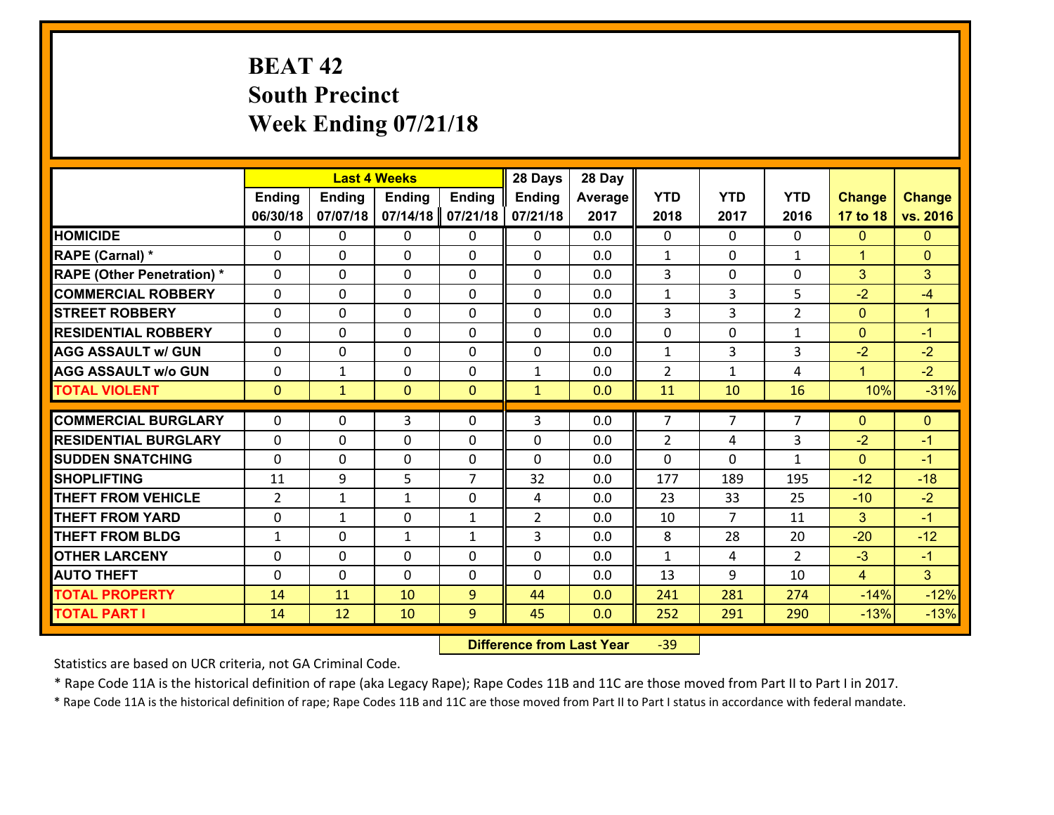# **BEAT 42 South Precinct Week Ending 07/21/18**

|                                              |                |               | <b>Last 4 Weeks</b> |                | 28 Days        | 28 Day     |                |                |                |                  |                  |
|----------------------------------------------|----------------|---------------|---------------------|----------------|----------------|------------|----------------|----------------|----------------|------------------|------------------|
|                                              | <b>Ending</b>  | <b>Ending</b> | <b>Ending</b>       | <b>Ending</b>  | <b>Ending</b>  | Average    | <b>YTD</b>     | <b>YTD</b>     | <b>YTD</b>     | <b>Change</b>    | <b>Change</b>    |
|                                              | 06/30/18       | 07/07/18      | 07/14/18            | 07/21/18       | 07/21/18       | 2017       | 2018           | 2017           | 2016           | 17 to 18         | vs. 2016         |
| <b>HOMICIDE</b>                              | $\mathbf{0}$   | 0             | 0                   | 0              | 0              | 0.0        | $\mathbf 0$    | $\Omega$       | $\Omega$       | $\mathbf{0}$     | $\mathbf{0}$     |
| RAPE (Carnal) *                              | 0              | 0             | $\mathbf{0}$        | 0              | $\Omega$       | 0.0        | 1              | 0              | $\mathbf{1}$   | $\mathbf{1}$     | $\mathbf{0}$     |
| <b>RAPE (Other Penetration) *</b>            | $\Omega$       | 0             | $\Omega$            | $\Omega$       | $\Omega$       | 0.0        | 3              | $\Omega$       | $\Omega$       | 3                | 3                |
| <b>COMMERCIAL ROBBERY</b>                    | $\Omega$       | 0             | $\mathbf 0$         | $\Omega$       | 0              | 0.0        | $\mathbf{1}$   | 3              | 5              | $-2$             | $-4$             |
| <b>STREET ROBBERY</b>                        | 0              | 0             | $\mathbf 0$         | 0              | 0              | 0.0        | 3              | 3              | $\overline{2}$ | $\mathbf{0}$     | $\mathbf{1}$     |
| <b>RESIDENTIAL ROBBERY</b>                   | $\Omega$       | 0             | $\mathbf 0$         | 0              | 0              | 0.0        | 0              | 0              | $\mathbf{1}$   | $\mathbf{0}$     | $-1$             |
| <b>AGG ASSAULT w/ GUN</b>                    | 0              | 0             | $\mathbf 0$         | 0              | 0              | 0.0        | $\mathbf{1}$   | $\overline{3}$ | 3              | $-2$             | $-2$             |
| <b>AGG ASSAULT w/o GUN</b>                   | 0              | $\mathbf{1}$  | $\mathbf 0$         | 0              | $\mathbf{1}$   | 0.0        | $\overline{2}$ | $\mathbf{1}$   | 4              | $\mathbf{1}$     | $-2$             |
| <b>TOTAL VIOLENT</b>                         | $\mathbf{0}$   | $\mathbf{1}$  | $\mathbf{0}$        | $\overline{0}$ | $\mathbf{1}$   | 0.0        | 11             | 10             | 16             | 10%              | $-31%$           |
| <b>COMMERCIAL BURGLARY</b>                   | $\Omega$       | 0             | 3                   | 0              | 3              | 0.0        | $\overline{7}$ | $\overline{7}$ | 7              | $\mathbf{0}$     | $\mathbf{0}$     |
|                                              |                |               |                     |                |                |            |                |                |                |                  |                  |
|                                              |                |               |                     |                |                |            |                |                |                |                  |                  |
| <b>RESIDENTIAL BURGLARY</b>                  | $\Omega$       | 0             | $\mathbf 0$         | $\Omega$       | $\Omega$       | 0.0        | $\overline{2}$ | 4              | 3              | $-2$             | $-1$             |
| <b>SUDDEN SNATCHING</b>                      | $\Omega$       | 0             | $\mathbf 0$         | $\Omega$       | $\Omega$       | 0.0        | $\Omega$       | $\Omega$       | $\mathbf{1}$   | $\Omega$         | $-1$             |
| <b>SHOPLIFTING</b>                           | 11             | 9             | 5                   | $\overline{7}$ | 32             | 0.0        | 177            | 189            | 195            | $-12$            | $-18$            |
| <b>THEFT FROM VEHICLE</b>                    | $\overline{2}$ | 1             | 1                   | 0              | 4              | 0.0        | 23             | 33             | 25             | $-10$            | $-2$             |
| <b>THEFT FROM YARD</b>                       | 0              | $\mathbf{1}$  | $\mathbf 0$         | $\mathbf{1}$   | $\overline{2}$ | 0.0        | 10             | $\overline{7}$ | 11             | 3                | $-1$             |
| <b>THEFT FROM BLDG</b>                       | $\mathbf{1}$   | 0             | $\mathbf{1}$        | $\mathbf{1}$   | 3              | 0.0        | 8              | 28             | 20             | $-20$            | $-12$            |
| <b>OTHER LARCENY</b>                         | 0              | 0             | $\mathbf 0$         | 0              | 0              | 0.0        | $\mathbf{1}$   | 4              | $\mathcal{L}$  | $-3$             | $-1$             |
| <b>AUTO THEFT</b>                            | 0              | 0             | $\mathbf 0$         | 0              | 0              | 0.0        | 13             | 9              | 10             | $\overline{4}$   | 3 <sup>1</sup>   |
| <b>TOTAL PROPERTY</b><br><b>TOTAL PART I</b> | 14<br>14       | 11<br>12      | 10<br>10            | 9<br>9         | 44<br>45       | 0.0<br>0.0 | 241<br>252     | 281<br>291     | 274<br>290     | $-14%$<br>$-13%$ | $-12%$<br>$-13%$ |

 **Difference from Last Year**r -39

Statistics are based on UCR criteria, not GA Criminal Code.

\* Rape Code 11A is the historical definition of rape (aka Legacy Rape); Rape Codes 11B and 11C are those moved from Part II to Part I in 2017.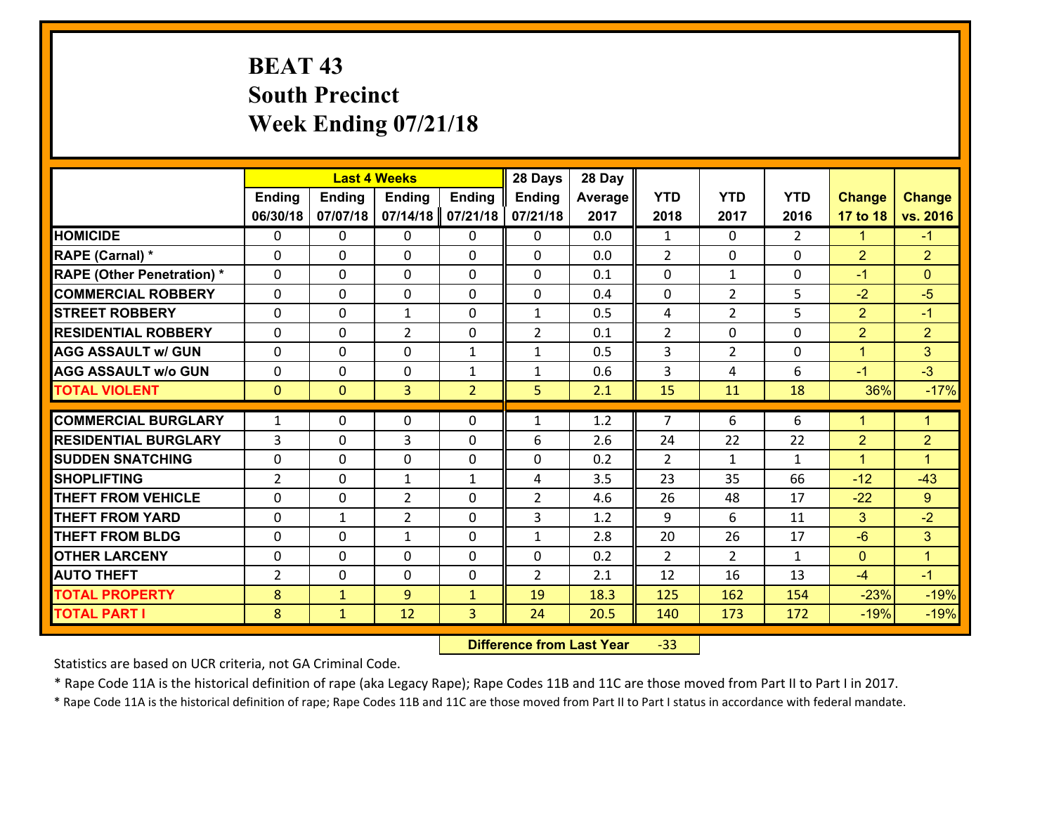# **BEAT 43 South Precinct Week Ending 07/21/18**

|                                              |                | <b>Last 4 Weeks</b>          |                |                                | 28 Days        | 28 Day       |                |                |                |                  |                  |
|----------------------------------------------|----------------|------------------------------|----------------|--------------------------------|----------------|--------------|----------------|----------------|----------------|------------------|------------------|
|                                              | Ending         | <b>Ending</b>                | <b>Ending</b>  | <b>Ending</b>                  | <b>Ending</b>  | Average      | <b>YTD</b>     | <b>YTD</b>     | <b>YTD</b>     | <b>Change</b>    | <b>Change</b>    |
|                                              | 06/30/18       | 07/07/18                     | 07/14/18       | 07/21/18                       | 07/21/18       | 2017         | 2018           | 2017           | 2016           | 17 to 18         | vs. 2016         |
| <b>HOMICIDE</b>                              | $\Omega$       | 0                            | 0              | 0                              | $\mathbf{0}$   | 0.0          | $\mathbf{1}$   | $\Omega$       | $\overline{2}$ | 1                | $-1$             |
| RAPE (Carnal) *                              | $\Omega$       | 0                            | $\Omega$       | $\Omega$                       | 0              | 0.0          | $\overline{2}$ | $\Omega$       | $\Omega$       | $\overline{2}$   | $\overline{2}$   |
| <b>RAPE (Other Penetration) *</b>            | $\mathbf{0}$   | 0                            | $\Omega$       | $\Omega$                       | $\Omega$       | 0.1          | $\Omega$       | $\mathbf{1}$   | $\Omega$       | $-1$             | $\Omega$         |
| <b>COMMERCIAL ROBBERY</b>                    | $\mathbf 0$    | 0                            | $\mathbf 0$    | 0                              | 0              | 0.4          | 0              | $\overline{2}$ | 5              | $-2$             | $-5$             |
| <b>STREET ROBBERY</b>                        | $\Omega$       | 0                            | $\mathbf{1}$   | $\Omega$                       | $\mathbf{1}$   | 0.5          | 4              | $\overline{2}$ | 5              | $\overline{2}$   | $-1$             |
| <b>RESIDENTIAL ROBBERY</b>                   | $\mathbf{0}$   | 0                            | $\overline{2}$ | 0                              | $\overline{2}$ | 0.1          | $\overline{2}$ | $\Omega$       | 0              | $\overline{2}$   | $\overline{2}$   |
| <b>AGG ASSAULT w/ GUN</b>                    | $\Omega$       | 0                            | $\Omega$       | $\mathbf{1}$                   | $\mathbf{1}$   | 0.5          | 3              | $\overline{2}$ | 0              | $\overline{1}$   | 3                |
| <b>AGG ASSAULT w/o GUN</b>                   | $\mathbf 0$    | 0                            | $\mathbf 0$    | $\mathbf{1}$                   | $\mathbf{1}$   | 0.6          | 3              | 4              | 6              | $-1$             | $-3$             |
| <b>TOTAL VIOLENT</b>                         | $\overline{0}$ | $\overline{0}$               | 3              | $\overline{2}$                 | 5              | 2.1          | 15             | 11             | 18             | 36%              | $-17%$           |
| <b>COMMERCIAL BURGLARY</b>                   | $\mathbf{1}$   | 0                            | $\mathbf{0}$   | 0                              | 1              | 1.2          | 7              | 6              | 6              | 1                | $\mathbf{1}$     |
|                                              |                |                              |                |                                |                |              |                |                |                |                  |                  |
|                                              |                |                              |                |                                |                |              |                |                |                |                  |                  |
| <b>RESIDENTIAL BURGLARY</b>                  | 3              | 0                            | 3              | $\Omega$                       | 6              | 2.6          | 24             | 22             | 22             | $\overline{2}$   | $\overline{2}$   |
| <b>SUDDEN SNATCHING</b>                      | $\Omega$       | 0                            | $\Omega$       | $\Omega$                       | 0              | 0.2          | $\overline{2}$ | $\mathbf{1}$   | $\mathbf{1}$   | $\mathbf{1}$     | $\mathbf{1}$     |
| <b>SHOPLIFTING</b>                           | $\overline{2}$ | 0                            | $\mathbf{1}$   | $\mathbf{1}$                   | 4              | 3.5          | 23             | 35             | 66             | $-12$            | $-43$            |
| <b>THEFT FROM VEHICLE</b>                    | $\Omega$       | 0                            | $\overline{2}$ | $\Omega$                       | $\overline{2}$ | 4.6          | 26             | 48             | 17             | $-22$            | 9                |
| <b>THEFT FROM YARD</b>                       | $\mathbf 0$    | 1                            | $\overline{2}$ | 0                              | $\overline{3}$ | 1.2          | 9              | 6              | 11             | 3                | $-2$             |
| <b>THEFT FROM BLDG</b>                       | $\mathbf 0$    | 0                            | $\mathbf{1}$   | 0                              | $\mathbf{1}$   | 2.8          | 20             | 26             | 17             | $-6$             | 3                |
| <b>OTHER LARCENY</b>                         | $\mathbf 0$    | 0                            | $\mathbf 0$    | 0                              | 0              | 0.2          | $\overline{2}$ | $\overline{2}$ | $\mathbf{1}$   | $\overline{0}$   | $\mathbf{1}$     |
| <b>AUTO THEFT</b>                            | $\overline{2}$ | $\mathbf{0}$                 | $\mathbf 0$    | 0                              | $\overline{2}$ | 2.1          | 12             | 16             | 13             | $-4$             | $-1$             |
| <b>TOTAL PROPERTY</b><br><b>TOTAL PART I</b> | 8<br>8         | $\mathbf{1}$<br>$\mathbf{1}$ | 9<br>12        | $\mathbf{1}$<br>$\overline{3}$ | 19<br>24       | 18.3<br>20.5 | 125<br>140     | 162<br>173     | 154<br>172     | $-23%$<br>$-19%$ | $-19%$<br>$-19%$ |

 **Difference from Last Year**‐33

Statistics are based on UCR criteria, not GA Criminal Code.

\* Rape Code 11A is the historical definition of rape (aka Legacy Rape); Rape Codes 11B and 11C are those moved from Part II to Part I in 2017.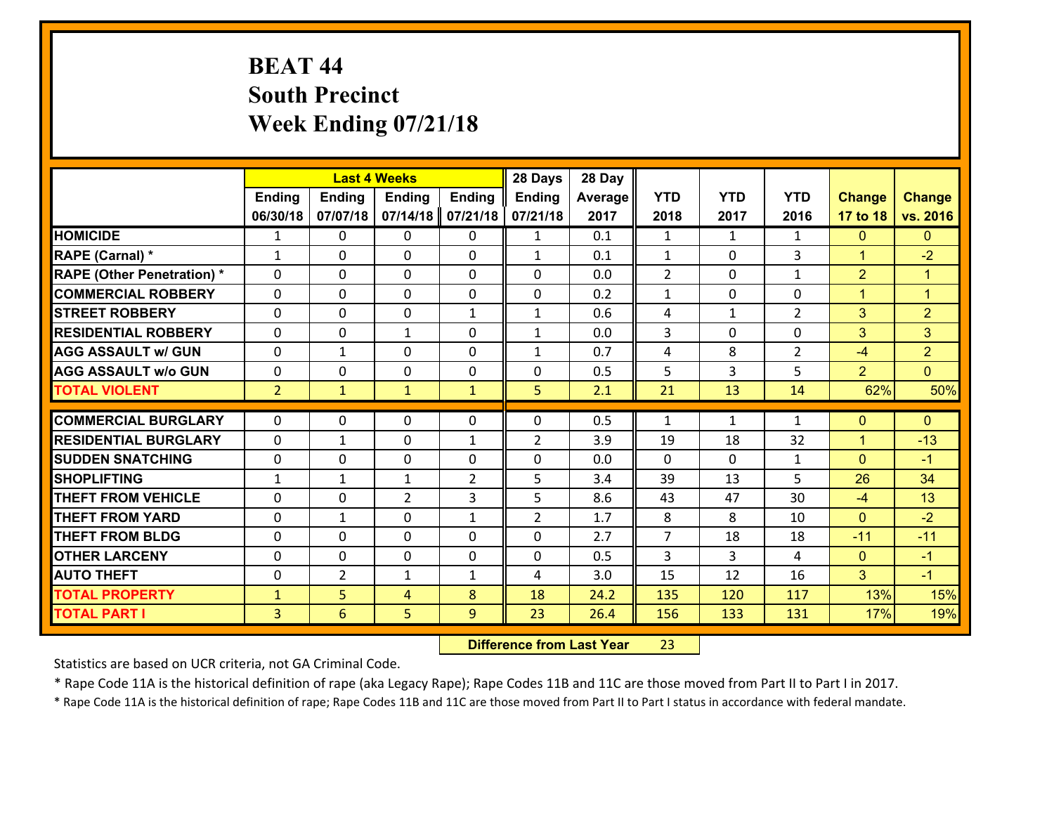# **BEAT 44 South Precinct Week Ending 07/21/18**

|                                   |                |                | <b>Last 4 Weeks</b> |                | 28 Days        | 28 Day  |                |              |                   |                |                |
|-----------------------------------|----------------|----------------|---------------------|----------------|----------------|---------|----------------|--------------|-------------------|----------------|----------------|
|                                   | <b>Ending</b>  | Ending         | <b>Ending</b>       | <b>Ending</b>  | Ending         | Average | <b>YTD</b>     | <b>YTD</b>   | <b>YTD</b>        | <b>Change</b>  | <b>Change</b>  |
|                                   | 06/30/18       | 07/07/18       | 07/14/18            | 07/21/18       | 07/21/18       | 2017    | 2018           | 2017         | 2016              | 17 to 18       | vs. 2016       |
| <b>HOMICIDE</b>                   | $\mathbf{1}$   | 0              | $\mathbf{0}$        | 0              | $\mathbf{1}$   | 0.1     | 1              | $\mathbf{1}$ | $\mathbf{1}$      | $\mathbf{0}$   | $\mathbf{0}$   |
| RAPE (Carnal) *                   | $\mathbf{1}$   | 0              | $\Omega$            | 0              | $\mathbf{1}$   | 0.1     | $\mathbf{1}$   | $\Omega$     | 3                 | $\mathbf{1}$   | $-2$           |
| <b>RAPE (Other Penetration) *</b> | 0              | 0              | $\mathbf 0$         | 0              | 0              | 0.0     | 2              | 0            | $\mathbf{1}$      | $\overline{2}$ | $\mathbf{1}$   |
| <b>COMMERCIAL ROBBERY</b>         | 0              | 0              | 0                   | 0              | 0              | 0.2     | $\mathbf{1}$   | $\mathbf{0}$ | $\Omega$          | $\mathbf{1}$   | $\mathbf{1}$   |
| <b>STREET ROBBERY</b>             | $\Omega$       | 0              | $\mathbf 0$         | $\mathbf{1}$   | $\mathbf{1}$   | 0.6     | 4              | $\mathbf{1}$ | $\overline{2}$    | 3              | $\overline{2}$ |
| <b>RESIDENTIAL ROBBERY</b>        | 0              | 0              | $\mathbf{1}$        | 0              | $\mathbf{1}$   | 0.0     | 3              | $\mathbf 0$  | 0                 | 3              | 3              |
| <b>AGG ASSAULT w/ GUN</b>         | 0              | $\mathbf{1}$   | $\mathbf 0$         | 0              | $\mathbf{1}$   | 0.7     | 4              | 8            | $\overline{2}$    | $-4$           | $\overline{2}$ |
| <b>AGG ASSAULT w/o GUN</b>        | 0              | 0              | $\mathbf 0$         | 0              | 0              | 0.5     | 5              | 3            | 5                 | $\overline{2}$ | $\overline{0}$ |
| <b>TOTAL VIOLENT</b>              | 2 <sup>1</sup> | $\mathbf{1}$   | $\mathbf{1}$        | $\mathbf{1}$   | 5              | 2.1     | 21             | 13           | 14                | 62%            | 50%            |
| <b>COMMERCIAL BURGLARY</b>        | $\Omega$       | 0              | $\mathbf{0}$        | 0              | $\Omega$       | 0.5     | 1              | $\mathbf{1}$ | $\mathbf{1}$      | $\mathbf{0}$   | $\mathbf{0}$   |
| <b>RESIDENTIAL BURGLARY</b>       | $\Omega$       |                |                     |                |                |         |                |              |                   |                |                |
|                                   |                | 1              | $\mathbf 0$         | $\mathbf{1}$   | $\overline{2}$ | 3.9     | 19             | 18           | 32                | $\mathbf{1}$   | $-13$          |
| <b>SUDDEN SNATCHING</b>           | $\mathbf{0}$   | 0              | $\mathbf{0}$        | $\Omega$       | $\Omega$       | 0.0     | $\Omega$<br>39 | $\Omega$     | $\mathbf{1}$<br>5 | $\mathbf{0}$   | $-1$<br>34     |
| <b>SHOPLIFTING</b>                | $\mathbf{1}$   | 1              | $\mathbf{1}$        | $\overline{2}$ | 5              | 3.4     |                | 13           |                   | 26             |                |
| <b>THEFT FROM VEHICLE</b>         | 0              | 0              | $\overline{2}$      | 3              | 5              | 8.6     | 43             | 47           | 30                | $-4$           | 13             |
| <b>THEFT FROM YARD</b>            | $\mathbf{0}$   | 1              | 0                   | $\mathbf{1}$   | $\overline{2}$ | 1.7     | 8              | 8            | 10                | $\mathbf{0}$   | $-2$           |
| <b>THEFT FROM BLDG</b>            | 0              | $\Omega$       | $\mathbf 0$         | 0              | 0              | 2.7     | $\overline{7}$ | 18           | 18                | $-11$          | $-11$          |
| <b>OTHER LARCENY</b>              | 0              | 0              | $\mathbf 0$         | 0              | 0              | 0.5     | 3              | 3            | 4                 | $\mathbf{0}$   | $-1$           |
| <b>AUTO THEFT</b>                 | $\mathbf{0}$   | $\overline{2}$ | 1                   | $\mathbf{1}$   | 4              | 3.0     | 15             | 12           | 16                | 3              | $-1$           |
| <b>TOTAL PROPERTY</b>             | $\mathbf{1}$   | 5              | 4                   | 8              | 18             | 24.2    | 135            | 120          | 117               | 13%            | 15%            |
| <b>TOTAL PART I</b>               | $\overline{3}$ | 6              | 5                   | 9              | 23             | 26.4    | 156            | 133          | 131               | 17%            | 19%            |

 **Difference from Last Year**r 23

Statistics are based on UCR criteria, not GA Criminal Code.

\* Rape Code 11A is the historical definition of rape (aka Legacy Rape); Rape Codes 11B and 11C are those moved from Part II to Part I in 2017.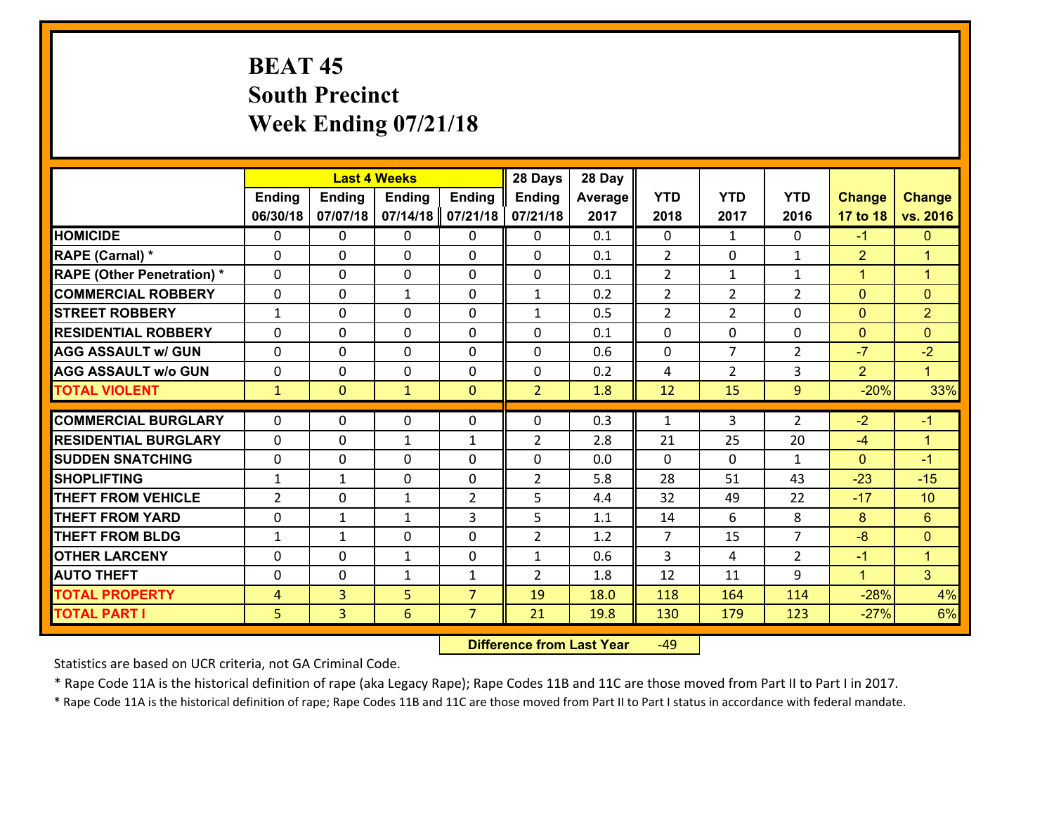# **BEAT 45 South Precinct Week Ending 07/21/18**

|                                              |                     |                                  | <b>Last 4 Weeks</b> |                                  | 28 Days        | 28 Day       |                |                |                |                  |                      |
|----------------------------------------------|---------------------|----------------------------------|---------------------|----------------------------------|----------------|--------------|----------------|----------------|----------------|------------------|----------------------|
|                                              | <b>Ending</b>       | <b>Ending</b>                    | <b>Ending</b>       | <b>Ending</b>                    | <b>Ending</b>  | Average      | <b>YTD</b>     | <b>YTD</b>     | <b>YTD</b>     | <b>Change</b>    | <b>Change</b>        |
|                                              | 06/30/18            | 07/07/18                         | 07/14/18            | 07/21/18                         | 07/21/18       | 2017         | 2018           | 2017           | 2016           | 17 to 18         | vs. 2016             |
| <b>HOMICIDE</b>                              | $\mathbf{0}$        | 0                                | $\mathbf{0}$        | 0                                | 0              | 0.1          | $\Omega$       | $\mathbf{1}$   | $\Omega$       | $-1$             | $\mathbf{0}$         |
| RAPE (Carnal) *                              | $\Omega$            | 0                                | $\mathbf{0}$        | 0                                | $\Omega$       | 0.1          | 2              | $\Omega$       | $\mathbf{1}$   | $\overline{2}$   | $\blacktriangleleft$ |
| <b>RAPE (Other Penetration) *</b>            | $\Omega$            | 0                                | $\Omega$            | $\Omega$                         | $\Omega$       | 0.1          | $\overline{2}$ | $\mathbf{1}$   | $\mathbf{1}$   | $\mathbf{1}$     | $\blacktriangleleft$ |
| <b>COMMERCIAL ROBBERY</b>                    | 0                   | 0                                | $\mathbf{1}$        | 0                                | $\mathbf{1}$   | 0.2          | 2              | $\overline{2}$ | $\overline{2}$ | $\mathbf{0}$     | $\mathbf{0}$         |
| <b>STREET ROBBERY</b>                        | $\mathbf{1}$        | 0                                | $\mathbf 0$         | $\Omega$                         | $\mathbf{1}$   | 0.5          | $\overline{2}$ | $\overline{2}$ | $\Omega$       | $\mathbf{0}$     | $\overline{2}$       |
| <b>RESIDENTIAL ROBBERY</b>                   | $\Omega$            | $\Omega$                         | $\mathbf 0$         | $\Omega$                         | 0              | 0.1          | $\Omega$       | $\Omega$       | 0              | $\mathbf{0}$     | $\Omega$             |
| <b>AGG ASSAULT w/ GUN</b>                    | $\Omega$            | 0                                | $\mathbf 0$         | $\Omega$                         | 0              | 0.6          | $\Omega$       | $\overline{7}$ | $\overline{2}$ | $-7$             | $-2$                 |
| <b>AGG ASSAULT w/o GUN</b>                   | 0                   | 0                                | $\mathbf 0$         | 0                                | 0              | 0.2          | 4              | $\overline{2}$ | 3              | 2                | $\mathbf{1}$         |
| <b>TOTAL VIOLENT</b>                         | $\mathbf{1}$        | $\overline{0}$                   | $\mathbf{1}$        | $\mathbf{0}$                     | $\overline{2}$ | 1.8          | 12             | 15             | 9              | $-20%$           | 33%                  |
| <b>COMMERCIAL BURGLARY</b>                   | $\Omega$            | 0                                | 0                   | 0                                | 0              | 0.3          | $\mathbf{1}$   | 3              | 2              | $-2$             | $-1$                 |
|                                              |                     |                                  |                     |                                  |                |              |                |                |                |                  |                      |
|                                              |                     |                                  |                     |                                  |                |              |                |                |                |                  |                      |
| <b>RESIDENTIAL BURGLARY</b>                  | $\Omega$            | 0                                | 1                   | $\mathbf{1}$                     | $\overline{2}$ | 2.8          | 21             | 25             | 20             | $-4$             | $\blacktriangleleft$ |
| <b>SUDDEN SNATCHING</b>                      | 0                   | 0                                | $\mathbf{0}$        | $\Omega$                         | 0              | 0.0          | $\Omega$       | $\Omega$       | $\mathbf{1}$   | $\mathbf{0}$     | $-1$                 |
| <b>SHOPLIFTING</b>                           | $\mathbf{1}$        | 1                                | $\mathbf 0$         | 0                                | $\overline{2}$ | 5.8          | 28             | 51             | 43             | $-23$            | $-15$                |
| <b>THEFT FROM VEHICLE</b>                    | $\overline{2}$      | 0                                | $\mathbf{1}$        | $\overline{2}$                   | 5              | 4.4          | 32             | 49             | 22             | $-17$            | 10                   |
| <b>THEFT FROM YARD</b>                       | 0                   | 1                                | 1                   | 3                                | 5              | 1.1          | 14             | 6              | 8              | 8                | 6                    |
| <b>THEFT FROM BLDG</b>                       | $\mathbf{1}$        | 1                                | $\mathbf 0$         | 0                                | $\overline{2}$ | 1.2          | $\overline{7}$ | 15             | $\overline{7}$ | $-8$             | $\mathbf{0}$         |
| <b>OTHER LARCENY</b>                         | 0                   | 0                                | $\mathbf{1}$        | 0                                | $\mathbf{1}$   | 0.6          | $\overline{3}$ | 4              | $\overline{2}$ | $-1$             | $\mathbf{1}$         |
| <b>AUTO THEFT</b>                            | 0                   | 0                                | 1                   | $\mathbf{1}$                     | $\overline{2}$ | 1.8          | 12             | 11             | 9              | $\mathbf{1}$     | 3 <sup>1</sup>       |
| <b>TOTAL PROPERTY</b><br><b>TOTAL PART I</b> | $\overline{4}$<br>5 | $\overline{3}$<br>$\overline{3}$ | 5<br>6              | $\overline{7}$<br>$\overline{7}$ | 19<br>21       | 18.0<br>19.8 | 118<br>130     | 164<br>179     | 114<br>123     | $-28%$<br>$-27%$ | 4%<br>6%             |

 **Difference from Last Year**r -49

Statistics are based on UCR criteria, not GA Criminal Code.

\* Rape Code 11A is the historical definition of rape (aka Legacy Rape); Rape Codes 11B and 11C are those moved from Part II to Part I in 2017.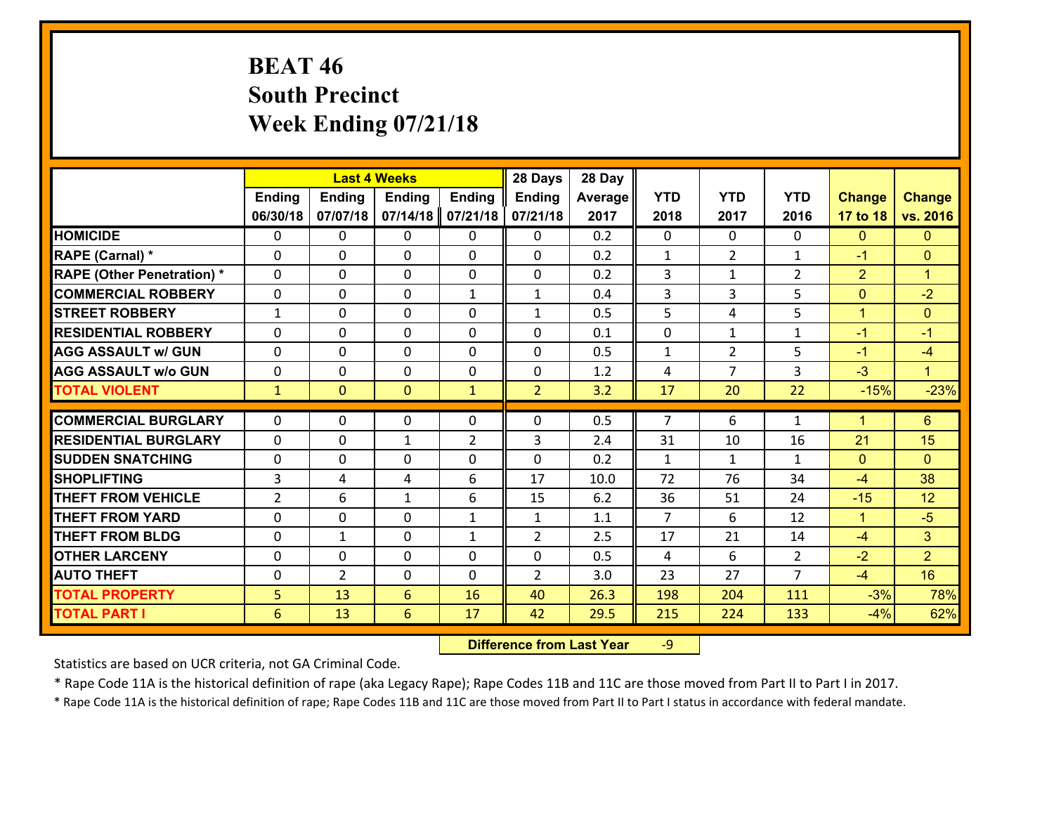# **BEAT 46 South Precinct Week Ending 07/21/18**

|                                   |                |                | <b>Last 4 Weeks</b> |                | 28 Days        | 28 Day  |                |                |                |                |                |
|-----------------------------------|----------------|----------------|---------------------|----------------|----------------|---------|----------------|----------------|----------------|----------------|----------------|
|                                   | <b>Ending</b>  | <b>Ending</b>  | <b>Ending</b>       | <b>Ending</b>  | <b>Ending</b>  | Average | <b>YTD</b>     | <b>YTD</b>     | <b>YTD</b>     | <b>Change</b>  | <b>Change</b>  |
|                                   | 06/30/18       | 07/07/18       | 07/14/18            | 07/21/18       | 07/21/18       | 2017    | 2018           | 2017           | 2016           | 17 to 18       | vs. 2016       |
| <b>HOMICIDE</b>                   | 0              | $\Omega$       | 0                   | $\Omega$       | 0              | 0.2     | $\Omega$       | $\Omega$       | 0              | $\mathbf{0}$   | $\mathbf{0}$   |
| RAPE (Carnal) *                   | $\Omega$       | 0              | $\mathbf{0}$        | $\Omega$       | 0              | 0.2     | $\mathbf{1}$   | $\overline{2}$ | 1              | $-1$           | $\mathbf{0}$   |
| <b>RAPE (Other Penetration) *</b> | $\Omega$       | $\Omega$       | $\mathbf{0}$        | 0              | 0              | 0.2     | 3              | $\mathbf{1}$   | $\overline{2}$ | $\overline{2}$ | $\overline{1}$ |
| <b>COMMERCIAL ROBBERY</b>         | $\Omega$       | $\Omega$       | $\mathbf 0$         | $\mathbf{1}$   | $\mathbf{1}$   | 0.4     | 3              | 3              | 5              | $\mathbf{0}$   | $-2$           |
| <b>ISTREET ROBBERY</b>            | 1              | 0              | $\mathbf{0}$        | $\Omega$       | $\mathbf{1}$   | 0.5     | 5              | 4              | 5              | $\mathbf{1}$   | $\mathbf{0}$   |
| <b>RESIDENTIAL ROBBERY</b>        | $\Omega$       | $\Omega$       | $\mathbf{0}$        | 0              | 0              | 0.1     | $\mathbf{0}$   | $\mathbf{1}$   | $\mathbf{1}$   | $-1$           | $-1$           |
| <b>AGG ASSAULT w/ GUN</b>         | $\Omega$       | 0              | $\Omega$            | 0              | 0              | 0.5     | 1              | $\overline{2}$ | 5.             | $-1$           | $-4$           |
| <b>AGG ASSAULT w/o GUN</b>        | 0              | 0              | $\mathbf 0$         | 0              | 0              | 1.2     | 4              | $\overline{7}$ | 3              | $-3$           | $\mathbf T$    |
| <b>TOTAL VIOLENT</b>              | $\mathbf{1}$   | $\mathbf{0}$   | $\mathbf{0}$        | $\mathbf{1}$   | $\overline{2}$ | 3.2     | 17             | 20             | 22             | $-15%$         | $-23%$         |
|                                   |                |                |                     |                |                |         |                |                |                |                |                |
| <b>COMMERCIAL BURGLARY</b>        | 0              | 0              | 0                   | $\Omega$       | 0              | 0.5     | 7              | 6              | 1              | $\mathbf 1$    | $6^{\circ}$    |
| <b>RESIDENTIAL BURGLARY</b>       | $\Omega$       | 0              | 1                   | $\overline{2}$ | 3              | 2.4     | 31             | 10             | 16             | 21             | 15             |
| <b>SUDDEN SNATCHING</b>           | $\Omega$       | $\Omega$       | $\mathbf 0$         | $\Omega$       | $\Omega$       | 0.2     | 1              | $\mathbf{1}$   | $\mathbf{1}$   | $\mathbf{0}$   | $\Omega$       |
| <b>SHOPLIFTING</b>                | 3              | 4              | 4                   | 6              | 17             | 10.0    | 72             | 76             | 34             | $-4$           | 38             |
| <b>THEFT FROM VEHICLE</b>         | $\overline{2}$ | 6              | $\mathbf{1}$        | 6              | 15             | 6.2     | 36             | 51             | 24             | $-15$          | 12             |
| <b>THEFT FROM YARD</b>            | $\Omega$       | $\Omega$       | $\mathbf{0}$        | $\mathbf{1}$   | $\mathbf{1}$   | 1.1     | $\overline{7}$ | 6              | 12             | $\mathbf{1}$   | $-5$           |
| <b>THEFT FROM BLDG</b>            | $\Omega$       | $\mathbf{1}$   | $\mathbf{0}$        | $\mathbf{1}$   | $\overline{2}$ | 2.5     | 17             | 21             | 14             | $-4$           | 3              |
| <b>OTHER LARCENY</b>              | 0              | $\Omega$       | $\mathbf{0}$        | 0              | 0              | 0.5     | 4              | 6              | $\overline{2}$ | $-2$           | $\overline{2}$ |
| <b>AUTO THEFT</b>                 | $\Omega$       | $\overline{2}$ | $\mathbf{0}$        | 0              | $\overline{2}$ | 3.0     | 23             | 27             | $\overline{7}$ | $-4$           | 16             |
|                                   |                |                |                     |                |                |         |                |                |                |                |                |
| <b>TOTAL PROPERTY</b>             | 5              | 13             | 6                   | 16             | 40             | 26.3    | 198            | 204            | 111            | $-3%$          | 78%            |
| <b>TOTAL PART I</b>               | 6              | 13             | 6                   | 17             | 42             | 29.5    | 215            | 224            | 133            | $-4%$          | 62%            |

 **Difference from Last Year**r -9

Statistics are based on UCR criteria, not GA Criminal Code.

\* Rape Code 11A is the historical definition of rape (aka Legacy Rape); Rape Codes 11B and 11C are those moved from Part II to Part I in 2017.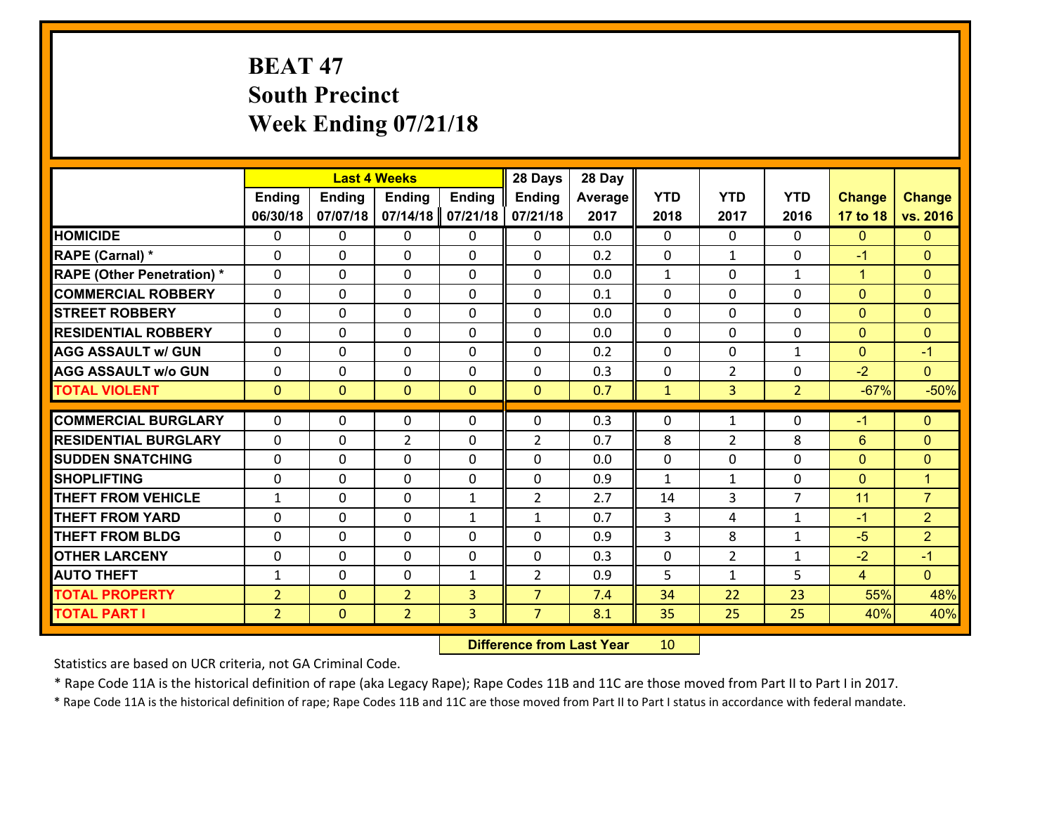# **BEAT 47 South Precinct Week Ending 07/21/18**

|                                   |                |                | <b>Last 4 Weeks</b>              |                   | 28 Days           | 28 Day     |              |                |                |                |                              |
|-----------------------------------|----------------|----------------|----------------------------------|-------------------|-------------------|------------|--------------|----------------|----------------|----------------|------------------------------|
|                                   | <b>Ending</b>  | <b>Ending</b>  | <b>Ending</b>                    | <b>Ending</b>     | <b>Ending</b>     | Average    | <b>YTD</b>   | <b>YTD</b>     | <b>YTD</b>     | <b>Change</b>  | <b>Change</b>                |
|                                   | 06/30/18       | 07/07/18       | 07/14/18                         | 07/21/18          | 07/21/18          | 2017       | 2018         | 2017           | 2016           | 17 to 18       | vs. 2016                     |
| <b>HOMICIDE</b>                   | $\mathbf{0}$   | 0              | $\mathbf{0}$                     | 0                 | 0                 | 0.0        | $\Omega$     | $\Omega$       | $\Omega$       | $\mathbf{0}$   | $\mathbf{0}$                 |
| RAPE (Carnal) *                   | $\Omega$       | 0              | $\mathbf{0}$                     | 0                 | $\Omega$          | 0.2        | $\mathbf{0}$ | $\mathbf{1}$   | $\Omega$       | $-1$           | $\mathbf{0}$                 |
| <b>RAPE (Other Penetration) *</b> | $\Omega$       | $\Omega$       | $\Omega$                         | $\Omega$          | $\Omega$          | 0.0        | $\mathbf{1}$ | $\Omega$       | $\mathbf{1}$   | $\mathbf{1}$   | $\Omega$                     |
| <b>COMMERCIAL ROBBERY</b>         | 0              | 0              | $\mathbf 0$                      | 0                 | 0                 | 0.1        | 0            | $\mathbf 0$    | 0              | $\mathbf{0}$   | $\mathbf{0}$                 |
| <b>STREET ROBBERY</b>             | $\Omega$       | 0              | $\mathbf 0$                      | $\Omega$          | 0                 | 0.0        | $\Omega$     | $\Omega$       | $\Omega$       | $\mathbf{0}$   | $\mathbf{0}$                 |
| <b>RESIDENTIAL ROBBERY</b>        | $\Omega$       | $\Omega$       | $\mathbf 0$                      | $\Omega$          | $\Omega$          | 0.0        | $\Omega$     | $\Omega$       | 0              | $\mathbf{0}$   | $\mathbf{0}$                 |
| <b>AGG ASSAULT w/ GUN</b>         | $\Omega$       | 0              | $\mathbf 0$                      | $\Omega$          | 0                 | 0.2        | $\Omega$     | $\Omega$       | $\mathbf{1}$   | $\mathbf{0}$   | $-1$                         |
| <b>AGG ASSAULT w/o GUN</b>        | 0              | 0              | $\mathbf 0$                      | 0                 | 0                 | 0.3        | $\mathbf 0$  | $\overline{2}$ | 0              | $-2$           | $\overline{0}$               |
| <b>TOTAL VIOLENT</b>              | $\mathbf{0}$   | $\overline{0}$ | $\mathbf{0}$                     | $\overline{0}$    | $\mathbf{0}$      | 0.7        | $\mathbf{1}$ | 3 <sup>1</sup> | $\overline{2}$ | $-67%$         | $-50%$                       |
| <b>COMMERCIAL BURGLARY</b>        | $\Omega$       | 0              | 0                                | 0                 | $\Omega$          | 0.3        | $\mathbf{0}$ | $\mathbf{1}$   | $\Omega$       | $-1$           | $\mathbf{0}$                 |
| <b>RESIDENTIAL BURGLARY</b>       | $\Omega$       | 0              | $\overline{2}$                   | 0                 | $\overline{2}$    | 0.7        | 8            |                | 8              | 6              |                              |
| <b>SUDDEN SNATCHING</b>           | $\Omega$       | 0              | $\mathbf{0}$                     | $\Omega$          | $\Omega$          | 0.0        | $\Omega$     | 2<br>$\Omega$  | $\Omega$       | $\mathbf{0}$   | $\mathbf{0}$<br>$\mathbf{0}$ |
| <b>SHOPLIFTING</b>                | 0              | 0              | $\mathbf 0$                      | 0                 | 0                 | 0.9        | $\mathbf{1}$ | $\mathbf{1}$   | 0              | $\mathbf{0}$   | $\blacktriangleleft$         |
| <b>THEFT FROM VEHICLE</b>         | $\mathbf{1}$   | 0              | $\mathbf{0}$                     | $\mathbf{1}$      | $\overline{2}$    | 2.7        | 14           | 3              | $\overline{7}$ | 11             | $\overline{7}$               |
| <b>THEFT FROM YARD</b>            | 0              | 0              | $\mathbf 0$                      |                   |                   | 0.7        | 3            | 4              | $\mathbf{1}$   | $-1$           | $\overline{2}$               |
| <b>THEFT FROM BLDG</b>            | 0              | 0              | $\mathbf 0$                      | $\mathbf{1}$<br>0 | $\mathbf{1}$<br>0 | 0.9        | 3            | 8              | $\mathbf{1}$   | $-5$           | $\overline{2}$               |
|                                   |                |                |                                  |                   |                   |            |              |                |                |                |                              |
| <b>OTHER LARCENY</b>              | 0              | 0              | $\mathbf 0$                      | 0                 | 0                 | 0.3        | 0            | $\overline{2}$ | $\mathbf{1}$   | $-2$           | $-1$                         |
| <b>AUTO THEFT</b>                 | $\mathbf{1}$   | 0              | $\mathbf 0$                      | $\mathbf{1}$      | $\overline{2}$    | 0.9        | 5            | $\mathbf{1}$   | 5              | $\overline{4}$ | $\overline{0}$               |
| <b>TOTAL PROPERTY</b>             | $\overline{2}$ | $\overline{0}$ | $\overline{2}$<br>$\overline{2}$ | 3<br>3            | $\overline{7}$    | 7.4<br>8.1 | 34<br>35     | 22<br>25       | 23<br>25       | 55%<br>40%     | 48%<br>40%                   |
| <b>TOTAL PART I</b>               | 2 <sup>1</sup> | $\mathbf{0}$   |                                  |                   | $\overline{7}$    |            |              |                |                |                |                              |

 **Difference from Last Year**r 10

Statistics are based on UCR criteria, not GA Criminal Code.

\* Rape Code 11A is the historical definition of rape (aka Legacy Rape); Rape Codes 11B and 11C are those moved from Part II to Part I in 2017.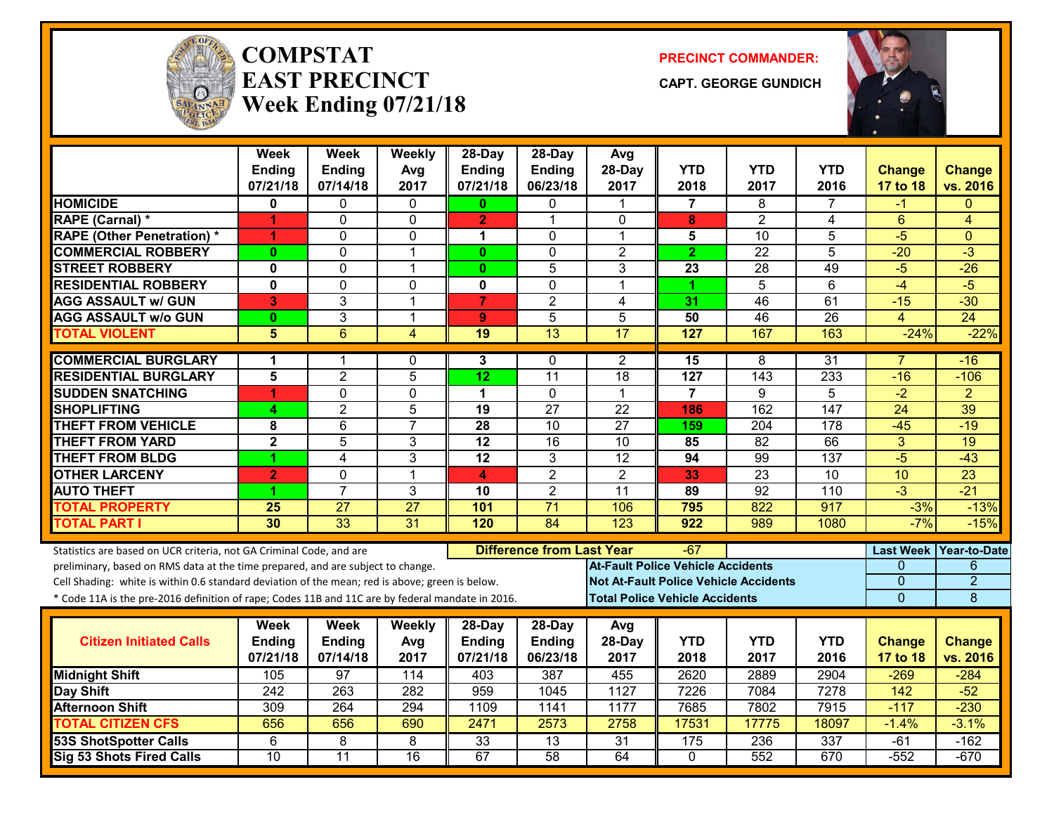

#### **COMPSTATEAST PRECINCTWeek Ending 07/21/18**

**PRECINCT COMMANDER:**

**CAPT. GEORGE GUNDICH**



|                                                                                                  | <b>Week</b>               | <b>Week</b>               | Weekly          | 28-Day                    | $28$ -Day                        | Avg              |                                              |                  |                  |                    |                    |
|--------------------------------------------------------------------------------------------------|---------------------------|---------------------------|-----------------|---------------------------|----------------------------------|------------------|----------------------------------------------|------------------|------------------|--------------------|--------------------|
|                                                                                                  | <b>Ending</b><br>07/21/18 | <b>Ending</b><br>07/14/18 | Avg<br>2017     | <b>Ending</b><br>07/21/18 | Ending<br>06/23/18               | 28-Day<br>2017   | <b>YTD</b><br>2018                           | YTD<br>2017      | YTD<br>2016      | Change<br>17 to 18 | Change<br>vs. 2016 |
| <b>HOMICIDE</b>                                                                                  | 0                         | 0                         | $\mathbf{0}$    | $\mathbf{0}$              | 0                                | 1                | 7                                            | 8                |                  | -1                 | $\Omega$           |
| RAPE (Carnal) *                                                                                  | 1                         | 0                         | 0               | $\overline{2}$            | 1                                | $\Omega$         | 8                                            | $\overline{2}$   | 4                | 6                  | 4                  |
| <b>RAPE (Other Penetration) *</b>                                                                | 1                         | $\Omega$                  | 0               | 1                         | $\Omega$                         | 1                | 5                                            | 10               | $\overline{5}$   | $-5$               | $\Omega$           |
| <b>COMMERCIAL ROBBERY</b>                                                                        | $\bf{0}$                  | 0                         | $\overline{1}$  | $\mathbf{0}$              | $\Omega$                         | $\overline{2}$   | $\overline{2}$                               | $\overline{22}$  | 5                | $-20$              | $\overline{3}$     |
| <b>STREET ROBBERY</b>                                                                            | $\mathbf 0$               | 0                         | $\mathbf{1}$    | $\mathbf{0}$              | 5                                | 3                | 23                                           | 28               | 49               | $-5$               | $-26$              |
| <b>RESIDENTIAL ROBBERY</b>                                                                       | $\overline{\mathbf{0}}$   | $\overline{0}$            | $\mathbf 0$     | 0                         | $\Omega$                         | $\mathbf 1$      | 1                                            | $\overline{5}$   | $\overline{6}$   | $-4$               | $-5$               |
| <b>AGG ASSAULT w/ GUN</b>                                                                        | 3                         | 3                         | $\overline{1}$  | $\overline{7}$            | $\overline{2}$                   | 4                | 31                                           | 46               | 61               | $-15$              | $-30$              |
| <b>AGG ASSAULT w/o GUN</b>                                                                       | $\bf{0}$                  | 3                         | $\mathbf 1$     | 9                         | 5                                | 5                | 50                                           | 46               | 26               | 4                  | $\overline{24}$    |
| <b>TOTAL VIOLENT</b>                                                                             | 5                         | $\overline{6}$            | 4               | 19                        | 13                               | $\overline{17}$  | 127                                          | 167              | 163              | $-24%$             | $-22%$             |
| <b>COMMERCIAL BURGLARY</b>                                                                       | 1                         | 1                         | 0               | 3                         | $\mathbf{0}$                     | 2                | 15                                           | 8                | 31               | $\overline{7}$     | $-16$              |
| <b>RESIDENTIAL BURGLARY</b>                                                                      | 5                         | $\overline{2}$            | 5               | $\overline{12}$           | $\overline{11}$                  | 18               | 127                                          | 143              | 233              | $-16$              | $-106$             |
| <b>SUDDEN SNATCHING</b>                                                                          | 4                         | 0                         | $\mathbf 0$     | 1                         | $\Omega$                         | $\mathbf{1}$     | $\overline{7}$                               | 9                | 5                | $-2$               | $\overline{2}$     |
| <b>SHOPLIFTING</b>                                                                               | 4                         | $\overline{2}$            | 5               | 19                        | $\overline{27}$                  | 22               | 186                                          | 162              | 147              | 24                 | 39                 |
| <b>THEFT FROM VEHICLE</b>                                                                        | 8                         | $\overline{6}$            | $\overline{7}$  | $\overline{28}$           | $\overline{10}$                  | $\overline{27}$  | 159                                          | $\overline{204}$ | $\overline{178}$ | $-45$              | $-19$              |
| <b>THEFT FROM YARD</b>                                                                           | $\overline{2}$            | $\overline{5}$            | 3               | $\overline{12}$           | $\overline{16}$                  | $\overline{10}$  | 85                                           | $\overline{82}$  | 66               | $\overline{3}$     | $\overline{19}$    |
| <b>THEFT FROM BLDG</b>                                                                           | 1                         | 4                         | 3               | 12                        | 3                                | 12               | 94                                           | 99               | 137              | $-5$               | $-43$              |
| <b>OTHER LARCENY</b>                                                                             | $\overline{2}$            | $\Omega$                  | $\overline{1}$  | 4                         | $\overline{2}$                   | $\overline{2}$   | 33                                           | 23               | $\overline{10}$  | 10                 | 23                 |
| <b>AUTO THEFT</b>                                                                                | 4                         | $\overline{7}$            | 3               | 10                        | $\overline{2}$                   | 11               | 89                                           | 92               | 110              | $-3$               | $-21$              |
| <b>TOTAL PROPERTY</b>                                                                            | 25                        | 27                        | 27              | 101                       | 71                               | 106              | 795                                          | 822              | 917              | $-3%$              | $-13%$             |
| <b>TOTAL PART I</b>                                                                              | 30                        | $\overline{33}$           | $\overline{31}$ | 120                       | 84                               | $\overline{123}$ | $\overline{922}$                             | 989              | 1080             | $-7%$              | $-15%$             |
| Statistics are based on UCR criteria, not GA Criminal Code, and are                              |                           |                           |                 |                           | <b>Difference from Last Year</b> |                  | -67                                          |                  |                  | <b>Last Week</b>   | Year-to-Date       |
| preliminary, based on RMS data at the time prepared, and are subject to change.                  |                           |                           |                 |                           |                                  |                  | <b>At-Fault Police Vehicle Accidents</b>     |                  |                  | 0                  | 6                  |
| Cell Shading: white is within 0.6 standard deviation of the mean; red is above; green is below.  |                           |                           |                 |                           |                                  |                  | <b>Not At-Fault Police Vehicle Accidents</b> |                  |                  | $\Omega$           | $\overline{2}$     |
| * Code 11A is the pre-2016 definition of rape; Codes 11B and 11C are by federal mandate in 2016. |                           |                           |                 |                           |                                  |                  | <b>Total Police Vehicle Accidents</b>        |                  |                  | $\overline{0}$     | 8                  |
|                                                                                                  | Week                      | <b>Week</b>               | Weekly          | 28-Day                    | 28-Day                           | Avg              |                                              |                  |                  |                    |                    |
| <b>Citizen Initiated Calls</b>                                                                   | Ending                    | Ending                    | Avg             | <b>Ending</b>             | <b>Ending</b>                    | 28-Day           | <b>YTD</b>                                   | <b>YTD</b>       | <b>YTD</b>       | <b>Change</b>      | <b>Change</b>      |
|                                                                                                  | 07/21/18                  | 07/14/18                  | 2017            | 07/21/18                  | 06/23/18                         | 2017             | 2018                                         | 2017             | 2016             | <b>17 to 18</b>    | vs. 2016           |
| <b>Midnight Shift</b>                                                                            | 105                       | 97                        | 114             | 403                       | 387                              | 455              | 2620                                         | 2889             | 2904             | $-269$             | $-284$             |
| <b>Day Shift</b>                                                                                 | $\overline{242}$          | 263                       | 282             | 959                       | 1045                             | 1127             | 7226                                         | 7084             | 7278             | 142                | $-52$              |
| <b>Afternoon Shift</b>                                                                           | 309                       | 264                       | 294             | 1109                      | 1141                             | 1177             | 7685                                         | 7802             | 7915             | $-117$             | $-230$             |
| <b>TOTAL CITIZEN CFS</b>                                                                         | 656                       | 656                       | 690             | 2471                      | 2573                             | 2758             | 17531                                        | 17775            | 18097            | $-1.4%$            | $-3.1%$            |
| <b>53S ShotSpotter Calls</b>                                                                     | 6                         | 8                         | 8               | 33                        | $\overline{13}$                  | $\overline{31}$  | 175                                          | 236              | 337              | $-61$              | $-162$             |
| <b>Sig 53 Shots Fired Calls</b>                                                                  | $\overline{10}$           | $\overline{11}$           | $\overline{16}$ | 67                        | 58                               | 64               | $\Omega$                                     | 552              | 670              | $-552$             | $-670$             |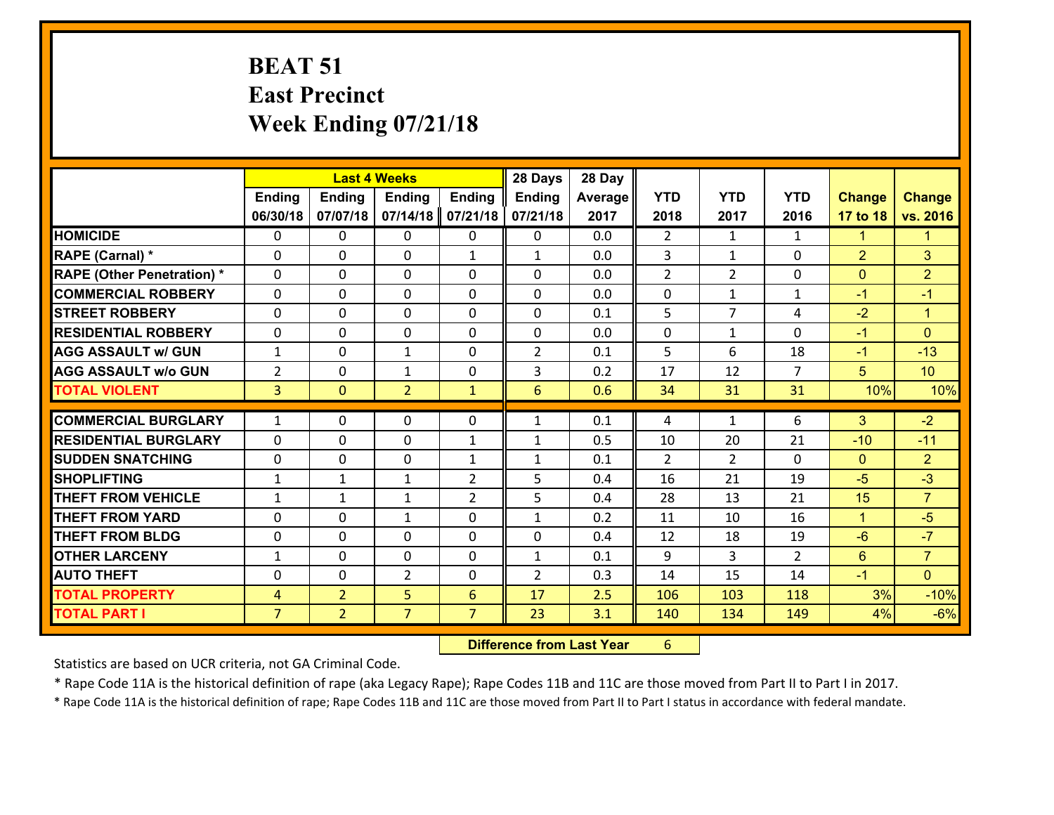## **BEAT 51 East Precinct Week Ending 07/21/18**

|                                   |                |                | <b>Last 4 Weeks</b> |                | 28 Days        | 28 Day     |                |                |                |                      |                        |
|-----------------------------------|----------------|----------------|---------------------|----------------|----------------|------------|----------------|----------------|----------------|----------------------|------------------------|
|                                   | <b>Ending</b>  | Ending         | <b>Ending</b>       | <b>Ending</b>  | Ending         | Average    | <b>YTD</b>     | <b>YTD</b>     | <b>YTD</b>     | <b>Change</b>        | <b>Change</b>          |
|                                   | 06/30/18       | 07/07/18       | 07/14/18            | 07/21/18       | 07/21/18       | 2017       | 2018           | 2017           | 2016           | 17 to 18             | vs. 2016               |
| <b>HOMICIDE</b>                   | $\Omega$       | 0              | $\mathbf{0}$        | 0              | 0              | 0.0        | 2              | $\mathbf{1}$   | $\mathbf{1}$   | $\blacktriangleleft$ | $\blacktriangleleft$   |
| RAPE (Carnal) *                   | $\Omega$       | 0              | $\mathbf{0}$        | $\mathbf{1}$   | $\mathbf{1}$   | 0.0        | 3              | $\mathbf{1}$   | $\Omega$       | $\overline{2}$       | 3                      |
| <b>RAPE (Other Penetration) *</b> | 0              | 0              | $\mathbf 0$         | 0              | 0              | 0.0        | $\overline{2}$ | $\overline{2}$ | 0              | $\mathbf{0}$         | $\overline{2}$         |
| <b>COMMERCIAL ROBBERY</b>         | 0              | 0              | 0                   | 0              | 0              | 0.0        | 0              | $\mathbf{1}$   | 1              | $-1$                 | $-1$                   |
| <b>STREET ROBBERY</b>             | $\Omega$       | 0              | $\mathbf 0$         | 0              | 0              | 0.1        | 5              | $\overline{7}$ | 4              | $-2$                 | $\blacktriangleleft$   |
| <b>RESIDENTIAL ROBBERY</b>        | 0              | 0              | $\mathbf 0$         | 0              | 0              | 0.0        | $\mathbf 0$    | $\mathbf{1}$   | 0              | $-1$                 | $\mathbf{0}$           |
| <b>AGG ASSAULT w/ GUN</b>         | $\mathbf{1}$   | 0              | 1                   | 0              | $\overline{2}$ | 0.1        | 5 <sup>5</sup> | 6              | 18             | $-1$                 | $-13$                  |
| <b>AGG ASSAULT w/o GUN</b>        | $\overline{2}$ | 0              | $\mathbf{1}$        | 0              | 3              | 0.2        | 17             | 12             | $\overline{7}$ | 5                    | 10                     |
| <b>TOTAL VIOLENT</b>              | 3 <sup>1</sup> | $\overline{0}$ | $\overline{2}$      | $\mathbf{1}$   | 6              | 0.6        | 34             | 31             | 31             | 10%                  | 10%                    |
| <b>COMMERCIAL BURGLARY</b>        | $\mathbf{1}$   | 0              | $\mathbf{0}$        | 0              | $\mathbf{1}$   | 0.1        | 4              | $\mathbf{1}$   | 6              | 3                    | $-2$                   |
| <b>RESIDENTIAL BURGLARY</b>       |                |                |                     |                |                |            |                |                |                |                      |                        |
|                                   | 0              | 0              | $\mathbf 0$         | $\mathbf{1}$   | $\mathbf{1}$   | 0.5        | 10             | 20             | 21             | $-10$                | $-11$                  |
| <b>SUDDEN SNATCHING</b>           | 0              | 0              | 0                   | $\mathbf{1}$   | $\mathbf{1}$   | 0.1<br>0.4 | $\mathcal{P}$  | $\overline{2}$ | $\Omega$       | $\mathbf{0}$         | $\overline{2}$<br>$-3$ |
| <b>SHOPLIFTING</b>                | $\mathbf{1}$   | 1              | 1                   | $\overline{2}$ | 5              |            | 16             | 21             | 19             | $-5$                 |                        |
| <b>THEFT FROM VEHICLE</b>         | $\mathbf{1}$   | 1              | $\mathbf{1}$        | $\overline{2}$ | 5              | 0.4        | 28             | 13             | 21             | 15                   | $\overline{7}$         |
| <b>THEFT FROM YARD</b>            | $\mathbf{0}$   | 0              | 1                   | 0              | $\mathbf{1}$   | 0.2        | 11             | 10             | 16             | $\mathbf{1}$         | $-5$                   |
| <b>THEFT FROM BLDG</b>            | 0              | 0              | $\mathbf 0$         | 0              | 0              | 0.4        | 12             | 18             | 19             | $-6$                 | $-7$                   |
| <b>OTHER LARCENY</b>              | $\mathbf{1}$   | 0              | $\mathbf 0$         | 0              | $\mathbf{1}$   | 0.1        | 9              | 3              | $\overline{2}$ | $6^{\circ}$          | $\overline{7}$         |
| <b>AUTO THEFT</b>                 | $\mathbf{0}$   | 0              | $\overline{2}$      | 0              | $\overline{2}$ | 0.3        | 14             | 15             | 14             | $-1$                 | $\overline{0}$         |
| <b>TOTAL PROPERTY</b>             | $\overline{4}$ | $\overline{2}$ | 5                   | 6              | 17             | 2.5        | 106            | 103            | 118            | 3%                   | $-10%$                 |
| <b>TOTAL PART I</b>               | $\overline{7}$ | $\overline{2}$ | $\overline{7}$      | $\overline{7}$ | 23             | 3.1        | 140            | 134            | 149            | 4%                   | $-6%$                  |

 **Difference from Last Year**r 6

Statistics are based on UCR criteria, not GA Criminal Code.

\* Rape Code 11A is the historical definition of rape (aka Legacy Rape); Rape Codes 11B and 11C are those moved from Part II to Part I in 2017.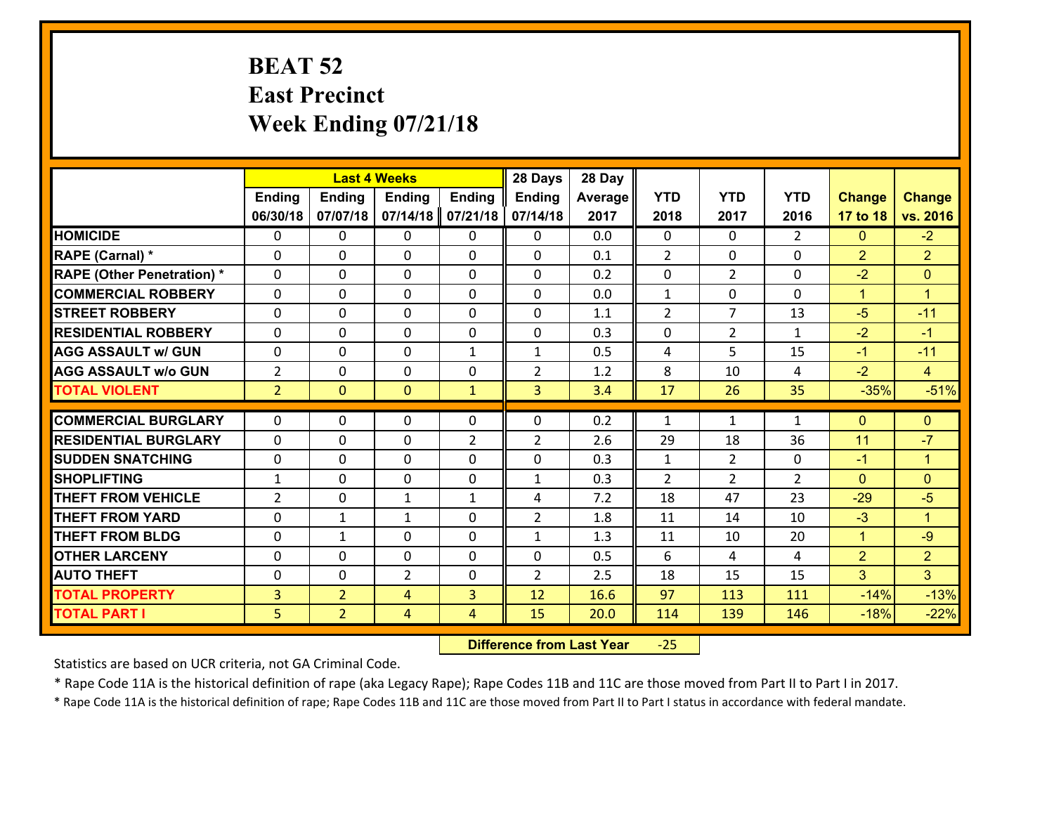## **BEAT 52 East Precinct Week Ending 07/21/18**

|                                              |                | <b>Last 4 Weeks</b>              |                |                     | 28 Days        | 28 Day       |                |                |                |                      |                  |
|----------------------------------------------|----------------|----------------------------------|----------------|---------------------|----------------|--------------|----------------|----------------|----------------|----------------------|------------------|
|                                              | <b>Ending</b>  | <b>Ending</b>                    | <b>Ending</b>  | <b>Ending</b>       | <b>Ending</b>  | Average      | <b>YTD</b>     | <b>YTD</b>     | <b>YTD</b>     | <b>Change</b>        | <b>Change</b>    |
|                                              | 06/30/18       | 07/07/18                         | 07/14/18       | 07/21/18            | 07/14/18       | 2017         | 2018           | 2017           | 2016           | 17 to 18             | vs. 2016         |
| <b>HOMICIDE</b>                              | $\Omega$       | 0                                | $\Omega$       | 0                   | $\Omega$       | 0.0          | $\Omega$       | $\Omega$       | $\overline{2}$ | $\Omega$             | $-2$             |
| RAPE (Carnal) *                              | $\Omega$       | 0                                | $\mathbf{0}$   | $\Omega$            | 0              | 0.1          | $\overline{2}$ | $\Omega$       | $\Omega$       | 2                    | $\overline{2}$   |
| <b>RAPE (Other Penetration) *</b>            | $\Omega$       | 0                                | $\Omega$       | $\Omega$            | 0              | 0.2          | $\Omega$       | $\overline{2}$ | $\Omega$       | $-2$                 | $\Omega$         |
| <b>COMMERCIAL ROBBERY</b>                    | $\mathbf 0$    | 0                                | $\mathbf{0}$   | $\Omega$            | 0              | 0.0          | $\mathbf{1}$   | 0              | 0              | $\blacktriangleleft$ | $\mathbf{1}$     |
| <b>STREET ROBBERY</b>                        | $\Omega$       | 0                                | $\mathbf 0$    | 0                   | 0              | 1.1          | 2              | $\overline{7}$ | 13             | $-5$                 | $-11$            |
| <b>RESIDENTIAL ROBBERY</b>                   | $\mathbf{0}$   | 0                                | $\Omega$       | 0                   | $\Omega$       | 0.3          | $\mathbf 0$    | $\overline{2}$ | $\mathbf{1}$   | $-2$                 | $-1$             |
| <b>AGG ASSAULT w/ GUN</b>                    | $\mathbf 0$    | 0                                | $\mathbf 0$    | $\mathbf{1}$        | $\mathbf{1}$   | 0.5          | 4              | 5              | 15             | $-1$                 | $-11$            |
| <b>AGG ASSAULT w/o GUN</b>                   | $\overline{2}$ | 0                                | $\mathbf 0$    | 0                   | $\overline{2}$ | 1.2          | 8              | 10             | 4              | $-2$                 | $\overline{4}$   |
| <b>TOTAL VIOLENT</b>                         | 2 <sup>1</sup> | $\overline{0}$                   | $\overline{0}$ | $\mathbf{1}$        | $\overline{3}$ | 3.4          | 17             | 26             | 35             | $-35%$               | $-51%$           |
| <b>COMMERCIAL BURGLARY</b>                   | $\Omega$       | 0                                | $\Omega$       | $\Omega$            | 0              | 0.2          | $\mathbf{1}$   | $\mathbf{1}$   | $\mathbf{1}$   | $\Omega$             | $\Omega$         |
| <b>RESIDENTIAL BURGLARY</b>                  | $\mathbf 0$    | 0                                | 0              | $\overline{2}$      | $\overline{2}$ | 2.6          | 29             | 18             | 36             | 11                   | $-7$             |
| <b>SUDDEN SNATCHING</b>                      | $\mathbf 0$    | 0                                | $\mathbf 0$    | 0                   | 0              | 0.3          | $\mathbf{1}$   | $\overline{2}$ | 0              | $-1$                 | $\mathbf{1}$     |
| <b>SHOPLIFTING</b>                           |                |                                  |                |                     |                |              |                |                |                |                      |                  |
|                                              |                |                                  |                |                     |                |              |                |                |                |                      |                  |
|                                              | $\mathbf{1}$   | 0                                | $\mathbf 0$    | 0                   | $\mathbf{1}$   | 0.3          | $\overline{2}$ | $\overline{2}$ | $\overline{2}$ | $\Omega$             | $\overline{0}$   |
| <b>THEFT FROM VEHICLE</b>                    | $\overline{2}$ | 0                                | $\mathbf{1}$   | $\mathbf{1}$        | 4              | 7.2          | 18             | 47             | 23             | $-29$                | $-5$             |
| <b>THEFT FROM YARD</b>                       | $\mathbf 0$    | $\mathbf{1}$                     | $\mathbf{1}$   | $\mathbf 0$         | $\overline{2}$ | 1.8          | 11             | 14             | 10             | $-3$                 | $\mathbf{1}$     |
| <b>THEFT FROM BLDG</b>                       | $\mathbf 0$    | $\mathbf{1}$                     | $\mathbf 0$    | 0                   | 1              | 1.3          | 11             | 10             | 20             | $\overline{1}$       | $-9$             |
| <b>OTHER LARCENY</b>                         | $\mathbf 0$    | 0                                | $\mathbf 0$    | 0                   | 0              | 0.5          | 6              | 4              | 4              | $\overline{2}$       | $\overline{2}$   |
| <b>AUTO THEFT</b>                            | $\mathbf{0}$   | $\mathbf{0}$                     | $\overline{2}$ | 0                   | $\overline{2}$ | 2.5          | 18             | 15             | 15             | $\mathbf{3}$         | 3 <sup>1</sup>   |
| <b>TOTAL PROPERTY</b><br><b>TOTAL PART I</b> | 3<br>5         | $\overline{2}$<br>$\overline{2}$ | 4<br>4         | 3<br>$\overline{4}$ | 12<br>15       | 16.6<br>20.0 | 97<br>114      | 113<br>139     | 111<br>146     | $-14%$<br>$-18%$     | $-13%$<br>$-22%$ |

 **Difference from Last Year**‐25

Statistics are based on UCR criteria, not GA Criminal Code.

\* Rape Code 11A is the historical definition of rape (aka Legacy Rape); Rape Codes 11B and 11C are those moved from Part II to Part I in 2017.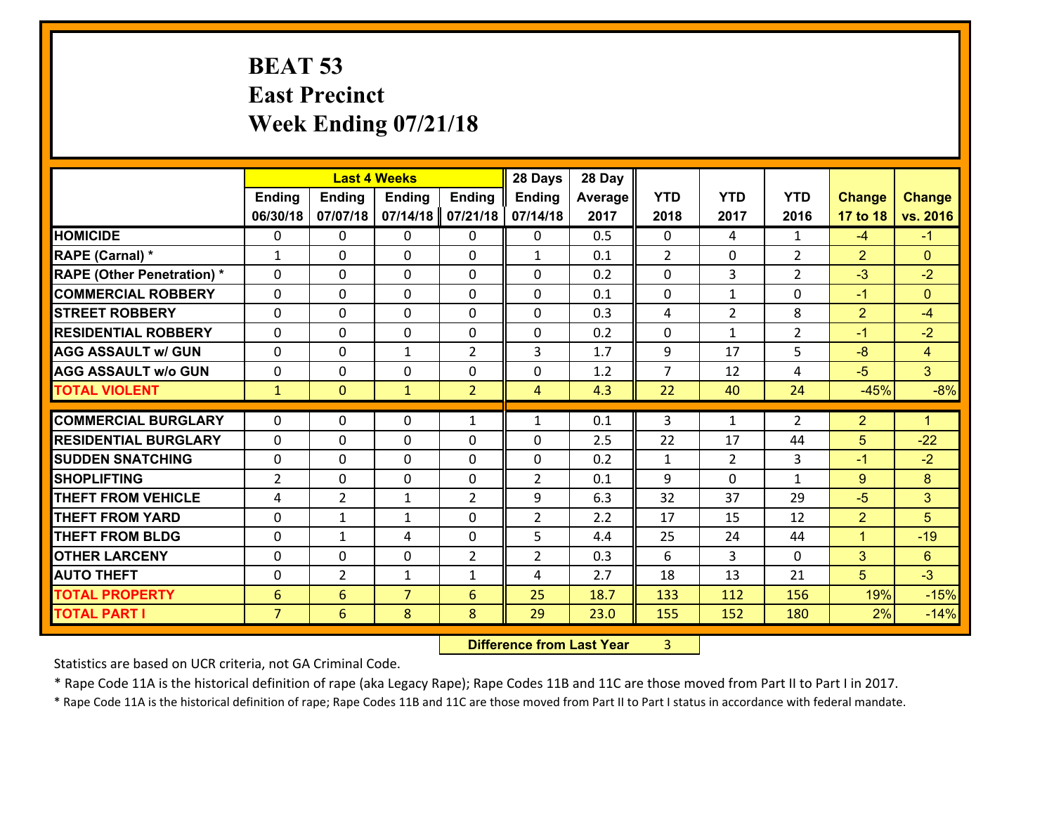## **BEAT 53 East Precinct Week Ending 07/21/18**

|                                              |                                  | <b>Last 4 Weeks</b> |                     |                | 28 Days        | 28 Day       |                |                |                |                |                      |
|----------------------------------------------|----------------------------------|---------------------|---------------------|----------------|----------------|--------------|----------------|----------------|----------------|----------------|----------------------|
|                                              | Ending                           | <b>Ending</b>       | <b>Ending</b>       | <b>Ending</b>  | <b>Ending</b>  | Average      | <b>YTD</b>     | <b>YTD</b>     | <b>YTD</b>     | <b>Change</b>  | <b>Change</b>        |
|                                              | 06/30/18                         | 07/07/18            | 07/14/18            | 07/21/18       | 07/14/18       | 2017         | 2018           | 2017           | 2016           | 17 to 18       | vs. 2016             |
| <b>HOMICIDE</b>                              | $\mathbf{0}$                     | 0                   | 0                   | $\mathbf{0}$   | 0              | 0.5          | $\mathbf{0}$   | 4              | $\mathbf{1}$   | $-4$           | $-1$                 |
| RAPE (Carnal) *                              | $\mathbf{1}$                     | 0                   | 0                   | $\mathbf{0}$   | $\mathbf{1}$   | 0.1          | 2              | 0              | $\overline{2}$ | $\overline{2}$ | $\Omega$             |
| <b>RAPE (Other Penetration) *</b>            | $\Omega$                         | $\Omega$            | $\Omega$            | $\Omega$       | $\Omega$       | 0.2          | $\Omega$       | 3              | $\overline{2}$ | $-3$           | $-2$                 |
| <b>COMMERCIAL ROBBERY</b>                    | 0                                | 0                   | $\mathbf 0$         | 0              | 0              | 0.1          | $\mathbf 0$    | $\mathbf{1}$   | 0              | $-1$           | $\Omega$             |
| <b>STREET ROBBERY</b>                        | $\Omega$                         | 0                   | $\mathbf{0}$        | $\Omega$       | 0              | 0.3          | 4              | $\overline{2}$ | 8              | $\overline{2}$ | $-4$                 |
| <b>RESIDENTIAL ROBBERY</b>                   | $\Omega$                         | $\Omega$            | 0                   | 0              | $\Omega$       | 0.2          | $\Omega$       | $\mathbf{1}$   | $\overline{2}$ | $-1$           | $-2$                 |
| <b>AGG ASSAULT w/ GUN</b>                    | $\Omega$                         | 0                   | $\mathbf{1}$        | $\overline{2}$ | 3              | 1.7          | 9              | 17             | 5              | $-8$           | $\overline{4}$       |
| <b>AGG ASSAULT w/o GUN</b>                   | 0                                | 0                   | 0                   | 0              | 0              | 1.2          | $\overline{7}$ | 12             | 4              | $-5$           | 3 <sup>°</sup>       |
| <b>TOTAL VIOLENT</b>                         | $\mathbf{1}$                     | $\overline{0}$      | $\mathbf{1}$        | $\overline{2}$ | $\overline{4}$ | 4.3          | 22             | 40             | 24             | $-45%$         | $-8%$                |
| <b>COMMERCIAL BURGLARY</b>                   | $\Omega$                         | 0                   | $\mathbf{0}$        | $\mathbf{1}$   | $\mathbf{1}$   | 0.1          | 3              | $\mathbf{1}$   | 2              | $\overline{2}$ | $\blacktriangleleft$ |
| <b>RESIDENTIAL BURGLARY</b>                  | $\Omega$                         | 0                   | $\mathbf{0}$        | 0              | $\Omega$       | 2.5          | 22             | 17             | 44             | 5              | $-22$                |
|                                              |                                  |                     |                     |                |                |              |                |                |                |                |                      |
|                                              |                                  |                     |                     |                |                |              |                |                |                |                |                      |
| <b>SUDDEN SNATCHING</b>                      | 0                                | 0                   | $\mathbf{0}$        | $\Omega$       | $\Omega$       | 0.2          | $\mathbf{1}$   | $\mathcal{L}$  | 3              | $-1$           | $-2$                 |
| <b>SHOPLIFTING</b>                           | $\overline{2}$                   | 0                   | 0                   | 0              | $\overline{2}$ | 0.1          | 9              | $\Omega$       | $\mathbf{1}$   | 9              | 8                    |
| <b>THEFT FROM VEHICLE</b>                    | 4                                | $\overline{2}$      | $\mathbf{1}$        | 2              | 9              | 6.3          | 32             | 37             | 29             | $-5$           | 3                    |
| <b>THEFT FROM YARD</b>                       | 0                                | $\mathbf{1}$        | $\mathbf{1}$        | 0              | $\overline{2}$ | 2.2          | 17             | 15             | 12             | $\overline{2}$ | 5                    |
| <b>THEFT FROM BLDG</b>                       | 0                                | $\mathbf{1}$        | 4                   | 0              | 5              | 4.4          | 25             | 24             | 44             | $\mathbf{1}$   | $-19$                |
| <b>OTHER LARCENY</b>                         | 0                                | 0                   | 0                   | 2              | $\overline{2}$ | 0.3          | 6              | 3              | 0              | 3              | 6                    |
| <b>AUTO THEFT</b>                            | 0                                | $\overline{2}$      | $\mathbf{1}$        | $\mathbf{1}$   | 4              | 2.7          | 18             | 13             | 21             | 5 <sup>5</sup> | $-3$                 |
| <b>TOTAL PROPERTY</b><br><b>TOTAL PART I</b> | $6\phantom{1}$<br>$\overline{7}$ | 6<br>6              | $\overline{7}$<br>8 | 6<br>8         | 25<br>29       | 18.7<br>23.0 | 133<br>155     | 112<br>152     | 156<br>180     | 19%<br>2%      | $-15%$<br>$-14%$     |

**19. Difference from Last Year** 3  $3 \mid$ 

Statistics are based on UCR criteria, not GA Criminal Code.

\* Rape Code 11A is the historical definition of rape (aka Legacy Rape); Rape Codes 11B and 11C are those moved from Part II to Part I in 2017.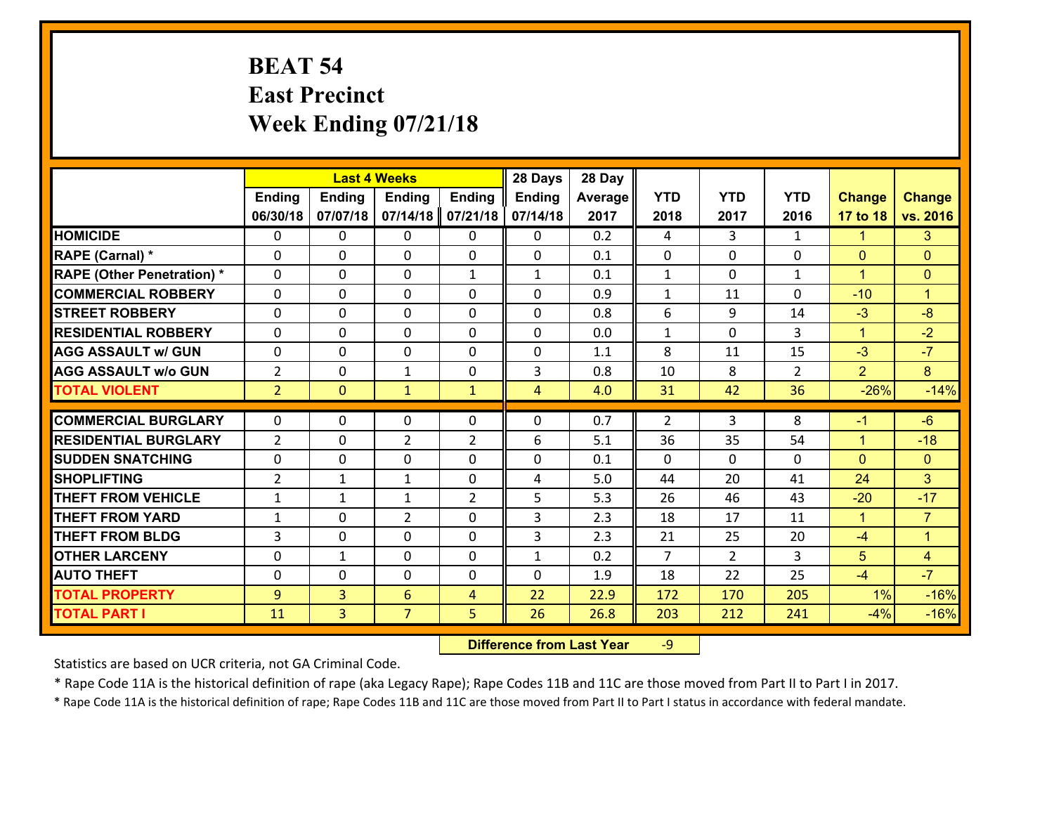## **BEAT 54 East Precinct Week Ending 07/21/18**

|                                   |                | <b>Last 4 Weeks</b> |                |                | 28 Days        | 28 Day  |                |                |                |                      |                      |
|-----------------------------------|----------------|---------------------|----------------|----------------|----------------|---------|----------------|----------------|----------------|----------------------|----------------------|
|                                   | Ending         | <b>Ending</b>       | <b>Ending</b>  | <b>Ending</b>  | <b>Ending</b>  | Average | <b>YTD</b>     | <b>YTD</b>     | <b>YTD</b>     | <b>Change</b>        | <b>Change</b>        |
|                                   | 06/30/18       | 07/07/18            | 07/14/18       | 07/21/18       | 07/14/18       | 2017    | 2018           | 2017           | 2016           | 17 to 18             | vs. 2016             |
| <b>HOMICIDE</b>                   | $\Omega$       | 0                   | 0              | $\Omega$       | 0              | 0.2     | 4              | 3              | $\mathbf{1}$   | $\mathbf{1}$         | 3                    |
| RAPE (Carnal) *                   | $\mathbf{0}$   | 0                   | $\mathbf{0}$   | 0              | $\Omega$       | 0.1     | $\mathbf{0}$   | $\Omega$       | 0              | $\mathbf{0}$         | $\mathbf{0}$         |
| <b>RAPE (Other Penetration) *</b> | $\Omega$       | 0                   | $\mathbf{0}$   | $\mathbf{1}$   | $\mathbf{1}$   | 0.1     | $\mathbf{1}$   | $\Omega$       | $\mathbf{1}$   | $\blacktriangleleft$ | $\mathbf{0}$         |
| <b>COMMERCIAL ROBBERY</b>         | 0              | 0                   | 0              | 0              | 0              | 0.9     | $\mathbf{1}$   | 11             | 0              | $-10$                | $\mathbf{1}$         |
| <b>STREET ROBBERY</b>             | $\Omega$       | 0                   | 0              | 0              | 0              | 0.8     | 6              | 9              | 14             | $-3$                 | $-8$                 |
| <b>RESIDENTIAL ROBBERY</b>        | $\Omega$       | 0                   | 0              | $\Omega$       | $\Omega$       | 0.0     | $\mathbf{1}$   | $\Omega$       | 3              | $\mathbf{1}$         | $-2$                 |
| <b>AGG ASSAULT w/ GUN</b>         | 0              | 0                   | 0              | 0              | 0              | 1.1     | 8              | 11             | 15             | $-3$                 | $-7$                 |
| <b>AGG ASSAULT w/o GUN</b>        | $\overline{2}$ | 0                   | $\mathbf{1}$   | 0              | 3              | 0.8     | 10             | 8              | $\overline{2}$ | $\overline{2}$       | 8 <sup>°</sup>       |
| <b>TOTAL VIOLENT</b>              | 2 <sup>1</sup> | $\mathbf{0}$        | $\mathbf{1}$   | $\mathbf{1}$   | $\overline{4}$ | 4.0     | 31             | 42             | 36             | $-26%$               | $-14%$               |
| <b>COMMERCIAL BURGLARY</b>        | $\Omega$       | 0                   | $\mathbf{0}$   | $\Omega$       | $\Omega$       | 0.7     | $\overline{2}$ | 3              | 8              | $-1$                 | $-6$                 |
| <b>RESIDENTIAL BURGLARY</b>       | $\overline{2}$ | 0                   | $\overline{2}$ | $\overline{2}$ | 6              | 5.1     | 36             | 35             | 54             | $\mathbf{1}$         | $-18$                |
| <b>SUDDEN SNATCHING</b>           | 0              | 0                   | 0              | 0              | 0              | 0.1     | $\mathbf 0$    | $\Omega$       | 0              | $\mathbf{0}$         | $\overline{0}$       |
| <b>SHOPLIFTING</b>                | $\overline{2}$ | $\mathbf{1}$        | $\mathbf{1}$   | 0              | 4              | 5.0     | 44             | 20             | 41             | 24                   | 3 <sup>1</sup>       |
| <b>THEFT FROM VEHICLE</b>         | $\mathbf{1}$   | $\mathbf{1}$        | $\mathbf{1}$   | $\overline{2}$ | 5              | 5.3     | 26             | 46             | 43             | $-20$                | $-17$                |
| <b>THEFT FROM YARD</b>            | $\mathbf{1}$   | 0                   | $\overline{2}$ | 0              | 3              | 2.3     | 18             | 17             | 11             | $\mathbf{1}$         | $\overline{7}$       |
| <b>THEFT FROM BLDG</b>            | 3              | 0                   | 0              | 0              | 3              | 2.3     | 21             | 25             | 20             | $-4$                 | $\blacktriangleleft$ |
| <b>OTHER LARCENY</b>              | 0              | $\mathbf{1}$        | 0              | 0              | $\mathbf{1}$   | 0.2     | $\overline{7}$ | $\overline{2}$ | 3              | 5                    | $\overline{4}$       |
| <b>AUTO THEFT</b>                 | 0              | 0                   | $\mathbf{0}$   | 0              | 0              | 1.9     | 18             | 22             | 25             | $-4$                 | $-7$                 |
| <b>TOTAL PROPERTY</b>             | 9              | 3                   | 6              | $\overline{4}$ | 22             | 22.9    | 172            | 170            | 205            | 1%                   | $-16%$               |
| <b>TOTAL PART I</b>               |                | 3                   | $\overline{7}$ | 5              | 26             | 26.8    |                | 212            | 241            | $-4%$                | $-16%$               |
|                                   | 11             |                     |                |                |                |         | 203            |                |                |                      |                      |

 **Difference from Last Year**r -9

Statistics are based on UCR criteria, not GA Criminal Code.

\* Rape Code 11A is the historical definition of rape (aka Legacy Rape); Rape Codes 11B and 11C are those moved from Part II to Part I in 2017.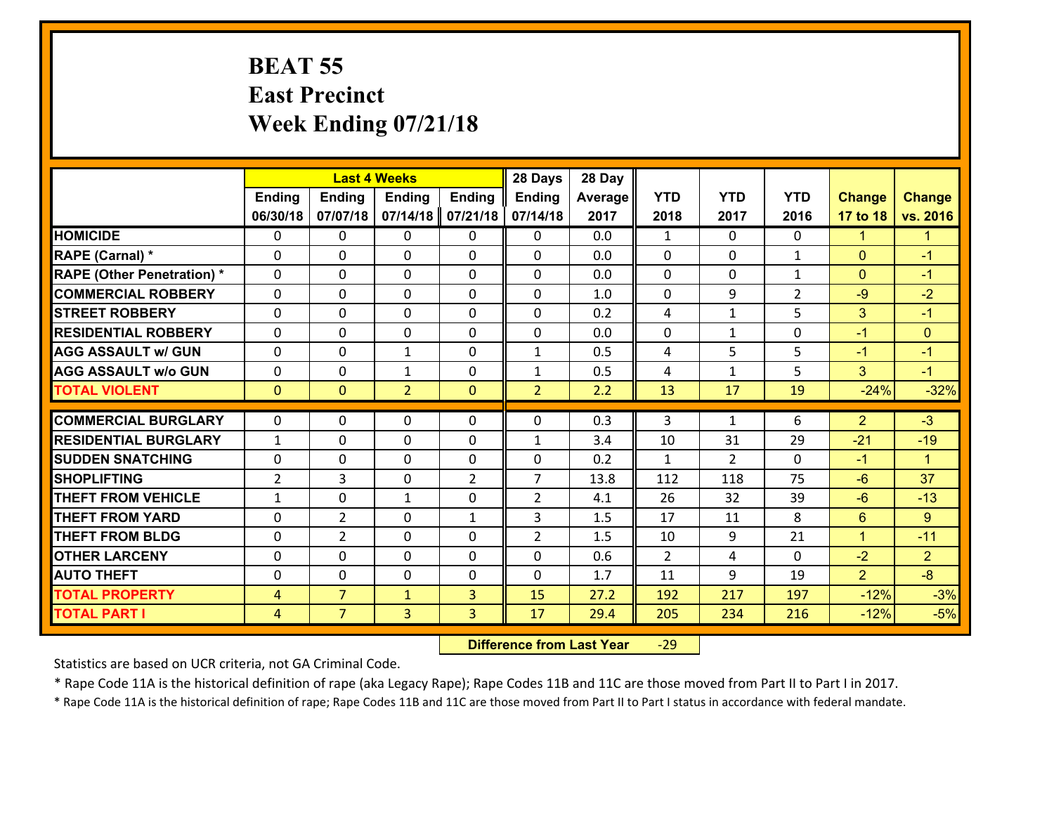## **BEAT 55 East Precinct Week Ending 07/21/18**

|                                   |                | <b>Last 4 Weeks</b> |                |                |                | 28 Day  |              |                |                |                |                      |
|-----------------------------------|----------------|---------------------|----------------|----------------|----------------|---------|--------------|----------------|----------------|----------------|----------------------|
|                                   | <b>Ending</b>  | <b>Ending</b>       | <b>Ending</b>  | <b>Ending</b>  | Ending         | Average | <b>YTD</b>   | <b>YTD</b>     | <b>YTD</b>     | <b>Change</b>  | <b>Change</b>        |
|                                   | 06/30/18       | 07/07/18            | 07/14/18       | 07/21/18       | 07/14/18       | 2017    | 2018         | 2017           | 2016           | 17 to 18       | vs. 2016             |
| <b>HOMICIDE</b>                   | $\Omega$       | 0                   | $\mathbf{0}$   | 0              | 0              | 0.0     | $\mathbf{1}$ | $\Omega$       | $\Omega$       | 1              | 1                    |
| <b>RAPE (Carnal) *</b>            | $\Omega$       | 0                   | $\mathbf{0}$   | $\Omega$       | 0              | 0.0     | 0            | $\mathbf{0}$   | $\mathbf{1}$   | $\mathbf{0}$   | $-1$                 |
| <b>RAPE (Other Penetration) *</b> | $\Omega$       | 0                   | $\mathbf 0$    | 0              | 0              | 0.0     | $\mathbf{0}$ | 0              | $\mathbf{1}$   | $\mathbf{0}$   | $-1$                 |
| <b>COMMERCIAL ROBBERY</b>         | 0              | 0                   | $\mathbf 0$    | 0              | 0              | 1.0     | $\mathbf 0$  | 9              | $\overline{2}$ | $-9$           | $-2$                 |
| <b>STREET ROBBERY</b>             | $\Omega$       | 0                   | $\mathbf 0$    | 0              | 0              | 0.2     | 4            | $\mathbf{1}$   | 5              | 3              | $-1$                 |
| <b>RESIDENTIAL ROBBERY</b>        | 0              | 0                   | $\mathbf 0$    | 0              | 0              | 0.0     | $\mathbf 0$  | $\mathbf{1}$   | 0              | $-1$           | $\mathbf{0}$         |
| <b>AGG ASSAULT w/ GUN</b>         | 0              | 0                   | $\mathbf{1}$   | 0              | $\mathbf{1}$   | 0.5     | 4            | 5              | 5              | $-1$           | $-1$                 |
| <b>AGG ASSAULT w/o GUN</b>        | 0              | 0                   | 1              | 0              | $\mathbf{1}$   | 0.5     | 4            | $\mathbf{1}$   | 5              | 3              | $-1$                 |
| <b>TOTAL VIOLENT</b>              | $\mathbf{0}$   | $\overline{0}$      | $\overline{2}$ | $\mathbf{0}$   | $\overline{2}$ | 2.2     | 13           | 17             | 19             | $-24%$         | $-32%$               |
|                                   |                |                     |                |                |                |         |              |                |                |                | $-3$                 |
| <b>COMMERCIAL BURGLARY</b>        | $\Omega$       | 0                   | $\mathbf{0}$   | $\Omega$       | 0              | 0.3     | 3            | $\mathbf{1}$   | 6              | $\overline{2}$ |                      |
| <b>RESIDENTIAL BURGLARY</b>       | $\mathbf{1}$   | 0                   | $\mathbf 0$    | 0              | $\mathbf{1}$   | 3.4     | 10           | 31             | 29             | $-21$          | $-19$                |
| <b>SUDDEN SNATCHING</b>           | 0              | 0                   | $\mathbf 0$    | 0              | 0              | 0.2     | $\mathbf{1}$ | $\overline{2}$ | $\Omega$       | $-1$           | $\blacktriangleleft$ |
| <b>SHOPLIFTING</b>                | $\overline{2}$ | 3                   | $\mathbf 0$    | $\overline{2}$ | $\overline{7}$ | 13.8    | 112          | 118            | 75             | $-6$           | 37                   |
| <b>THEFT FROM VEHICLE</b>         | $\mathbf{1}$   | 0                   | 1              | 0              | $\overline{2}$ | 4.1     | 26           | 32             | 39             | $-6$           | $-13$                |
| <b>THEFT FROM YARD</b>            | $\mathbf 0$    | $\overline{2}$      | $\mathbf 0$    | $\mathbf{1}$   | 3              | 1.5     | 17           | 11             | 8              | $6\phantom{1}$ | 9                    |
| <b>THEFT FROM BLDG</b>            | 0              | $\overline{2}$      | $\mathbf 0$    | $\Omega$       | $\overline{2}$ | 1.5     | 10           | 9              | 21             | $\mathbf{1}$   | $-11$                |
| <b>OTHER LARCENY</b>              | $\mathbf 0$    | 0                   | $\mathbf 0$    | $\Omega$       | 0              | 0.6     | 2            | 4              | $\Omega$       | $-2$           | $\overline{2}$       |
| <b>AUTO THEFT</b>                 | 0              | 0                   | $\mathbf 0$    | 0              | 0              | 1.7     | 11           | 9              | 19             | $\overline{2}$ | $-8$                 |
| <b>TOTAL PROPERTY</b>             | $\overline{4}$ | $\overline{7}$      | $\mathbf{1}$   | 3              | 15             | 27.2    | 192          | 217            | 197            | $-12%$         | $-3%$                |
| <b>TOTAL PART I</b>               | $\overline{4}$ | $\overline{7}$      | 3              | 3              | 17             | 29.4    | 205          | 234            | 216            | $-12%$         | $-5%$                |

 **Difference from Last Year**r -29

Statistics are based on UCR criteria, not GA Criminal Code.

\* Rape Code 11A is the historical definition of rape (aka Legacy Rape); Rape Codes 11B and 11C are those moved from Part II to Part I in 2017.